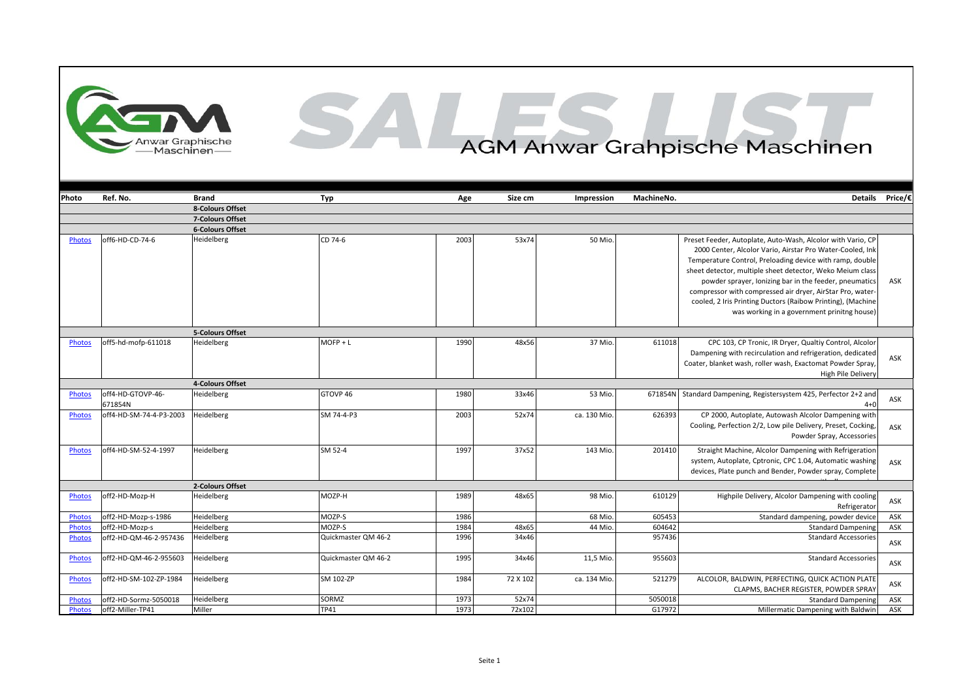

## AGM Anwar Grahpische Maschinen

| Photo         | Ref. No.                     | <b>Brand</b>            | Typ                 | Age  | Size cm  | Impression  | MachineNo. |                                                                                                                                                                                                                                                                                                                                                                                                                                                                                        | Details Price/€ |
|---------------|------------------------------|-------------------------|---------------------|------|----------|-------------|------------|----------------------------------------------------------------------------------------------------------------------------------------------------------------------------------------------------------------------------------------------------------------------------------------------------------------------------------------------------------------------------------------------------------------------------------------------------------------------------------------|-----------------|
|               |                              | 8-Colours Offset        |                     |      |          |             |            |                                                                                                                                                                                                                                                                                                                                                                                                                                                                                        |                 |
|               |                              | 7-Colours Offset        |                     |      |          |             |            |                                                                                                                                                                                                                                                                                                                                                                                                                                                                                        |                 |
|               |                              | <b>6-Colours Offset</b> |                     |      |          |             |            |                                                                                                                                                                                                                                                                                                                                                                                                                                                                                        |                 |
| Photos        | off6-HD-CD-74-6              | Heidelberg              | CD 74-6             | 2003 | 53x74    | 50 Mio.     |            | Preset Feeder, Autoplate, Auto-Wash, Alcolor with Vario, CP<br>2000 Center, Alcolor Vario, Airstar Pro Water-Cooled, Ink<br>Temperature Control, Preloading device with ramp, double<br>sheet detector, multiple sheet detector, Weko Meium class<br>powder sprayer, Ionizing bar in the feeder, pneumatics<br>compressor with compressed air dryer, AirStar Pro, water-<br>cooled, 2 Iris Printing Ductors (Raibow Printing), (Machine<br>was working in a government prinitng house) | ASK             |
|               |                              | 5-Colours Offset        |                     |      |          |             |            |                                                                                                                                                                                                                                                                                                                                                                                                                                                                                        |                 |
| Photos        | off5-hd-mofp-611018          | Heidelberg              | $M$ OFP + L         | 1990 | 48x56    | 37 Mio      | 611018     | CPC 103, CP Tronic, IR Dryer, Qualtiy Control, Alcolor<br>Dampening with recirculation and refrigeration, dedicated<br>Coater, blanket wash, roller wash, Exactomat Powder Spray,<br>High Pile Delivery                                                                                                                                                                                                                                                                                | ASK             |
|               |                              | 4-Colours Offset        |                     |      |          |             |            |                                                                                                                                                                                                                                                                                                                                                                                                                                                                                        |                 |
| <b>Photos</b> | off4-HD-GTOVP-46-<br>671854N | Heidelberg              | GTOVP 46            | 1980 | 33x46    | 53 Mio.     | 671854N    | Standard Dampening, Registersystem 425, Perfector 2+2 and<br>$4 + 0$                                                                                                                                                                                                                                                                                                                                                                                                                   | ASK             |
| Photos        | off4-HD-SM-74-4-P3-2003      | Heidelberg              | SM 74-4-P3          | 2003 | 52x74    | ca. 130 Mio | 626393     | CP 2000, Autoplate, Autowash Alcolor Dampening with<br>Cooling, Perfection 2/2, Low pile Delivery, Preset, Cocking,<br>Powder Spray, Accessories                                                                                                                                                                                                                                                                                                                                       | ASK             |
| <b>Photos</b> | off4-HD-SM-52-4-1997         | Heidelberg              | SM 52-4             | 1997 | 37x52    | 143 Mio.    | 201410     | Straight Machine, Alcolor Dampening with Refrigeration<br>system, Autoplate, Cptronic, CPC 1.04, Automatic washing<br>devices, Plate punch and Bender, Powder spray, Complete                                                                                                                                                                                                                                                                                                          | ASK             |
|               |                              | 2-Colours Offset        |                     |      |          |             |            |                                                                                                                                                                                                                                                                                                                                                                                                                                                                                        |                 |
| Photos        | off2-HD-Mozp-H               | Heidelberg              | MOZP-H              | 1989 | 48x65    | 98 Mio.     | 610129     | Highpile Delivery, Alcolor Dampening with cooling<br>Refrigerator                                                                                                                                                                                                                                                                                                                                                                                                                      | ASK             |
| Photos        | off2-HD-Mozp-s-1986          | Heidelberg              | MOZP-S              | 1986 |          | 68 Mio      | 605453     | Standard dampening, powder device                                                                                                                                                                                                                                                                                                                                                                                                                                                      | ASK             |
| <b>Photos</b> | off2-HD-Mozp-s               | Heidelberg              | MOZP-S              | 1984 | 48x65    | 44 Mio      | 604642     | <b>Standard Dampening</b>                                                                                                                                                                                                                                                                                                                                                                                                                                                              | ASK             |
| Photos        | off2-HD-QM-46-2-957436       | Heidelberg              | Quickmaster QM 46-2 | 1996 | 34x46    |             | 957436     | <b>Standard Accessories</b>                                                                                                                                                                                                                                                                                                                                                                                                                                                            | ASK             |
| <b>Photos</b> | off2-HD-QM-46-2-955603       | Heidelberg              | Quickmaster QM 46-2 | 1995 | 34x46    | 11,5 Mio.   | 955603     | <b>Standard Accessories</b>                                                                                                                                                                                                                                                                                                                                                                                                                                                            | ASK             |
| Photos        | off2-HD-SM-102-ZP-1984       | Heidelberg              | SM 102-ZP           | 1984 | 72 X 102 | ca. 134 Mio | 521279     | ALCOLOR, BALDWIN, PERFECTING, QUICK ACTION PLATE<br>CLAPMS, BACHER REGISTER, POWDER SPRAY                                                                                                                                                                                                                                                                                                                                                                                              | ASK             |
| <b>Photos</b> | off2-HD-Sormz-5050018        | Heidelberg              | SORMZ               | 1973 | 52x74    |             | 5050018    | <b>Standard Dampening</b>                                                                                                                                                                                                                                                                                                                                                                                                                                                              | ASK             |
| <b>Photos</b> | off2-Miller-TP41             | Miller                  | <b>TP41</b>         | 1973 | 72x102   |             | G17972     | Millermatic Dampening with Baldwin                                                                                                                                                                                                                                                                                                                                                                                                                                                     | ASK             |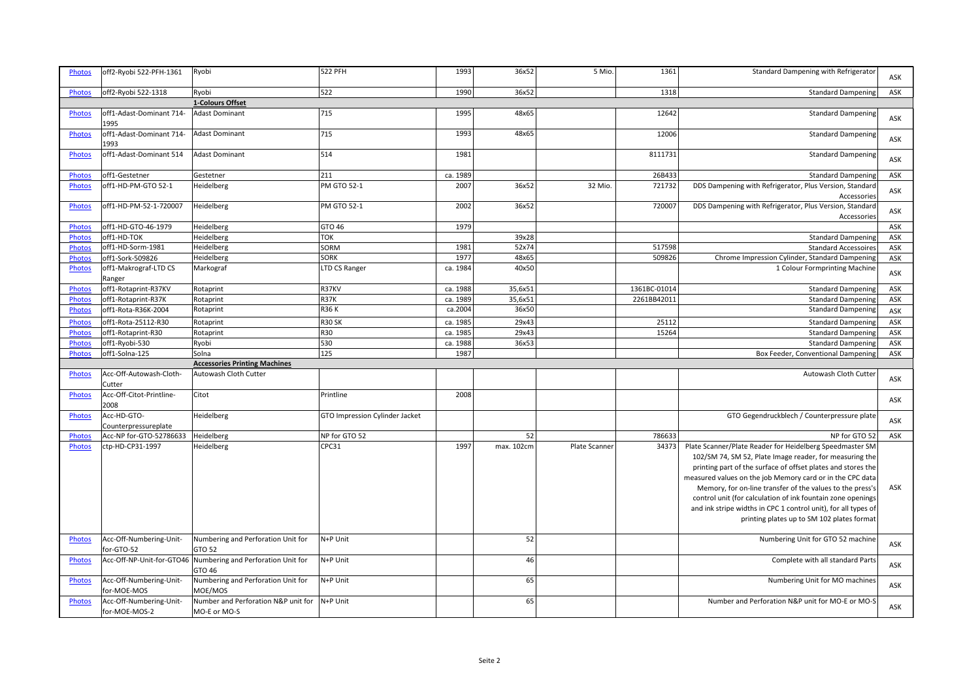| <b>Photos</b> | off2-Ryobi 522-PFH-1361                  | Ryobi                                                                  | 522 PFH                        | 1993     | 36x52      | 5 Mio.        | 1361         | Standard Dampening with Refrigerator                                                                                                                                                                                                                                                                                                                                                                                                                                                         | ASK        |
|---------------|------------------------------------------|------------------------------------------------------------------------|--------------------------------|----------|------------|---------------|--------------|----------------------------------------------------------------------------------------------------------------------------------------------------------------------------------------------------------------------------------------------------------------------------------------------------------------------------------------------------------------------------------------------------------------------------------------------------------------------------------------------|------------|
| Photos        | off2-Ryobi 522-1318                      | Ryobi                                                                  | 522                            | 1990     | 36x52      |               | 1318         | Standard Dampening                                                                                                                                                                                                                                                                                                                                                                                                                                                                           | ASK        |
|               |                                          | 1-Colours Offset                                                       |                                |          |            |               |              |                                                                                                                                                                                                                                                                                                                                                                                                                                                                                              |            |
| <b>Photos</b> | off1-Adast-Dominant 714-<br>1995         | Adast Dominant                                                         | 715                            | 1995     | 48x65      |               | 12642        | <b>Standard Dampening</b>                                                                                                                                                                                                                                                                                                                                                                                                                                                                    | ASK        |
| <b>Photos</b> | off1-Adast-Dominant 714-<br>1993         | <b>Adast Dominant</b>                                                  | 715                            | 1993     | 48x65      |               | 12006        | Standard Dampening                                                                                                                                                                                                                                                                                                                                                                                                                                                                           | <b>ASK</b> |
| Photos        | off1-Adast-Dominant 514                  | <b>Adast Dominant</b>                                                  | 514                            | 1981     |            |               | 8111731      | <b>Standard Dampening</b>                                                                                                                                                                                                                                                                                                                                                                                                                                                                    | ASK        |
| Photos        | off1-Gestetner                           | Gestetner                                                              | 211                            | ca. 1989 |            |               | 26B433       | <b>Standard Dampening</b>                                                                                                                                                                                                                                                                                                                                                                                                                                                                    | ASK        |
| <b>Photos</b> | off1-HD-PM-GTO 52-1                      | Heidelberg                                                             | PM GTO 52-1                    | 2007     | 36x52      | 32 Mio        | 721732       | DDS Dampening with Refrigerator, Plus Version, Standard<br>Accessories                                                                                                                                                                                                                                                                                                                                                                                                                       | ASK        |
| <b>Photos</b> | off1-HD-PM-52-1-720007                   | Heidelberg                                                             | <b>PM GTO 52-1</b>             | 2002     | 36x52      |               | 72000        | DDS Dampening with Refrigerator, Plus Version, Standard<br>Accessories                                                                                                                                                                                                                                                                                                                                                                                                                       | ASK        |
| <b>Photos</b> | off1-HD-GTO-46-1979                      | Heidelberg                                                             | GTO 46                         | 1979     |            |               |              |                                                                                                                                                                                                                                                                                                                                                                                                                                                                                              | ASK        |
| <b>Photos</b> | off1-HD-TOK                              | Heidelberg                                                             | <b>TOK</b>                     |          | 39x28      |               |              | <b>Standard Dampening</b>                                                                                                                                                                                                                                                                                                                                                                                                                                                                    | ASK        |
| <b>Photos</b> | off1-HD-Sorm-1981                        | Heidelberg                                                             | SORM                           | 1981     | 52x74      |               | 517598       | <b>Standard Accessoires</b>                                                                                                                                                                                                                                                                                                                                                                                                                                                                  | ASK        |
| Photos        | off1-Sork-509826                         | Heidelberg                                                             | <b>SORK</b>                    | 1977     | 48x65      |               | 509826       | Chrome Impression Cylinder, Standard Dampening                                                                                                                                                                                                                                                                                                                                                                                                                                               | ASK        |
| <b>Photos</b> | off1-Makrograf-LTD CS<br>Ranger          | Markograf                                                              | LTD CS Ranger                  | ca. 1984 | 40x50      |               |              | 1 Colour Formprinting Machine                                                                                                                                                                                                                                                                                                                                                                                                                                                                | ASK        |
| Photos        | off1-Rotaprint-R37KV                     | Rotaprint                                                              | R37KV                          | ca. 1988 | 35,6x51    |               | 1361BC-01014 | <b>Standard Dampening</b>                                                                                                                                                                                                                                                                                                                                                                                                                                                                    | ASK        |
| Photos        | off1-Rotaprint-R37K                      | Rotaprint                                                              | <b>R37K</b>                    | ca. 1989 | 35,6x51    |               | 2261BB42011  | <b>Standard Dampening</b>                                                                                                                                                                                                                                                                                                                                                                                                                                                                    | ASK        |
| Photos        | off1-Rota-R36K-2004                      | Rotaprint                                                              | <b>R36K</b>                    | ca.2004  | 36x50      |               |              | <b>Standard Dampening</b>                                                                                                                                                                                                                                                                                                                                                                                                                                                                    | ASK        |
| Photos        | off1-Rota-25112-R30                      | Rotaprint                                                              | <b>R30 SK</b>                  | ca. 1985 | 29x43      |               | 25112        | <b>Standard Dampening</b>                                                                                                                                                                                                                                                                                                                                                                                                                                                                    | ASK        |
| <b>Photos</b> | off1-Rotaprint-R30                       | Rotaprint                                                              | R30                            | ca. 1985 | 29x43      |               | 15264        | <b>Standard Dampening</b>                                                                                                                                                                                                                                                                                                                                                                                                                                                                    | ASK        |
| Photos        | off1-Ryobi-530                           | Ryobi                                                                  | 530                            | ca. 1988 | 36x53      |               |              | <b>Standard Dampening</b>                                                                                                                                                                                                                                                                                                                                                                                                                                                                    | ASK        |
| <b>Photos</b> | off1-Solna-125                           | Solna                                                                  | 125                            | 1987     |            |               |              | Box Feeder, Conventional Dampening                                                                                                                                                                                                                                                                                                                                                                                                                                                           | ASK        |
|               |                                          | <b>Accessories Printing Machines</b>                                   |                                |          |            |               |              |                                                                                                                                                                                                                                                                                                                                                                                                                                                                                              |            |
| Photos        | Acc-Off-Autowash-Cloth-<br>Cutter        | Autowash Cloth Cutter                                                  |                                |          |            |               |              | Autowash Cloth Cutter                                                                                                                                                                                                                                                                                                                                                                                                                                                                        | ASK        |
| <b>Photos</b> | Acc-Off-Citot-Printline-<br>2008         | Citot                                                                  | Printline                      | 2008     |            |               |              |                                                                                                                                                                                                                                                                                                                                                                                                                                                                                              | ASK        |
| <b>Photos</b> | Acc-HD-GTO-<br>Counterpressureplate      | Heidelberg                                                             | GTO Impression Cylinder Jacket |          |            |               |              | GTO Gegendruckblech / Counterpressure plate                                                                                                                                                                                                                                                                                                                                                                                                                                                  | ASK        |
| Photos        | Acc-NP for-GTO-52786633                  | Heidelberg                                                             | NP for GTO 52                  |          | 52         |               | 786633       | NP for GTO 52                                                                                                                                                                                                                                                                                                                                                                                                                                                                                | ASK        |
| Photos        | ctp-HD-CP31-1997                         | Heidelberg                                                             | CPC31                          | 1997     | max. 102cm | Plate Scanner | 34373        | Plate Scanner/Plate Reader for Heidelberg Speedmaster SM<br>102/SM 74, SM 52, Plate Image reader, for measuring the<br>printing part of the surface of offset plates and stores the<br>measured values on the job Memory card or in the CPC data<br>Memory, for on-line transfer of the values to the press's<br>control unit (for calculation of ink fountain zone openings<br>and ink stripe widths in CPC 1 control unit), for all types of<br>printing plates up to SM 102 plates format | ASK        |
| <b>Photos</b> | Acc-Off-Numbering-Unit-<br>for-GTO-52    | Numbering and Perforation Unit for<br>GTO 52                           | N+P Unit                       |          | 52         |               |              | Numbering Unit for GTO 52 machine                                                                                                                                                                                                                                                                                                                                                                                                                                                            | ASK        |
| <b>Photos</b> |                                          | Acc-Off-NP-Unit-for-GTO46 Numbering and Perforation Unit for<br>GTO 46 | N+P Unit                       |          | 46         |               |              | Complete with all standard Parts                                                                                                                                                                                                                                                                                                                                                                                                                                                             | ASK        |
| Photos        | Acc-Off-Numbering-Unit-<br>for-MOE-MOS   | Numbering and Perforation Unit for<br>MOE/MOS                          | N+P Unit                       |          | 65         |               |              | Numbering Unit for MO machines                                                                                                                                                                                                                                                                                                                                                                                                                                                               | ASK        |
| <b>Photos</b> | Acc-Off-Numbering-Unit-<br>for-MOE-MOS-2 | Number and Perforation N&P unit for<br>MO-E or MO-S                    | N+P Unit                       |          | 65         |               |              | Number and Perforation N&P unit for MO-E or MO-S                                                                                                                                                                                                                                                                                                                                                                                                                                             | ASK        |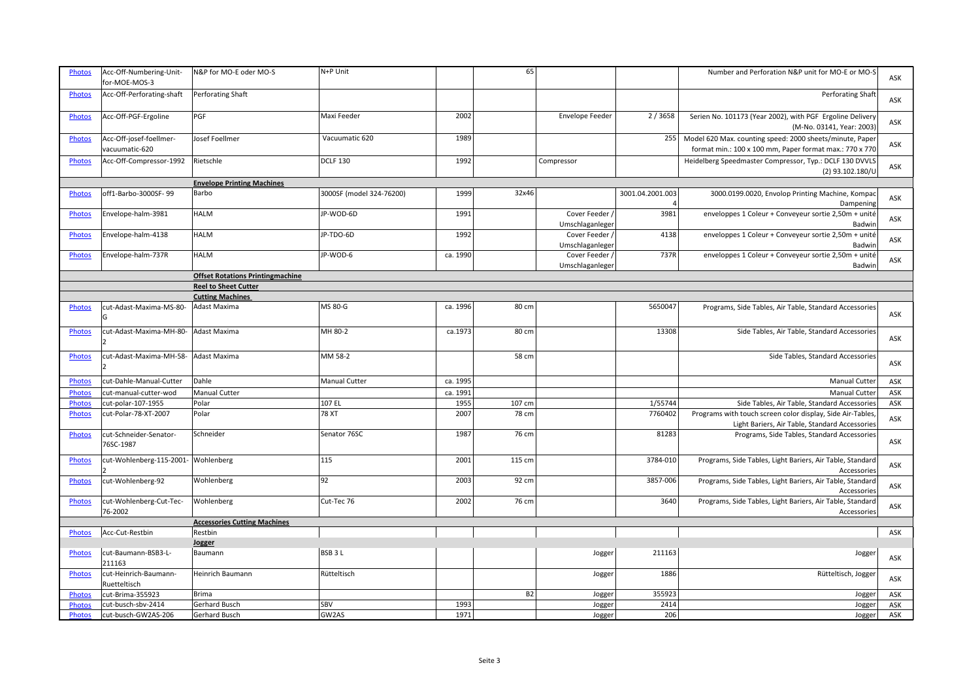| <b>Photos</b> | Acc-Off-Numbering-Unit-<br>for-MOE-MOS-3  | N&P for MO-E oder MO-S                  | N+P Unit                 |          | 65        |                                   |                  | Number and Perforation N&P unit for MO-E or MO-S                                                                    | ASK |
|---------------|-------------------------------------------|-----------------------------------------|--------------------------|----------|-----------|-----------------------------------|------------------|---------------------------------------------------------------------------------------------------------------------|-----|
| Photos        | Acc-Off-Perforating-shaft                 | Perforating Shaft                       |                          |          |           |                                   |                  | Perforating Shaft                                                                                                   | ASK |
| Photos        | Acc-Off-PGF-Ergoline                      | PGF                                     | Maxi Feeder              | 2002     |           | Envelope Feeder                   | 2/3658           | Serien No. 101173 (Year 2002), with PGF Ergoline Delivery<br>(M-No. 03141, Year: 2003)                              | ASK |
| Photos        | Acc-Off-josef-foellmer-<br>vacuumatic-620 | Josef Foellmer                          | Vacuumatic 620           | 1989     |           |                                   | 255              | Model 620 Max. counting speed: 2000 sheets/minute, Paper<br>format min.: 100 x 100 mm, Paper format max.: 770 x 770 | ASK |
| Photos        | Acc-Off-Compressor-1992                   | Rietschle                               | <b>DCLF 130</b>          | 1992     |           | Compressor                        |                  | Heidelberg Speedmaster Compressor, Typ.: DCLF 130 DVVLS<br>(2) 93.102.180/U                                         | ASK |
|               |                                           | <b>Envelope Printing Machines</b>       |                          |          |           |                                   |                  |                                                                                                                     |     |
| <b>Photos</b> | off1-Barbo-3000SF-99                      | Barbo                                   | 3000SF (model 324-76200) | 1999     | 32x46     |                                   | 3001.04.2001.003 | 3000.0199.0020, Envolop Printing Machine, Kompac<br>Dampening                                                       | ASK |
| Photos        | Envelope-halm-3981                        | <b>HALM</b>                             | JP-WOD-6D                | 1991     |           | Cover Feeder /<br>Umschlaganleger | 3981             | enveloppes 1 Coleur + Conveyeur sortie 2,50m + unité<br>Badwin                                                      | ASK |
| Photos        | Envelope-halm-4138                        | <b>HALM</b>                             | JP-TDO-6D                | 1992     |           | Cover Feeder /<br>Umschlaganleger | 4138             | enveloppes 1 Coleur + Conveyeur sortie 2,50m + unité<br>Badwin                                                      | ASK |
| <b>Photos</b> | Envelope-halm-737R                        | <b>HALM</b>                             | JP-WOD-6                 | ca. 1990 |           | Cover Feeder /<br>Umschlaganleger | 737R             | enveloppes 1 Coleur + Conveyeur sortie 2,50m + unité<br>Badwin                                                      | ASK |
|               |                                           | <b>Offset Rotations Printingmachine</b> |                          |          |           |                                   |                  |                                                                                                                     |     |
|               |                                           | <b>Reel to Sheet Cutter</b>             |                          |          |           |                                   |                  |                                                                                                                     |     |
|               |                                           | <b>Cutting Machines</b>                 |                          |          |           |                                   |                  |                                                                                                                     |     |
| <b>Photos</b> | cut-Adast-Maxima-MS-80-<br>G              | Adast Maxima                            | MS 80-G                  | ca. 1996 | 80 cm     |                                   | 5650047          | Programs, Side Tables, Air Table, Standard Accessories                                                              | ASK |
| <b>Photos</b> | cut-Adast-Maxima-MH-80-                   | Adast Maxima                            | MH 80-2                  | ca.1973  | 80 cm     |                                   | 13308            | Side Tables, Air Table, Standard Accessories                                                                        | ASK |
| <b>Photos</b> | cut-Adast-Maxima-MH-58-                   | Adast Maxima                            | MM 58-2                  |          | 58 cm     |                                   |                  | Side Tables, Standard Accessories                                                                                   | ASK |
| Photos        | cut-Dahle-Manual-Cutter                   | Dahle                                   | Manual Cutter            | ca. 1995 |           |                                   |                  | Manual Cutter                                                                                                       | ASK |
| Photos        | cut-manual-cutter-wod                     | <b>Manual Cutter</b>                    |                          | ca. 1991 |           |                                   |                  | <b>Manual Cutter</b>                                                                                                | ASK |
| Photos        | cut-polar-107-1955                        | Polar                                   | 107 EL                   | 1955     | 107 cm    |                                   | 1/55744          | Side Tables, Air Table, Standard Accessories                                                                        | ASK |
| <b>Photos</b> | cut-Polar-78-XT-2007                      | Polar                                   | <b>78 XT</b>             | 2007     | 78 cm     |                                   | 7760402          | Programs with touch screen color display, Side Air-Tables,<br>Light Bariers, Air Table, Standard Accessories        | ASK |
| Photos        | cut-Schneider-Senator-<br>76SC-1987       | Schneider                               | Senator 76SC             | 1987     | 76 cm     |                                   | 81283            | Programs, Side Tables, Standard Accessories                                                                         | ASK |
| Photos        | cut-Wohlenberg-115-2001- Wohlenberg       |                                         | 115                      | 2001     | 115 cm    |                                   | 3784-010         | Programs, Side Tables, Light Bariers, Air Table, Standard<br>Accessories                                            | ASK |
| <b>Photos</b> | cut-Wohlenberg-92                         | Wohlenberg                              | 92                       | 2003     | 92 cm     |                                   | 3857-006         | Programs, Side Tables, Light Bariers, Air Table, Standard<br>Accessories                                            | ASK |
| <b>Photos</b> | cut-Wohlenberg-Cut-Tec-<br>76-2002        | Wohlenberg                              | Cut-Tec 76               | 2002     | 76 cm     |                                   | 3640             | Programs, Side Tables, Light Bariers, Air Table, Standard<br>Accessories                                            | ASK |
|               |                                           | <b>Accessories Cutting Machines</b>     |                          |          |           |                                   |                  |                                                                                                                     |     |
| <b>Photos</b> | Acc-Cut-Restbin                           | Restbin                                 |                          |          |           |                                   |                  |                                                                                                                     | ASK |
|               |                                           | Jogger                                  |                          |          |           |                                   |                  |                                                                                                                     |     |
| <b>Photos</b> | cut-Baumann-BSB3-L-<br>211163             | Baumann                                 | BSB <sub>3L</sub>        |          |           | Jogger                            | 211163           | Jogger                                                                                                              | ASK |
| <b>Photos</b> | cut-Heinrich-Baumann-<br>Ruetteltisch     | Heinrich Baumann                        | Rütteltisch              |          |           | Jogger                            | 1886             | Rütteltisch, Jogger                                                                                                 | ASK |
| Photos        | cut-Brima-355923                          | <b>Brima</b>                            |                          |          | <b>B2</b> | Jogger                            | 355923           | Jogger                                                                                                              | ASK |
| <b>Photos</b> | cut-busch-sbv-2414                        | Gerhard Busch                           | SBV                      | 1993     |           | Jogger                            | 2414             | Jogger                                                                                                              | ASK |
| Photos        | cut-busch-GW2AS-206                       | Gerhard Busch                           | GW2AS                    | 1971     |           | Jogger                            | 206              | Jogger                                                                                                              | ASK |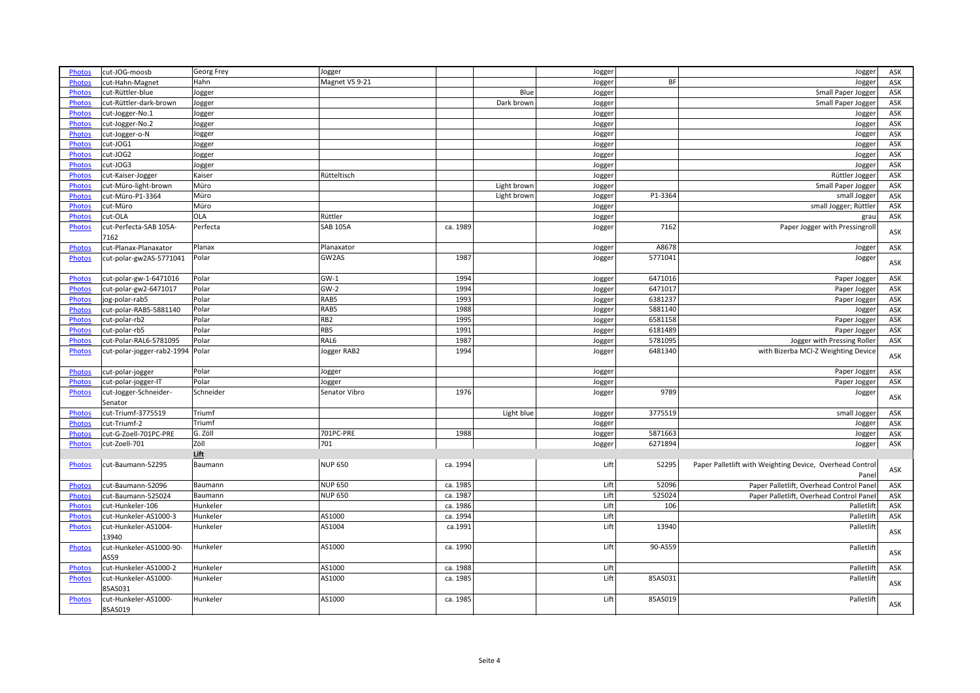| <b>Photos</b> | cut-JOG-moosb                  | Georg Frey  | Jogger          |          |             | Jogger |           | Jogger                                                   | ASK |
|---------------|--------------------------------|-------------|-----------------|----------|-------------|--------|-----------|----------------------------------------------------------|-----|
| <b>Photos</b> | cut-Hahn-Magnet                | Hahn        | Magnet VS 9-21  |          |             | Jogger | <b>BF</b> | Jogger                                                   | ASK |
| <b>Photos</b> | cut-Rüttler-blue               | Jogger      |                 |          | Blue        | Jogger |           | Small Paper Jogger                                       | ASK |
| Photos        | cut-Rüttler-dark-brown         | Jogger      |                 |          | Dark brown  | Jogger |           | Small Paper Jogger                                       | ASK |
| Photos        | cut-Jogger-No.1                | Jogger      |                 |          |             | Jogger |           | Jogger                                                   | ASK |
| <b>Photos</b> | cut-Jogger-No.2                | Jogger      |                 |          |             | Jogger |           | Jogger                                                   | ASK |
| <b>Photos</b> | cut-Jogger-o-N                 | Jogger      |                 |          |             | Jogger |           | Jogger                                                   | ASK |
| Photos        | cut-JOG1                       | Jogger      |                 |          |             | Jogger |           | Jogger                                                   | ASK |
| <b>Photos</b> | cut-JOG2                       | Jogger      |                 |          |             | Jogger |           |                                                          | ASK |
|               | cut-JOG3                       |             |                 |          |             |        |           | Jogger                                                   | ASK |
| <b>Photos</b> |                                | Jogger      |                 |          |             | Jogger |           | Jogger                                                   |     |
| Photos        | cut-Kaiser-Jogger              | Kaiser      | Rütteltisch     |          |             | Jogger |           | Rüttler Jogger                                           | ASK |
| Photos        | cut-Müro-light-brown           | Müro        |                 |          | Light brown | Jogger |           | Small Paper Jogger                                       | ASK |
| <b>Photos</b> | cut-Müro-P1-3364               | Müro        |                 |          | Light brown | Jogger | P1-3364   | small Jogger                                             | ASK |
| Photos        | cut-Müro                       | Müro        |                 |          |             | Jogger |           | small Jogger; Rüttler                                    | ASK |
| <b>Photos</b> | cut-OLA                        | OLA         | Rüttler         |          |             | Jogger |           | grau                                                     | ASK |
| <b>Photos</b> | cut-Perfecta-SAB 105A-<br>7162 | Perfecta    | <b>SAB 105A</b> | ca. 1989 |             | Jogger | 7162      | Paper Jogger with Pressingroll                           | ASK |
|               |                                |             | Planaxator      |          |             |        | A8678     |                                                          |     |
| Photos        | cut-Planax-Planaxator          | Planax      |                 |          |             | Jogger |           | Jogger                                                   | ASK |
| Photos        | cut-polar-gw2AS-5771041        | Polar       | GW2AS           | 1987     |             | Jogger | 5771041   | Jogger                                                   | ASK |
| Photos        | cut-polar-gw-1-6471016         | Polar       | $GW-1$          | 1994     |             | Jogger | 6471016   | Paper Jogger                                             | ASK |
| <b>Photos</b> | cut-polar-gw2-6471017          | Polar       | $GW-2$          | 1994     |             | Jogger | 6471017   | Paper Jogger                                             | ASK |
| <b>Photos</b> | jog-polar-rab5                 | Polar       | RAB5            | 1993     |             | Jogger | 6381237   | Paper Jogger                                             | ASK |
| Photos        | cut-polar-RAB5-5881140         | Polar       | RAB5            | 1988     |             | Jogger | 5881140   | Jogger                                                   | ASK |
| <b>Photos</b> | cut-polar-rb2                  | Polar       | RB <sub>2</sub> | 1995     |             | Jogger | 6581158   | Paper Jogger                                             | ASK |
| Photos        | cut-polar-rb5                  | Polar       | RB5             | 1991     |             | Jogger | 6181489   | Paper Jogger                                             | ASK |
| Photos        | cut-Polar-RAL6-5781095         | Polar       | RAL6            | 1987     |             |        | 5781095   | Jogger with Pressing Roller                              | ASK |
|               |                                | Polar       |                 | 1994     |             | Jogger | 6481340   | with Bizerba MCI-Z Weighting Device                      |     |
| Photos        | cut-polar-jogger-rab2-1994     |             | Jogger RAB2     |          |             | Jogger |           |                                                          | ASK |
| Photos        | cut-polar-jogger               | Polar       | Jogger          |          |             | Jogger |           | Paper Jogger                                             | ASK |
| Photos        | cut-polar-jogger-IT            | Polar       | Jogger          |          |             | Jogger |           | Paper Jogger                                             | ASK |
| <b>Photos</b> | cut-Jogger-Schneider-          | Schneider   | Senator Vibro   | 1976     |             | Jogger | 9789      | Jogger                                                   | ASK |
|               | Senator                        |             |                 |          |             |        |           |                                                          |     |
| Photos        | cut-Triumf-3775519             | Triumf      |                 |          | Light blue  | Jogger | 3775519   | small Jogger                                             | ASK |
| Photos        | cut-Triumf-2                   | Triumf      |                 |          |             | Jogger |           | Jogger                                                   | ASK |
| <b>Photos</b> | cut-G-Zoell-701PC-PRE          | G. Zöll     | 701PC-PRE       | 1988     |             | Jogger | 5871663   | Jogger                                                   | ASK |
| Photos        | cut-Zoell-701                  | <b>Zöll</b> | 701             |          |             | Jogger | 6271894   | Jogger                                                   | ASK |
|               |                                | Lift        |                 |          |             |        |           |                                                          |     |
| <b>Photos</b> | cut-Baumann-52295              | Baumann     | <b>NUP 650</b>  | ca. 1994 |             | Lift   | 52295     | Paper Palletlift with Weighting Device, Overhead Control | ASK |
|               |                                |             |                 |          |             |        |           | Panel                                                    |     |
| <b>Photos</b> | cut-Baumann-52096              | Baumann     | <b>NUP 650</b>  | ca. 1985 |             | Lift   | 52096     | Paper Palletlift, Overhead Control Panel                 | ASK |
| <b>Photos</b> | cut-Baumann-525024             | Baumann     | <b>NUP 650</b>  | ca. 1987 |             | Lift   | 525024    | Paper Palletlift, Overhead Control Panel                 | ASK |
| Photos        | cut-Hunkeler-106               | Hunkeler    |                 | ca. 1986 |             | Lift   | 106       | Palletlift                                               | ASK |
| Photos        | cut-Hunkeler-AS1000-3          | Hunkeler    | AS1000          | ca. 1994 |             | Lift   |           | Palletlift                                               | ASK |
| Photos        | cut-Hunkeler-AS1004-           | Hunkeler    | AS1004          | ca.1991  |             | Lift   | 13940     | Palletlift                                               |     |
|               | 13940                          |             |                 |          |             |        |           |                                                          | ASK |
| Photos        | cut-Hunkeler-AS1000-90-        | Hunkeler    | AS1000          | ca. 1990 |             | Lift   | 90-AS59   | Palletlift                                               | ASK |
|               | AS59                           |             |                 |          |             |        |           |                                                          |     |
| Photos        | cut-Hunkeler-AS1000-2          | Hunkeler    | AS1000          | ca. 1988 |             | Lift   |           | Palletlift                                               | ASK |
| Photos        | cut-Hunkeler-AS1000-           | Hunkeler    | AS1000          | ca. 1985 |             | Lift   | 85AS031   | Palletlift                                               | ASK |
|               | 85AS031                        |             |                 |          |             |        |           |                                                          |     |
| Photos        | cut-Hunkeler-AS1000-           | Hunkeler    | AS1000          | ca. 1985 |             | Lift   | 85AS019   | Palletlift                                               |     |
|               | 85AS019                        |             |                 |          |             |        |           |                                                          | ASK |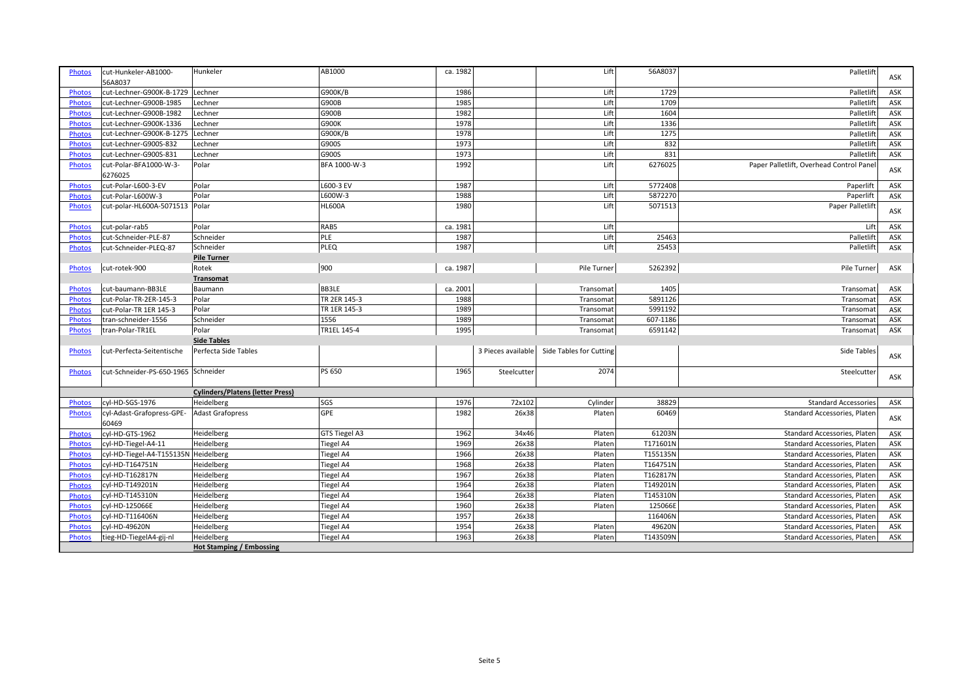| <b>Photos</b> | cut-Hunkeler-AB1000-                 | Hunkeler                                | AB1000           | ca. 1982 |                    | Lift                    | 56A8037  | Palletlift                               | ASK |
|---------------|--------------------------------------|-----------------------------------------|------------------|----------|--------------------|-------------------------|----------|------------------------------------------|-----|
|               | 56A8037                              |                                         |                  |          |                    |                         |          |                                          |     |
| <b>Photos</b> | cut-Lechner-G900K-B-1729             | Lechner                                 | G900K/B          | 1986     |                    | Lift                    | 1729     | Palletlift                               | ASK |
| Photos        | cut-Lechner-G900B-1985               | Lechner                                 | G900B            | 1985     |                    | Lift                    | 1709     | Palletlift                               | ASK |
| <b>Photos</b> | cut-Lechner-G900B-1982               | Lechner                                 | G900B            | 1982     |                    | Lift                    | 1604     | Palletlift                               | ASK |
| <b>Photos</b> | cut-Lechner-G900K-1336               | Lechner                                 | G900K            | 1978     |                    | Lift                    | 1336     | Palletlift                               | ASK |
| <b>Photos</b> | cut-Lechner-G900K-B-1275             | Lechner                                 | G900K/B          | 1978     |                    | Lift                    | 1275     | Palletlift                               | ASK |
| Photos        | cut-Lechner-G900S-832                | Lechner                                 | G900S            | 1973     |                    | Lift                    | 832      | Palletlift                               | ASK |
| <b>Photos</b> | cut-Lechner-G900S-831                | Lechner                                 | G900S            | 1973     |                    | Lift                    | 831      | Palletlift                               | ASK |
| <b>Photos</b> | cut-Polar-BFA1000-W-3-               | Polar                                   | BFA 1000-W-3     | 1992     |                    | Lift                    | 6276025  | Paper Palletlift, Overhead Control Panel |     |
|               | 6276025                              |                                         |                  |          |                    |                         |          |                                          | ASK |
| <b>Photos</b> | cut-Polar-L600-3-EV                  | Polar                                   | L600-3 EV        | 1987     |                    | Lift                    | 5772408  | Paperlift                                | ASK |
| <b>Photos</b> | cut-Polar-L600W-3                    | Polar                                   | L600W-3          | 1988     |                    | Lift                    | 5872270  | Paperlift                                | ASK |
| <b>Photos</b> | cut-polar-HL600A-5071513             | Polar                                   | <b>HL600A</b>    | 1980     |                    | Lift                    | 5071513  | Paper Palletlift                         |     |
|               |                                      |                                         |                  |          |                    |                         |          |                                          | ASK |
| <b>Photos</b> | cut-polar-rab5                       | Polar                                   | RAB5             | ca. 1981 |                    | Lift                    |          | Lift                                     | ASK |
| <b>Photos</b> | cut-Schneider-PLE-87                 | Schneider                               | PLE              | 1987     |                    | Lift                    | 25463    | Palletlift                               | ASK |
| Photos        | cut-Schneider-PLEQ-87                | Schneider                               | <b>PLEQ</b>      | 1987     |                    | Lift                    | 25453    | Palletlift                               | ASK |
|               |                                      | <b>Pile Turner</b>                      |                  |          |                    |                         |          |                                          |     |
| <b>Photos</b> | cut-rotek-900                        | Rotek                                   | 900              | ca. 1987 |                    | Pile Turner             | 5262392  | Pile Turner                              | ASK |
|               |                                      | <b>Transomat</b>                        |                  |          |                    |                         |          |                                          |     |
| Photos        | cut-baumann-BB3LE                    | Baumann                                 | <b>BB3LE</b>     | ca. 2001 |                    | Transomat               | 1405     | Transomat                                | ASK |
| Photos        | cut-Polar-TR-2ER-145-3               | Polar                                   | TR 2ER 145-3     | 1988     |                    | Transomat               | 5891126  | Transomat                                | ASK |
| Photos        | cut-Polar-TR 1ER 145-3               | Polar                                   | TR 1ER 145-3     | 1989     |                    | Transomat               | 5991192  | Transomat                                | ASK |
| <b>Photos</b> | tran-schneider-1556                  | Schneider                               | 1556             | 1989     |                    | Transomat               | 607-1186 | Transomat                                | ASK |
| <b>Photos</b> | tran-Polar-TR1EL                     | Polar                                   | TR1EL 145-4      | 1995     |                    | Transomat               | 6591142  | Transomat                                | ASK |
|               |                                      | <b>Side Tables</b>                      |                  |          |                    |                         |          |                                          |     |
| <b>Photos</b> | cut-Perfecta-Seitentische            | Perfecta Side Tables                    |                  |          | 3 Pieces available | Side Tables for Cutting |          | Side Tables                              |     |
|               |                                      |                                         |                  |          |                    |                         |          |                                          | ASK |
| <b>Photos</b> | cut-Schneider-PS-650-1965 Schneider  |                                         | <b>PS 650</b>    | 1965     | Steelcutter        | 2074                    |          | Steelcutter                              |     |
|               |                                      |                                         |                  |          |                    |                         |          |                                          | ASK |
|               |                                      | <b>Cylinders/Platens (letter Press)</b> |                  |          |                    |                         |          |                                          |     |
| <b>Photos</b> | cyl-HD-SGS-1976                      | Heidelberg                              | SGS              | 1976     | 72×102             | Cylinder                | 38829    | <b>Standard Accessories</b>              | ASK |
| <b>Photos</b> | cyl-Adast-Grafopress-GPE-            | <b>Adast Grafopress</b>                 | GPE              | 1982     | 26x38              | Plater                  | 60469    | Standard Accessories, Platen             |     |
|               | 60469                                |                                         |                  |          |                    |                         |          |                                          | ASK |
| <b>Photos</b> | cyl-HD-GTS-1962                      | Heidelberg                              | GTS Tiegel A3    | 1962     | 34x46              | Plater                  | 61203N   | Standard Accessories, Platen             | ASK |
| <b>Photos</b> | cyl-HD-Tiegel-A4-11                  | Heidelberg                              | Tiegel A4        | 1969     | 26x38              | Plater                  | T171601N | Standard Accessories, Platen             | ASK |
| <b>Photos</b> | cyl-HD-Tiegel-A4-T155135N Heidelberg |                                         | Tiegel A4        | 1966     | 26x38              | Plater                  | T155135N | Standard Accessories, Platen             | ASK |
| Photos        | cyl-HD-T164751N                      | Heidelberg                              | Tiegel A4        | 1968     | 26x38              | Plater                  | T164751N | Standard Accessories, Platen             | ASK |
| Photos        | cyl-HD-T162817N                      | Heidelberg                              | Tiegel A4        | 1967     | 26x38              | Platen                  | T162817N | Standard Accessories, Platen             | ASK |
| <b>Photos</b> | cyl-HD-T149201N                      | Heidelberg                              | <b>Tiegel A4</b> | 1964     | 26x38              | Platen                  | T149201N | Standard Accessories, Platen             | ASK |
| <b>Photos</b> | cyl-HD-T145310N                      | Heidelberg                              | <b>Tiegel A4</b> | 1964     | 26x38              | Plater                  | T145310N | Standard Accessories, Platen             | ASK |
| <b>Photos</b> | cyl-HD-125066E                       | Heidelberg                              | Tiegel A4        | 1960     | 26x38              | Plater                  | 125066E  | Standard Accessories, Platen             | ASK |
| Photos        | cyl-HD-T116406N                      | Heidelberg                              | Tiegel A4        | 1957     | 26x38              |                         | 116406N  | Standard Accessories, Platen             | ASK |
| <b>Photos</b> | cyl-HD-49620N                        | Heidelberg                              | Tiegel A4        | 1954     | 26x38              | Platen                  | 49620N   | Standard Accessories, Platen             | ASK |
| <b>Photos</b> | tieg-HD-TiegelA4-gij-nl              | Heidelberg                              | Tiegel A4        | 1963     | 26x38              | Platen                  | T143509N | Standard Accessories, Platen             | ASK |
|               |                                      | <b>Hot Stamping / Embossing</b>         |                  |          |                    |                         |          |                                          |     |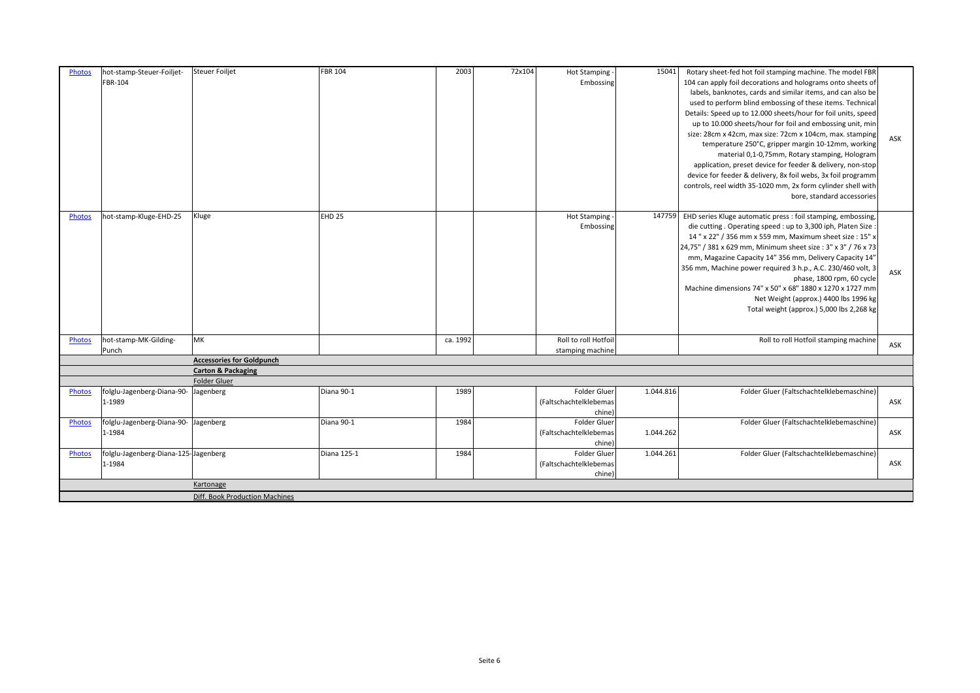| FBR-104<br>104 can apply foil decorations and holograms onto sheets of<br>Embossing<br>labels, banknotes, cards and similar items, and can also be<br>used to perform blind embossing of these items. Technical<br>Details: Speed up to 12.000 sheets/hour for foil units, speed<br>up to 10.000 sheets/hour for foil and embossing unit, min<br>size: 28cm x 42cm, max size: 72cm x 104cm, max. stamping<br>ASK<br>temperature 250°C, gripper margin 10-12mm, working<br>material 0,1-0,75mm, Rotary stamping, Hologram<br>application, preset device for feeder & delivery, non-stop<br>device for feeder & delivery, 8x foil webs, 3x foil programm<br>controls, reel width 35-1020 mm, 2x form cylinder shell with<br>bore, standard accessories<br>hot-stamp-Kluge-EHD-25<br>Kluge<br>EHD <sub>25</sub><br>EHD series Kluge automatic press : foil stamping, embossing,<br>Hot Stamping -<br>147759<br><b>Photos</b><br>Embossing<br>die cutting. Operating speed : up to 3,300 iph, Platen Size :<br>14 " x 22" / 356 mm x 559 mm, Maximum sheet size : 15" x<br>24,75" / 381 x 629 mm, Minimum sheet size: 3" x 3" / 76 x 73 |
|-------------------------------------------------------------------------------------------------------------------------------------------------------------------------------------------------------------------------------------------------------------------------------------------------------------------------------------------------------------------------------------------------------------------------------------------------------------------------------------------------------------------------------------------------------------------------------------------------------------------------------------------------------------------------------------------------------------------------------------------------------------------------------------------------------------------------------------------------------------------------------------------------------------------------------------------------------------------------------------------------------------------------------------------------------------------------------------------------------------------------------------|
|                                                                                                                                                                                                                                                                                                                                                                                                                                                                                                                                                                                                                                                                                                                                                                                                                                                                                                                                                                                                                                                                                                                                     |
|                                                                                                                                                                                                                                                                                                                                                                                                                                                                                                                                                                                                                                                                                                                                                                                                                                                                                                                                                                                                                                                                                                                                     |
|                                                                                                                                                                                                                                                                                                                                                                                                                                                                                                                                                                                                                                                                                                                                                                                                                                                                                                                                                                                                                                                                                                                                     |
|                                                                                                                                                                                                                                                                                                                                                                                                                                                                                                                                                                                                                                                                                                                                                                                                                                                                                                                                                                                                                                                                                                                                     |
|                                                                                                                                                                                                                                                                                                                                                                                                                                                                                                                                                                                                                                                                                                                                                                                                                                                                                                                                                                                                                                                                                                                                     |
|                                                                                                                                                                                                                                                                                                                                                                                                                                                                                                                                                                                                                                                                                                                                                                                                                                                                                                                                                                                                                                                                                                                                     |
|                                                                                                                                                                                                                                                                                                                                                                                                                                                                                                                                                                                                                                                                                                                                                                                                                                                                                                                                                                                                                                                                                                                                     |
|                                                                                                                                                                                                                                                                                                                                                                                                                                                                                                                                                                                                                                                                                                                                                                                                                                                                                                                                                                                                                                                                                                                                     |
|                                                                                                                                                                                                                                                                                                                                                                                                                                                                                                                                                                                                                                                                                                                                                                                                                                                                                                                                                                                                                                                                                                                                     |
|                                                                                                                                                                                                                                                                                                                                                                                                                                                                                                                                                                                                                                                                                                                                                                                                                                                                                                                                                                                                                                                                                                                                     |
|                                                                                                                                                                                                                                                                                                                                                                                                                                                                                                                                                                                                                                                                                                                                                                                                                                                                                                                                                                                                                                                                                                                                     |
|                                                                                                                                                                                                                                                                                                                                                                                                                                                                                                                                                                                                                                                                                                                                                                                                                                                                                                                                                                                                                                                                                                                                     |
|                                                                                                                                                                                                                                                                                                                                                                                                                                                                                                                                                                                                                                                                                                                                                                                                                                                                                                                                                                                                                                                                                                                                     |
|                                                                                                                                                                                                                                                                                                                                                                                                                                                                                                                                                                                                                                                                                                                                                                                                                                                                                                                                                                                                                                                                                                                                     |
|                                                                                                                                                                                                                                                                                                                                                                                                                                                                                                                                                                                                                                                                                                                                                                                                                                                                                                                                                                                                                                                                                                                                     |
|                                                                                                                                                                                                                                                                                                                                                                                                                                                                                                                                                                                                                                                                                                                                                                                                                                                                                                                                                                                                                                                                                                                                     |
| mm, Magazine Capacity 14" 356 mm, Delivery Capacity 14"                                                                                                                                                                                                                                                                                                                                                                                                                                                                                                                                                                                                                                                                                                                                                                                                                                                                                                                                                                                                                                                                             |
| 356 mm, Machine power required 3 h.p., A.C. 230/460 volt, 3<br>ASK                                                                                                                                                                                                                                                                                                                                                                                                                                                                                                                                                                                                                                                                                                                                                                                                                                                                                                                                                                                                                                                                  |
| phase, 1800 rpm, 60 cycle                                                                                                                                                                                                                                                                                                                                                                                                                                                                                                                                                                                                                                                                                                                                                                                                                                                                                                                                                                                                                                                                                                           |
| Machine dimensions 74" x 50" x 68" 1880 x 1270 x 1727 mm                                                                                                                                                                                                                                                                                                                                                                                                                                                                                                                                                                                                                                                                                                                                                                                                                                                                                                                                                                                                                                                                            |
| Net Weight (approx.) 4400 lbs 1996 kg                                                                                                                                                                                                                                                                                                                                                                                                                                                                                                                                                                                                                                                                                                                                                                                                                                                                                                                                                                                                                                                                                               |
| Total weight (approx.) 5,000 lbs 2,268 kg                                                                                                                                                                                                                                                                                                                                                                                                                                                                                                                                                                                                                                                                                                                                                                                                                                                                                                                                                                                                                                                                                           |
|                                                                                                                                                                                                                                                                                                                                                                                                                                                                                                                                                                                                                                                                                                                                                                                                                                                                                                                                                                                                                                                                                                                                     |
| lmĸ<br>Roll to roll Hotfoil<br>hot-stamp-MK-Gilding-<br>ca. 1992<br>Roll to roll Hotfoil stamping machine<br><b>Photos</b><br>ASK                                                                                                                                                                                                                                                                                                                                                                                                                                                                                                                                                                                                                                                                                                                                                                                                                                                                                                                                                                                                   |
| Punch<br>stamping machine                                                                                                                                                                                                                                                                                                                                                                                                                                                                                                                                                                                                                                                                                                                                                                                                                                                                                                                                                                                                                                                                                                           |
| <b>Accessories for Goldpunch</b>                                                                                                                                                                                                                                                                                                                                                                                                                                                                                                                                                                                                                                                                                                                                                                                                                                                                                                                                                                                                                                                                                                    |
| <b>Carton &amp; Packaging</b>                                                                                                                                                                                                                                                                                                                                                                                                                                                                                                                                                                                                                                                                                                                                                                                                                                                                                                                                                                                                                                                                                                       |
| Folder Gluer                                                                                                                                                                                                                                                                                                                                                                                                                                                                                                                                                                                                                                                                                                                                                                                                                                                                                                                                                                                                                                                                                                                        |
| 1989<br>Folder Gluer<br>1.044.816<br>folglu-Jagenberg-Diana-90- Jagenberg<br>Diana 90-1<br>Folder Gluer (Faltschachtelklebemaschine)<br><b>Photos</b>                                                                                                                                                                                                                                                                                                                                                                                                                                                                                                                                                                                                                                                                                                                                                                                                                                                                                                                                                                               |
| ASK<br>1-1989<br>(Faltschachtelklebemas<br>chine)                                                                                                                                                                                                                                                                                                                                                                                                                                                                                                                                                                                                                                                                                                                                                                                                                                                                                                                                                                                                                                                                                   |
| 1984<br>folglu-Jagenberg-Diana-90- Jagenberg<br>Diana 90-1<br>Folder Gluer<br>Folder Gluer (Faltschachtelklebemaschine)<br><b>Photos</b>                                                                                                                                                                                                                                                                                                                                                                                                                                                                                                                                                                                                                                                                                                                                                                                                                                                                                                                                                                                            |
| 1-1984<br>1.044.262<br>(Faltschachtelklebemas)<br>ASK                                                                                                                                                                                                                                                                                                                                                                                                                                                                                                                                                                                                                                                                                                                                                                                                                                                                                                                                                                                                                                                                               |
| chine)                                                                                                                                                                                                                                                                                                                                                                                                                                                                                                                                                                                                                                                                                                                                                                                                                                                                                                                                                                                                                                                                                                                              |
| Diana 125-1<br>1984<br>Folder Gluer<br>1.044.261<br>folglu-Jagenberg-Diana-125-Jagenberg<br>Folder Gluer (Faltschachtelklebemaschine)<br><b>Photos</b>                                                                                                                                                                                                                                                                                                                                                                                                                                                                                                                                                                                                                                                                                                                                                                                                                                                                                                                                                                              |
| 1-1984<br>(Faltschachtelklebemas<br>ASK                                                                                                                                                                                                                                                                                                                                                                                                                                                                                                                                                                                                                                                                                                                                                                                                                                                                                                                                                                                                                                                                                             |
| chine)                                                                                                                                                                                                                                                                                                                                                                                                                                                                                                                                                                                                                                                                                                                                                                                                                                                                                                                                                                                                                                                                                                                              |
| Kartonage                                                                                                                                                                                                                                                                                                                                                                                                                                                                                                                                                                                                                                                                                                                                                                                                                                                                                                                                                                                                                                                                                                                           |
| Diff. Book Production Machines                                                                                                                                                                                                                                                                                                                                                                                                                                                                                                                                                                                                                                                                                                                                                                                                                                                                                                                                                                                                                                                                                                      |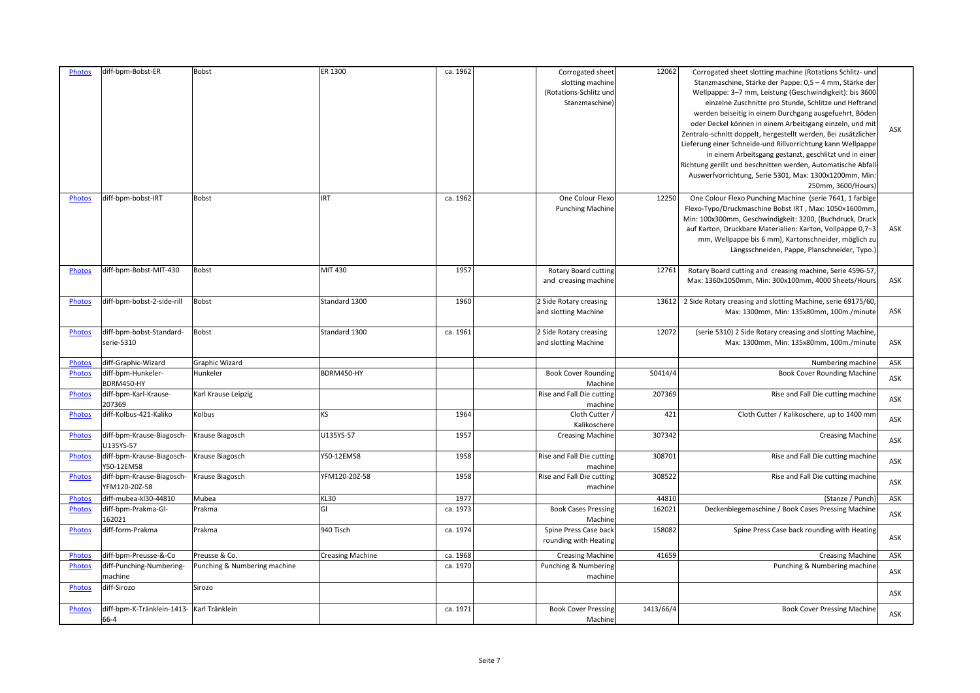| <b>Photos</b> | diff-bpm-Bobst-ER                                 | Bobst                        | ER 1300                 | ca. 1962 | Corrogated sheet<br>slotting machine<br>(Rotations-Schlitz und<br>Stanzmaschine) | 12062     | Corrogated sheet slotting machine (Rotations Schlitz- und<br>Stanzmaschine, Stärke der Pappe: 0,5 - 4 mm, Stärke der<br>Wellpappe: 3-7 mm, Leistung (Geschwindigkeit): bis 3600<br>einzelne Zuschnitte pro Stunde, Schlitze und Heftrand<br>werden beiseitig in einem Durchgang ausgefuehrt, Böder<br>oder Deckel können in einem Arbeitsgang einzeln, und mit<br>Zentralo-schnitt doppelt, hergestellt werden, Bei zusätzlicher<br>Lieferung einer Schneide-und Rillvorrichtung kann Wellpappe<br>in einem Arbeitsgang gestanzt, geschlitzt und in einer<br>Richtung gerillt und beschnitten werden, Automatische Abfall<br>Auswerfvorrichtung, Serie 5301, Max: 1300x1200mm, Min:<br>250mm, 3600/Hours) | ASK |
|---------------|---------------------------------------------------|------------------------------|-------------------------|----------|----------------------------------------------------------------------------------|-----------|-----------------------------------------------------------------------------------------------------------------------------------------------------------------------------------------------------------------------------------------------------------------------------------------------------------------------------------------------------------------------------------------------------------------------------------------------------------------------------------------------------------------------------------------------------------------------------------------------------------------------------------------------------------------------------------------------------------|-----|
| <b>Photos</b> | diff-bpm-bobst-IRT                                | <b>Bobst</b>                 | <b>IRT</b>              | ca. 1962 | One Colour Flexo<br><b>Punching Machine</b>                                      | 12250     | One Colour Flexo Punching Machine (serie 7641, 1 farbige<br>Flexo-Typo/Druckmaschine Bobst IRT, Max: 1050×1600mm<br>Min: 100x300mm, Geschwindigkeit: 3200, (Buchdruck, Druck<br>auf Karton, Druckbare Materialien: Karton, Vollpappe 0,7-3<br>mm, Wellpappe bis 6 mm), Kartonschneider, möglich zu<br>Längsschneiden, Pappe, Planschneider, Typo.]                                                                                                                                                                                                                                                                                                                                                        | ASK |
| <b>Photos</b> | diff-bpm-Bobst-MIT-430                            | <b>Bobst</b>                 | MIT 430                 | 1957     | <b>Rotary Board cutting</b><br>and creasing machine                              | 12761     | Rotary Board cutting and creasing machine, Serie 4596-57<br>Max: 1360x1050mm, Min: 300x100mm, 4000 Sheets/Hours                                                                                                                                                                                                                                                                                                                                                                                                                                                                                                                                                                                           | ASK |
| Photos        | diff-bpm-bobst-2-side-rill                        | <b>Bobst</b>                 | Standard 1300           | 1960     | 2 Side Rotary creasing<br>and slotting Machine                                   | 13612     | 2 Side Rotary creasing and slotting Machine, serie 69175/60<br>Max: 1300mm, Min: 135x80mm, 100m./minute                                                                                                                                                                                                                                                                                                                                                                                                                                                                                                                                                                                                   | ASK |
| <b>Photos</b> | diff-bpm-bobst-Standard-<br>serie-5310            | <b>Bobst</b>                 | Standard 1300           | ca. 1961 | 2 Side Rotary creasing<br>and slotting Machine                                   | 12072     | (serie 5310) 2 Side Rotary creasing and slotting Machine<br>Max: 1300mm, Min: 135x80mm, 100m./minute                                                                                                                                                                                                                                                                                                                                                                                                                                                                                                                                                                                                      | ASK |
| Photos        | diff-Graphic-Wizard                               | Graphic Wizard               |                         |          |                                                                                  |           | Numbering machine                                                                                                                                                                                                                                                                                                                                                                                                                                                                                                                                                                                                                                                                                         | ASK |
| <b>Photos</b> | diff-bpm-Hunkeler-<br>BDRM450-HY                  | Hunkeler                     | BDRM450-HY              |          | <b>Book Cover Rounding</b><br>Machine                                            | 50414/4   | Book Cover Rounding Machine                                                                                                                                                                                                                                                                                                                                                                                                                                                                                                                                                                                                                                                                               | ASK |
| <b>Photos</b> | diff-bpm-Karl-Krause-<br>207369                   | Karl Krause Leipzig          |                         |          | Rise and Fall Die cutting<br>machine                                             | 207369    | Rise and Fall Die cutting machine                                                                                                                                                                                                                                                                                                                                                                                                                                                                                                                                                                                                                                                                         | ASK |
| Photos        | diff-Kolbus-421-Kaliko                            | Kolbus                       | KS                      | 1964     | Cloth Cutter<br>Kalikoschere                                                     | 421       | Cloth Cutter / Kalikoschere, up to 1400 mm                                                                                                                                                                                                                                                                                                                                                                                                                                                                                                                                                                                                                                                                | ASK |
| <b>Photos</b> | diff-bpm-Krause-Biagosch-<br>U135YS-57            | Krause Biagosch              | U135YS-57               | 1957     | <b>Creasing Machine</b>                                                          | 307342    | <b>Creasing Machine</b>                                                                                                                                                                                                                                                                                                                                                                                                                                                                                                                                                                                                                                                                                   | ASK |
| <b>Photos</b> | diff-bpm-Krause-Biagosch-<br>Y50-12EM58           | Krause Biagosch              | Y50-12EM58              | 1958     | Rise and Fall Die cutting<br>machine                                             | 308701    | Rise and Fall Die cutting machine                                                                                                                                                                                                                                                                                                                                                                                                                                                                                                                                                                                                                                                                         | ASK |
| Photos        | diff-bpm-Krause-Biagosch-<br>YFM120-20Z-58        | Krause Biagosch              | YFM120-20Z-58           | 1958     | Rise and Fall Die cutting<br>machine                                             | 308522    | Rise and Fall Die cutting machine                                                                                                                                                                                                                                                                                                                                                                                                                                                                                                                                                                                                                                                                         | ASK |
| <b>Photos</b> | diff-mubea-kl30-44810                             | Mubea                        | KL30                    | 1977     |                                                                                  | 44810     | (Stanze / Punch)                                                                                                                                                                                                                                                                                                                                                                                                                                                                                                                                                                                                                                                                                          | ASK |
| <b>Photos</b> | diff-bpm-Prakma-GI-<br>162021                     | Prakma                       | GI                      | ca. 1973 | <b>Book Cases Pressing</b><br>Machine                                            | 162021    | Deckenbiegemaschine / Book Cases Pressing Machine                                                                                                                                                                                                                                                                                                                                                                                                                                                                                                                                                                                                                                                         | ASK |
| Photos        | diff-form-Prakma                                  | Prakma                       | 940 Tisch               | ca. 1974 | Spine Press Case back<br>rounding with Heating                                   | 158082    | Spine Press Case back rounding with Heating                                                                                                                                                                                                                                                                                                                                                                                                                                                                                                                                                                                                                                                               | ASK |
| Photos        | diff-bpm-Preusse-&-Co                             | Preusse & Co.                | <b>Creasing Machine</b> | ca. 1968 | <b>Creasing Machine</b>                                                          | 41659     | <b>Creasing Machine</b>                                                                                                                                                                                                                                                                                                                                                                                                                                                                                                                                                                                                                                                                                   | ASK |
| <b>Photos</b> | diff-Punching-Numbering-<br>machine               | Punching & Numbering machine |                         | ca. 1970 | Punching & Numbering<br>machine                                                  |           | Punching & Numbering machine                                                                                                                                                                                                                                                                                                                                                                                                                                                                                                                                                                                                                                                                              | ASK |
| <b>Photos</b> | diff-Sirozo                                       | Sirozo                       |                         |          |                                                                                  |           |                                                                                                                                                                                                                                                                                                                                                                                                                                                                                                                                                                                                                                                                                                           | ASK |
| <b>Photos</b> | diff-bpm-K-Tränklein-1413- Karl Tränklein<br>66-4 |                              |                         | ca. 1971 | <b>Book Cover Pressing</b><br>Machine                                            | 1413/66/4 | <b>Book Cover Pressing Machine</b>                                                                                                                                                                                                                                                                                                                                                                                                                                                                                                                                                                                                                                                                        | ASK |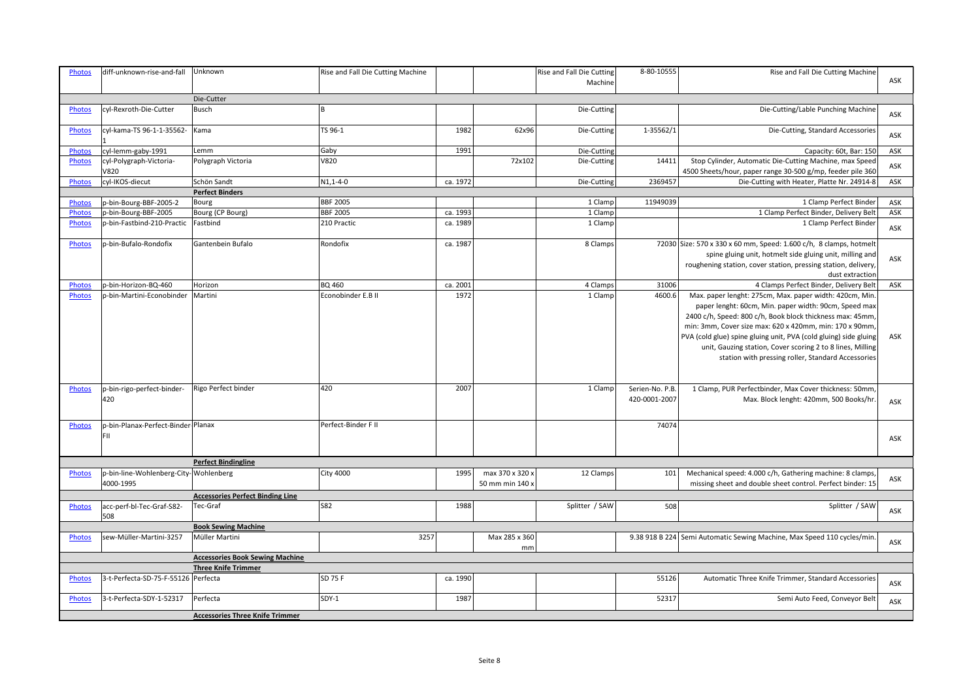| <b>Photos</b> | diff-unknown-rise-and-fall                         | <b>Unknown</b>                          | Rise and Fall Die Cutting Machine |          |                                    | Rise and Fall Die Cutting | 8-80-10555                      | Rise and Fall Die Cutting Machine                                                                                                                                                                                                                                                                                                                                                                                                |     |
|---------------|----------------------------------------------------|-----------------------------------------|-----------------------------------|----------|------------------------------------|---------------------------|---------------------------------|----------------------------------------------------------------------------------------------------------------------------------------------------------------------------------------------------------------------------------------------------------------------------------------------------------------------------------------------------------------------------------------------------------------------------------|-----|
|               |                                                    |                                         |                                   |          |                                    | Machine                   |                                 |                                                                                                                                                                                                                                                                                                                                                                                                                                  | ASK |
|               |                                                    | Die-Cutter                              |                                   |          |                                    |                           |                                 |                                                                                                                                                                                                                                                                                                                                                                                                                                  |     |
| Photos        | cyl-Rexroth-Die-Cutter                             | Busch                                   | lв                                |          |                                    | Die-Cutting               |                                 | Die-Cutting/Lable Punching Machine                                                                                                                                                                                                                                                                                                                                                                                               | ASK |
| <b>Photos</b> | cyl-kama-TS 96-1-1-35562-                          | Kama                                    | TS 96-1                           | 1982     | 62x96                              | Die-Cutting               | 1-35562/1                       | Die-Cutting, Standard Accessories                                                                                                                                                                                                                                                                                                                                                                                                | ASK |
| <b>Photos</b> | cyl-lemm-gaby-1991                                 | Lemm                                    | Gaby                              | 1991     |                                    | Die-Cutting               |                                 | Capacity: 60t, Bar: 150                                                                                                                                                                                                                                                                                                                                                                                                          | ASK |
| Photos        | cyl-Polygraph-Victoria-<br>V820                    | Polygraph Victoria                      | V820                              |          | 72x102                             | Die-Cutting               | 14411                           | Stop Cylinder, Automatic Die-Cutting Machine, max Speed<br>4500 Sheets/hour, paper range 30-500 g/mp, feeder pile 360                                                                                                                                                                                                                                                                                                            | ASK |
| Photos        | cyl-IKOS-diecut                                    | Schön Sandt                             | $N1, 1 - 4 - 0$                   | ca. 1972 |                                    | Die-Cutting               | 2369457                         | Die-Cutting with Heater, Platte Nr. 24914-8                                                                                                                                                                                                                                                                                                                                                                                      | ASK |
|               |                                                    | <b>Perfect Binders</b>                  |                                   |          |                                    |                           |                                 |                                                                                                                                                                                                                                                                                                                                                                                                                                  |     |
| Photos        | p-bin-Bourg-BBF-2005-2                             | Bourg                                   | <b>BBF 2005</b>                   |          |                                    | 1 Clamp                   | 11949039                        | 1 Clamp Perfect Binder                                                                                                                                                                                                                                                                                                                                                                                                           | ASK |
| Photos        | p-bin-Bourg-BBF-2005                               | Bourg (CP Bourg)                        | <b>BBF 2005</b>                   | ca. 1993 |                                    | 1 Clamp                   |                                 | 1 Clamp Perfect Binder, Delivery Belt                                                                                                                                                                                                                                                                                                                                                                                            | ASK |
| Photos        | p-bin-Fastbind-210-Practic                         | Fastbind                                | 210 Practic                       | ca. 1989 |                                    | 1 Clamp                   |                                 | 1 Clamp Perfect Binder                                                                                                                                                                                                                                                                                                                                                                                                           | ASK |
| Photos        | p-bin-Bufalo-Rondofix                              | Gantenbein Bufalo                       | Rondofix                          | ca. 1987 |                                    | 8 Clamps                  |                                 | 72030 Size: 570 x 330 x 60 mm, Speed: 1.600 c/h, 8 clamps, hotmelt<br>spine gluing unit, hotmelt side gluing unit, milling and<br>roughening station, cover station, pressing station, delivery<br>dust extraction                                                                                                                                                                                                               | ASK |
| <b>Photos</b> | p-bin-Horizon-BQ-460                               | Horizon                                 | <b>BQ 460</b>                     | ca. 2001 |                                    | 4 Clamps                  | 31006                           | 4 Clamps Perfect Binder, Delivery Belt                                                                                                                                                                                                                                                                                                                                                                                           | ASK |
| <b>Photos</b> | p-bin-Martini-Econobinder                          | Martini                                 | Econobinder E.B II                | 1972     |                                    | 1 Clamp                   | 4600.6                          | Max. paper lenght: 275cm, Max. paper width: 420cm, Min.<br>paper lenght: 60cm, Min. paper width: 90cm, Speed max<br>2400 c/h, Speed: 800 c/h, Book block thickness max: 45mm,<br>min: 3mm, Cover size max: 620 x 420mm, min: 170 x 90mm,<br>PVA (cold glue) spine gluing unit, PVA (cold gluing) side gluing<br>unit, Gauzing station, Cover scoring 2 to 8 lines, Milling<br>station with pressing roller, Standard Accessories | ASK |
| <b>Photos</b> | p-bin-rigo-perfect-binder-<br>420                  | Rigo Perfect binder                     | 420                               | 2007     |                                    | 1 Clamp                   | Serien-No. P.B<br>420-0001-2007 | 1 Clamp, PUR Perfectbinder, Max Cover thickness: 50mm,<br>Max. Block lenght: 420mm, 500 Books/hr.                                                                                                                                                                                                                                                                                                                                | ASK |
| <b>Photos</b> | p-bin-Planax-Perfect-Binder-Planax<br><b>FII</b>   |                                         | Perfect-Binder F II               |          |                                    |                           | 74074                           |                                                                                                                                                                                                                                                                                                                                                                                                                                  | ASK |
|               |                                                    | <b>Perfect Bindingline</b>              |                                   |          |                                    |                           |                                 |                                                                                                                                                                                                                                                                                                                                                                                                                                  |     |
| Photos        | p-bin-line-Wohlenberg-City-Wohlenberg<br>4000-1995 |                                         | <b>City 4000</b>                  | 1995     | max 370 x 320 x<br>50 mm min 140 : | 12 Clamps                 | 101                             | Mechanical speed: 4.000 c/h, Gathering machine: 8 clamps,<br>missing sheet and double sheet control. Perfect binder: 15                                                                                                                                                                                                                                                                                                          | ASK |
|               |                                                    | <b>Accessories Perfect Binding Line</b> |                                   |          |                                    |                           |                                 |                                                                                                                                                                                                                                                                                                                                                                                                                                  |     |
| <b>Photos</b> | acc-perf-bl-Tec-Graf-S82-<br>508                   | Tec-Graf                                | <b>S82</b>                        | 1988     |                                    | Splitter / SAW            | 508                             | Splitter / SAW                                                                                                                                                                                                                                                                                                                                                                                                                   | ASK |
|               |                                                    | <b>Book Sewing Machine</b>              |                                   |          |                                    |                           |                                 |                                                                                                                                                                                                                                                                                                                                                                                                                                  |     |
| <b>Photos</b> | sew-Müller-Martini-3257                            | Müller Martini                          | 3257                              |          | Max 285 x 360<br>mm                |                           |                                 | 9.38 918 B 224 Semi Automatic Sewing Machine, Max Speed 110 cycles/min                                                                                                                                                                                                                                                                                                                                                           | ASK |
|               |                                                    | <b>Accessories Book Sewing Machine</b>  |                                   |          |                                    |                           |                                 |                                                                                                                                                                                                                                                                                                                                                                                                                                  |     |
|               |                                                    | <b>Three Knife Trimmer</b>              |                                   |          |                                    |                           |                                 |                                                                                                                                                                                                                                                                                                                                                                                                                                  |     |
| <b>Photos</b> | 3-t-Perfecta-SD-75-F-55126 Perfecta                |                                         | <b>SD 75 F</b>                    | ca. 1990 |                                    |                           | 55126                           | Automatic Three Knife Trimmer, Standard Accessories                                                                                                                                                                                                                                                                                                                                                                              | ASK |
| Photos        | 3-t-Perfecta-SDY-1-52317                           | Perfecta                                | SDY-1                             | 1987     |                                    |                           | 52317                           | Semi Auto Feed, Conveyor Belt                                                                                                                                                                                                                                                                                                                                                                                                    | ASK |
|               |                                                    | <b>Accessories Three Knife Trimmer</b>  |                                   |          |                                    |                           |                                 |                                                                                                                                                                                                                                                                                                                                                                                                                                  |     |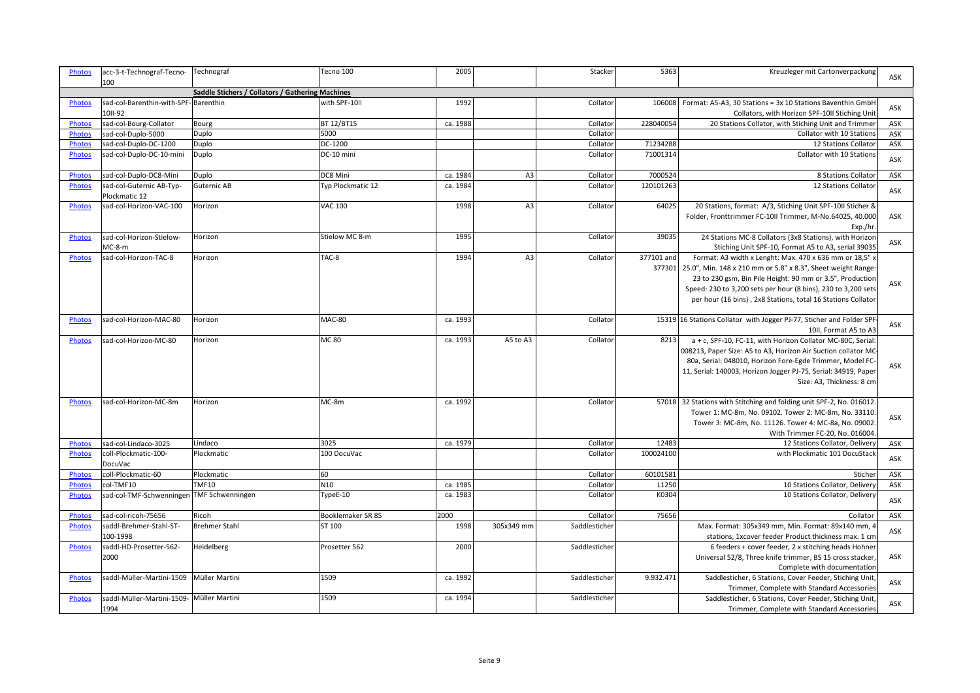| <b>Photos</b> | acc-3-t-Technograf-Tecno-<br>100                  | Technograf                                       | Tecno 100         | 2005     |                | Stacker       | 5363                 | Kreuzleger mit Cartonverpackung                                                                                                                                                                                                                                                                                       | <b>ASK</b> |
|---------------|---------------------------------------------------|--------------------------------------------------|-------------------|----------|----------------|---------------|----------------------|-----------------------------------------------------------------------------------------------------------------------------------------------------------------------------------------------------------------------------------------------------------------------------------------------------------------------|------------|
|               |                                                   | Saddle Stichers / Collators / Gathering Machines |                   |          |                |               |                      |                                                                                                                                                                                                                                                                                                                       |            |
| <b>Photos</b> | sad-col-Barenthin-with-SPF-Barenthin              |                                                  | with SPF-10II     | 1992     |                | Collator      | 106008               | Format: A5-A3, 30 Stations = 3x 10 Stations Baventhin GmbH                                                                                                                                                                                                                                                            |            |
|               | 10II-92                                           |                                                  |                   |          |                |               |                      | Collators, with Horizon SPF-10II Stiching Unit                                                                                                                                                                                                                                                                        | ASK        |
| Photos        | sad-col-Bourg-Collator                            | Bourg                                            | BT 12/BT15        | ca. 1988 |                | Collator      | 228040054            | 20 Stations Collator, with Stiching Unit and Trimmer                                                                                                                                                                                                                                                                  | ASK        |
| Photos        | sad-col-Duplo-5000                                | Duplo                                            | 5000              |          |                | Collator      |                      | Collator with 10 Stations                                                                                                                                                                                                                                                                                             | ASK        |
| <b>Photos</b> | sad-col-Duplo-DC-1200                             | Duplo                                            | DC-1200           |          |                | Collator      | 71234288             | 12 Stations Collator                                                                                                                                                                                                                                                                                                  | ASK        |
| <b>Photos</b> | sad-col-Duplo-DC-10-mini                          | Duplo                                            | DC-10 mini        |          |                | Collator      | 71001314             | Collator with 10 Stations                                                                                                                                                                                                                                                                                             | ASK        |
| Photos        | sad-col-Duplo-DC8-Mini                            | Duplo                                            | DC8 Mini          | ca. 1984 | A <sub>3</sub> | Collator      | 7000524              | 8 Stations Collator                                                                                                                                                                                                                                                                                                   | ASK        |
| <b>Photos</b> | sad-col-Guternic AB-Typ-<br>Plockmatic 12         | Guternic AB                                      | Typ Plockmatic 12 | ca. 1984 |                | Collator      | 120101263            | 12 Stations Collator                                                                                                                                                                                                                                                                                                  | ASK        |
| <b>Photos</b> | sad-col-Horizon-VAC-100                           | Horizon                                          | <b>VAC 100</b>    | 1998     | A <sub>3</sub> | Collator      | 64025                | 20 Stations, format: A/3, Stiching Unit SPF-10II Sticher &<br>Folder, Fronttrimmer FC-10II Trimmer, M-No.64025, 40.000<br>Exp./hr                                                                                                                                                                                     | ASK        |
| <b>Photos</b> | sad-col-Horizon-Stielow-<br>$MC-8-m$              | Horizon                                          | Stielow MC 8-m    | 1995     |                | Collator      | 39035                | 24 Stations MC-8 Collators (3x8 Stations), with Horizon<br>Stiching Unit SPF-10, Format A5 to A3, serial 39035                                                                                                                                                                                                        | ASK        |
| Photos        | sad-col-Horizon-TAC-8                             | Horizon                                          | TAC-8             | 1994     | A <sub>3</sub> | Collator      | 377101 and<br>377301 | Format: A3 width x Lenght: Max. 470 x 636 mm or 18,5" x<br>25.0", Min. 148 x 210 mm or 5.8" x 8.3", Sheet weight Range:<br>23 to 230 gsm, Bin Pile Height: 90 mm or 3.5", Production<br>Speed: 230 to 3,200 sets per hour (8 bins), 230 to 3,200 sets<br>per hour (16 bins), 2x8 Stations, total 16 Stations Collator | ASK        |
| <b>Photos</b> | sad-col-Horizon-MAC-80                            | Horizon                                          | <b>MAC-80</b>     | ca. 1993 |                | Collator      |                      | 15319 16 Stations Collator with Jogger PJ-77, Sticher and Folder SPF<br>10II, Format A5 to A3                                                                                                                                                                                                                         | ASK        |
| Photos        | sad-col-Horizon-MC-80                             | Horizon                                          | <b>MC 80</b>      | ca. 1993 | A5 to A3       | Collator      | 8213                 | a + c, SPF-10, FC-11, with Horizon Collator MC-80C, Serial:<br>008213, Paper Size: A5 to A3, Horizon Air Suction collator MC<br>80a, Serial: 048010, Horizon Fore-Egde Trimmer, Model FC-<br>11, Serial: 140003, Horizon Jogger PJ-75, Serial: 34919, Paper<br>Size: A3, Thickness: 8 cm                              | ASK        |
| <b>Photos</b> | sad-col-Horizon-MC-8m                             | Horizon                                          | MC-8m             | ca. 1992 |                | Collator      |                      | 57018 32 Stations with Stitching and folding unit SPF-2, No. 016012<br>Tower 1: MC-8m, No. 09102. Tower 2: MC-8m, No. 33110<br>Tower 3: MC-8m, No. 11126. Tower 4: MC-8a, No. 09002<br>With Trimmer FC-20, No. 016004                                                                                                 | ASK        |
| <b>Photos</b> | sad-col-Lindaco-3025                              | Lindaco                                          | 3025              | ca. 1979 |                | Collator      | 12483                | 12 Stations Collator, Delivery                                                                                                                                                                                                                                                                                        | ASK        |
| Photos        | coll-Plockmatic-100-<br>DocuVac                   | Plockmatic                                       | 100 DocuVac       |          |                | Collator      | 100024100            | with Plockmatic 101 DocuStack                                                                                                                                                                                                                                                                                         | ASK        |
| Photos        | coll-Plockmatic-60                                | Plockmatic                                       | 60                |          |                | Collator      | 60101581             | Sticher                                                                                                                                                                                                                                                                                                               | ASK        |
| <b>Photos</b> | col-TMF10                                         | <b>TMF10</b>                                     | N10               | ca. 1985 |                | Collator      | L1250                | 10 Stations Collator, Delivery                                                                                                                                                                                                                                                                                        | ASK        |
| <b>Photos</b> | sad-col-TMF-Schwenningen TMF Schwenningen         |                                                  | TypeE-10          | ca. 1983 |                | Collator      | K0304                | 10 Stations Collator, Delivery                                                                                                                                                                                                                                                                                        | ASK        |
| Photos        | sad-col-ricoh-75656                               | Ricoh                                            | Booklemaker SR 85 | 2000     |                | Collator      | 75656                | Collator                                                                                                                                                                                                                                                                                                              | ASK        |
| <b>Photos</b> | saddl-Brehmer-Stahl-ST-                           | <b>Brehmer Stahl</b>                             | ST 100            | 1998     | 305x349 mm     | Saddlesticher |                      | Max. Format: 305x349 mm, Min. Format: 89x140 mm, 4                                                                                                                                                                                                                                                                    | <b>ASK</b> |
| Photos        | 100-1998<br>saddl-HD-Prosetter-562-<br>2000       | Heidelberg                                       | Prosetter 562     | 2000     |                | Saddlesticher |                      | stations, 1xcover feeder Product thickness max. 1 cm<br>6 feeders + cover feeder, 2 x stitching heads Hohner<br>Universal 52/8, Three knife trimmer, BS 15 cross stacker<br>Complete with documentation                                                                                                               | ASK        |
| Photos        | saddl-Müller-Martini-1509                         | Müller Martini                                   | 1509              | ca. 1992 |                | Saddlesticher | 9.932.471            | Saddlesticher, 6 Stations, Cover Feeder, Stiching Unit,<br>Trimmer, Complete with Standard Accessories                                                                                                                                                                                                                | ASK        |
| <b>Photos</b> | saddl-Müller-Martini-1509- Müller Martini<br>1994 |                                                  | 1509              | ca. 1994 |                | Saddlesticher |                      | Saddlesticher, 6 Stations, Cover Feeder, Stiching Unit<br>Trimmer, Complete with Standard Accessories                                                                                                                                                                                                                 | ASK        |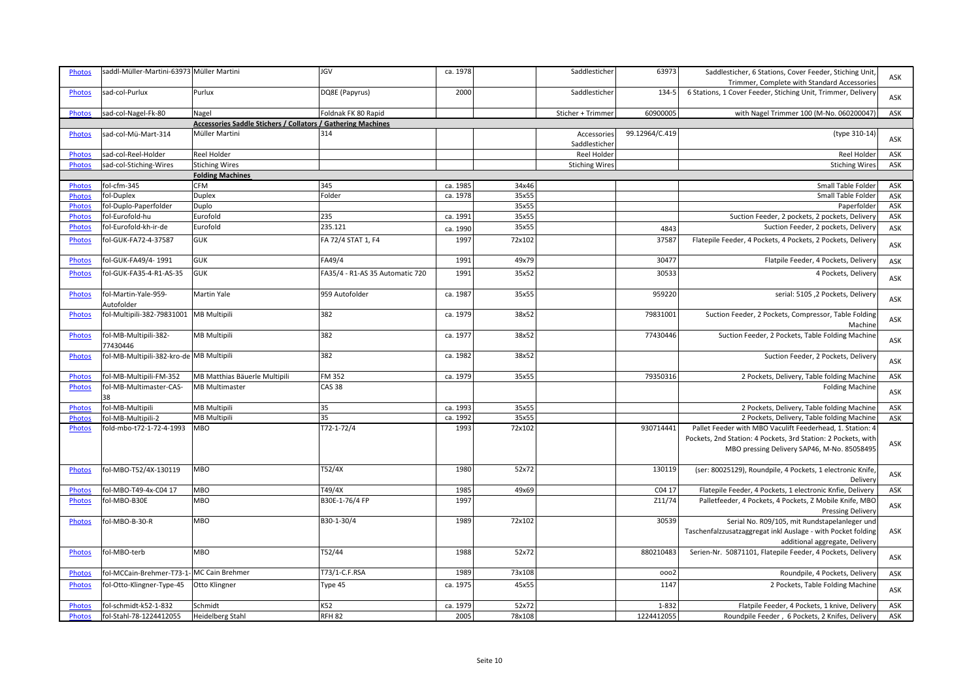| <b>Photos</b> | saddl-Müller-Martini-63973 Müller Martini |                                                              | <b>JGV</b>                      | ca. 1978 |        | Saddlesticher                | 63973          | Saddlesticher, 6 Stations, Cover Feeder, Stiching Unit,<br>Trimmer, Complete with Standard Accessories                     | ASK        |
|---------------|-------------------------------------------|--------------------------------------------------------------|---------------------------------|----------|--------|------------------------------|----------------|----------------------------------------------------------------------------------------------------------------------------|------------|
| Photos        | sad-col-Purlux                            | Purlux                                                       | DQ8E (Papyrus)                  | 2000     |        | Saddlesticher                | 134-5          | 6 Stations, 1 Cover Feeder, Stiching Unit, Trimmer, Delivery                                                               | <b>ASK</b> |
| Photos        | sad-col-Nagel-Fk-80                       | Nagel                                                        | Foldnak FK 80 Rapid             |          |        | Sticher + Trimmer            | 60900005       | with Nagel Trimmer 100 (M-No. 060200047)                                                                                   | ASK        |
|               |                                           | Accessories Saddle Stichers / Collators / Gathering Machines |                                 |          |        |                              |                |                                                                                                                            |            |
| <b>Photos</b> | sad-col-Mü-Mart-314                       | Müller Martini                                               | 314                             |          |        | Accessories<br>Saddlesticher | 99.12964/C.419 | (type 310-14)                                                                                                              | ASK        |
| <b>Photos</b> | sad-col-Reel-Holder                       | Reel Holder                                                  |                                 |          |        | Reel Holder                  |                | Reel Holder                                                                                                                | ASK        |
| <b>Photos</b> | sad-col-Stiching-Wires                    | <b>Stiching Wires</b>                                        |                                 |          |        | Stiching Wires               |                | <b>Stiching Wires</b>                                                                                                      | ASK        |
|               |                                           | <b>Folding Machines</b>                                      |                                 |          |        |                              |                |                                                                                                                            |            |
| Photos        | fol-cfm-345                               | <b>CFM</b>                                                   | 345                             | ca. 1985 | 34x46  |                              |                | Small Table Folder                                                                                                         | ASK        |
| Photos        | fol-Duplex                                | <b>Duplex</b>                                                | Folder                          | ca. 1978 | 35x55  |                              |                | Small Table Folder                                                                                                         | ASK        |
| <b>Photos</b> | fol-Duplo-Paperfolder                     | Duplo                                                        |                                 |          | 35x55  |                              |                | Paperfolder                                                                                                                | ASK        |
| Photos        | fol-Eurofold-hu                           | Eurofold                                                     | 235                             | ca. 1991 | 35x55  |                              |                | Suction Feeder, 2 pockets, 2 pockets, Delivery                                                                             | ASK        |
| Photos        | fol-Eurofold-kh-ir-de                     | Eurofold                                                     | 235.121                         | ca. 1990 | 35x55  |                              | 4843           | Suction Feeder, 2 pockets, Delivery                                                                                        | ASK        |
| <b>Photos</b> | fol-GUK-FA72-4-37587                      | <b>GUK</b>                                                   | FA 72/4 STAT 1, F4              | 1997     | 72x102 |                              | 3758           | Flatepile Feeder, 4 Pockets, 4 Pockets, 2 Pockets, Delivery                                                                | ASK        |
| Photos        | fol-GUK-FA49/4-1991                       | <b>GUK</b>                                                   | FA49/4                          | 1991     | 49x79  |                              | 30477          | Flatpile Feeder, 4 Pockets, Delivery                                                                                       | ASK        |
|               |                                           |                                                              |                                 | 1991     | 35x52  |                              | 30533          |                                                                                                                            |            |
| Photos        | fol-GUK-FA35-4-R1-AS-35                   | <b>GUK</b>                                                   | FA35/4 - R1-AS 35 Automatic 720 |          |        |                              |                | 4 Pockets, Delivery                                                                                                        | ASK        |
| Photos        | fol-Martin-Yale-959-<br>Autofolder        | Martin Yale                                                  | 959 Autofolder                  | ca. 1987 | 35x55  |                              | 959220         | serial: 5105, 2 Pockets, Delivery                                                                                          | ASK        |
| Photos        | fol-Multipili-382-79831001   MB Multipili |                                                              | 382                             | ca. 1979 | 38x52  |                              | 79831001       | Suction Feeder, 2 Pockets, Compressor, Table Folding<br>Machine                                                            | ASK        |
| Photos        | fol-MB-Multipili-382-<br>77430446         | <b>MB Multipili</b>                                          | 382                             | ca. 1977 | 38x52  |                              | 77430446       | Suction Feeder, 2 Pockets, Table Folding Machine                                                                           | ASK        |
| <b>Photos</b> | fol-MB-Multipili-382-kro-de MB Multipili  |                                                              | 382                             | ca. 1982 | 38x52  |                              |                | Suction Feeder, 2 Pockets, Delivery                                                                                        | ASK        |
| Photos        | fol-MB-Multipili-FM-352                   | MB Matthias Bäuerle Multipili                                | FM 352                          | ca. 1979 | 35x55  |                              | 79350316       | 2 Pockets, Delivery, Table folding Machine                                                                                 | ASK        |
| Photos        | fol-MB-Multimaster-CAS-<br>38             | <b>MB Multimaster</b>                                        | <b>CAS 38</b>                   |          |        |                              |                | <b>Folding Machine</b>                                                                                                     | ASK        |
| Photos        | fol-MB-Multipili                          | <b>MB Multipili</b>                                          | 35                              | ca. 1993 | 35x55  |                              |                | 2 Pockets, Delivery, Table folding Machine                                                                                 | ASK        |
| Photos        | fol-MB-Multipili-2                        | <b>MB Multipili</b>                                          | 35                              | ca. 1992 | 35x55  |                              |                | 2 Pockets, Delivery, Table folding Machine                                                                                 | ASK        |
| <b>Photos</b> | fold-mbo-t72-1-72-4-1993                  | <b>MBO</b>                                                   | T72-1-72/4                      | 1993     | 72x102 |                              | 930714441      | Pallet Feeder with MBO Vaculift Feederhead, 1. Station: 4<br>Pockets, 2nd Station: 4 Pockets, 3rd Station: 2 Pockets, with |            |
|               |                                           |                                                              |                                 |          |        |                              |                | MBO pressing Delivery SAP46, M-No. 85058495                                                                                | ASK        |
| Photos        | fol-MBO-T52/4X-130119                     | <b>MBO</b>                                                   | T52/4X                          | 1980     | 52x72  |                              | 130119         | (ser: 80025129), Roundpile, 4 Pockets, 1 electronic Knife,<br>Delivery                                                     | ASK        |
| Photos        | fol-MBO-T49-4x-C04 17                     | <b>MBO</b>                                                   | T49/4X                          | 1985     | 49x69  |                              | C04 17         | Flatepile Feeder, 4 Pockets, 1 electronic Knfie, Delivery                                                                  | ASK        |
| Photos        | fol-MBO-B30E                              | <b>MBO</b>                                                   | B30E-1-76/4 FP                  | 1997     |        |                              | Z11/74         | Palletfeeder, 4 Pockets, 4 Pockets, Z Mobile Knife, MBO<br>Pressing Delivery                                               | ASK        |
| <b>Photos</b> | fol-MBO-B-30-R                            | <b>MBO</b>                                                   | B30-1-30/4                      | 1989     | 72x102 |                              | 30539          | Serial No. R09/105, mit Rundstapelanleger und                                                                              |            |
|               |                                           |                                                              |                                 |          |        |                              |                | Taschenfalzzusatzaggregat inkl Auslage - with Pocket folding                                                               | ASK        |
|               |                                           |                                                              |                                 |          |        |                              |                | additional aggregate, Delivery                                                                                             |            |
| Photos        | fol-MBO-terb                              | <b>MBO</b>                                                   | T52/44                          | 1988     | 52x72  |                              | 880210483      | Serien-Nr. 50871101, Flatepile Feeder, 4 Pockets, Delivery                                                                 | ASK        |
| Photos        | fol-MCCain-Brehmer-T73-1- MC Cain Brehmer |                                                              | T73/1-C.F.RSA                   | 1989     | 73x108 |                              | 0002           | Roundpile, 4 Pockets, Delivery                                                                                             | ASK        |
| Photos        | fol-Otto-Klingner-Type-45                 | Otto Klingner                                                | Type 45                         | ca. 1975 | 45x55  |                              | 1147           | 2 Pockets, Table Folding Machine                                                                                           | ASK        |
| Photos        | fol-schmidt-k52-1-832                     | Schmidt                                                      | K52                             | ca. 1979 | 52x72  |                              | 1-832          | Flatpile Feeder, 4 Pockets, 1 knive, Delivery                                                                              | ASK        |
| Photos        | fol-Stahl-78-1224412055                   | Heidelberg Stahl                                             | RFH <sub>82</sub>               | 2005     | 78x108 |                              | 1224412055     | Roundpile Feeder, 6 Pockets, 2 Knifes, Delivery                                                                            | ASK        |
|               |                                           |                                                              |                                 |          |        |                              |                |                                                                                                                            |            |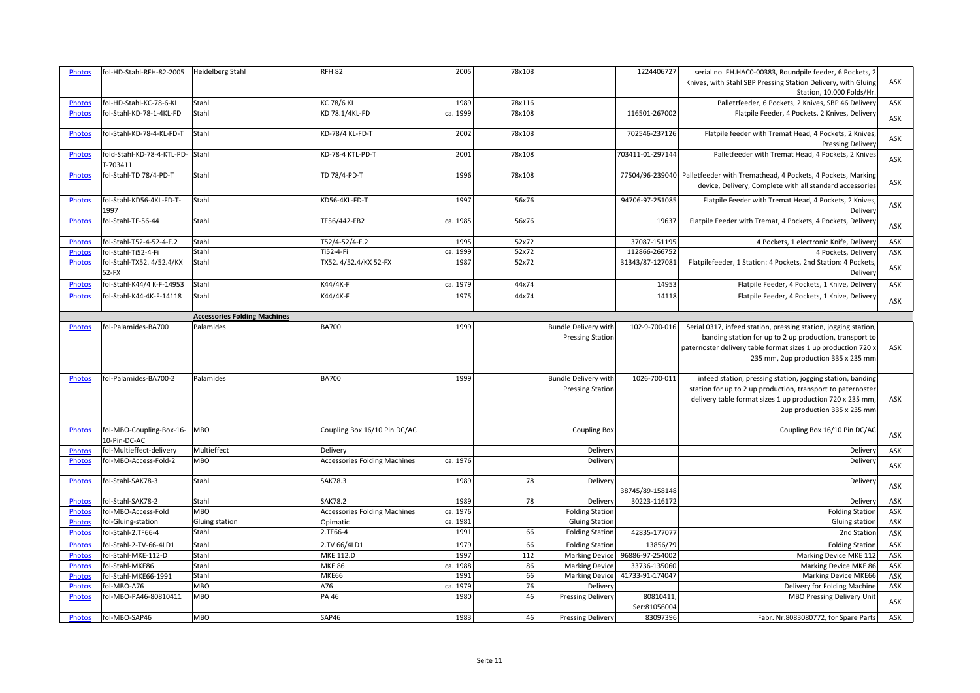| <b>Photos</b> | fol-HD-Stahl-RFH-82-2005                 | Heidelberg Stahl                    | <b>RFH 82</b>                       | 2005     | 78x108 |                                                        | 1224406727               | serial no. FH.HAC0-00383, Roundpile feeder, 6 Pockets, 2                                                                                                                                                                           |     |
|---------------|------------------------------------------|-------------------------------------|-------------------------------------|----------|--------|--------------------------------------------------------|--------------------------|------------------------------------------------------------------------------------------------------------------------------------------------------------------------------------------------------------------------------------|-----|
|               |                                          |                                     |                                     |          |        |                                                        |                          | Knives, with Stahl SBP Pressing Station Delivery, with Gluing                                                                                                                                                                      | ASK |
|               |                                          |                                     |                                     |          |        |                                                        |                          | Station, 10.000 Folds/Hr                                                                                                                                                                                                           |     |
| <b>Photos</b> | fol-HD-Stahl-KC-78-6-KL                  | Stahl                               | <b>KC 78/6 KL</b>                   | 1989     | 78x116 |                                                        |                          | Pallettfeeder, 6 Pockets, 2 Knives, SBP 46 Delivery                                                                                                                                                                                | ASK |
| <b>Photos</b> | fol-Stahl-KD-78-1-4KL-FD                 | Stahl                               | KD 78.1/4KL-FD                      | ca. 1999 | 78x108 |                                                        | 116501-267002            | Flatpile Feeder, 4 Pockets, 2 Knives, Delivery                                                                                                                                                                                     | ASK |
| <b>Photos</b> | fol-Stahl-KD-78-4-KL-FD-T                | <b>Stahl</b>                        | KD-78/4 KL-FD-T                     | 2002     | 78x108 |                                                        | 702546-237126            | Flatpile feeder with Tremat Head, 4 Pockets, 2 Knives,<br><b>Pressing Delivery</b>                                                                                                                                                 | ASK |
| <b>Photos</b> | fold-Stahl-KD-78-4-KTL-PD-<br>T-703411   | Stahl                               | KD-78-4 KTL-PD-T                    | 2001     | 78x108 |                                                        | 703411-01-297144         | Palletfeeder with Tremat Head, 4 Pockets, 2 Knives                                                                                                                                                                                 | ASK |
| Photos        | fol-Stahl-TD 78/4-PD-T                   | Stahl                               | TD 78/4-PD-T                        | 1996     | 78x108 |                                                        | 77504/96-239040          | Palletfeeder with Tremathead, 4 Pockets, 4 Pockets, Marking<br>device, Delivery, Complete with all standard accessories                                                                                                            | ASK |
| <b>Photos</b> | fol-Stahl-KD56-4KL-FD-T-<br>1997         | Stahl                               | KD56-4KL-FD-T                       | 1997     | 56x76  |                                                        | 94706-97-251085          | Flatpile Feeder with Tremat Head, 4 Pockets, 2 Knives,<br>Delivery                                                                                                                                                                 | ASK |
| Photos        | fol-Stahl-TF-56-44                       | Stahl                               | TF56/442-FB2                        | ca. 1985 | 56x76  |                                                        | 1963                     | Flatpile Feeder with Tremat, 4 Pockets, 4 Pockets, Delivery                                                                                                                                                                        | ASK |
| <b>Photos</b> | fol-Stahl-T52-4-52-4-F.2                 | Stahl                               | T52/4-52/4-F.2                      | 1995     | 52x72  |                                                        | 37087-151195             | 4 Pockets, 1 electronic Knife, Delivery                                                                                                                                                                                            | ASK |
| <b>Photos</b> | fol-Stahl-Ti52-4-Fi                      | Stahl                               | Ti52-4-Fi                           | ca. 1999 | 52x72  |                                                        | 112866-266752            | 4 Pockets, Delivery                                                                                                                                                                                                                | ASK |
| <b>Photos</b> | fol-Stahl-TX52. 4/52.4/KX<br>$52-FX$     | Stahl                               | TX52. 4/52.4/KX 52-FX               | 1987     | 52x72  |                                                        | 31343/87-127081          | Flatpilefeeder, 1 Station: 4 Pockets, 2nd Station: 4 Pockets,<br>Delivery                                                                                                                                                          | ASK |
| Photos        | fol-Stahl-K44/4 K-F-14953                | Stahl                               | K44/4K-F                            | ca. 1979 | 44x74  |                                                        | 14953                    | Flatpile Feeder, 4 Pockets, 1 Knive, Delivery                                                                                                                                                                                      | ASK |
| <b>Photos</b> | fol-Stahl-K44-4K-F-14118                 | Stahl                               | K44/4K-F                            | 1975     | 44x74  |                                                        | 14118                    | Flatpile Feeder, 4 Pockets, 1 Knive, Delivery                                                                                                                                                                                      | ASK |
|               |                                          | <b>Accessories Folding Machines</b> |                                     |          |        |                                                        |                          |                                                                                                                                                                                                                                    |     |
| Photos        | fol-Palamides-BA700                      | Palamides                           | <b>BA700</b>                        | 1999     |        | <b>Bundle Delivery with</b><br><b>Pressing Station</b> | 102-9-700-016            | Serial 0317, infeed station, pressing station, jogging station,<br>banding station for up to 2 up production, transport to<br>paternoster delivery table format sizes 1 up production 720 x<br>235 mm, 2up production 335 x 235 mm | ASK |
| Photos        | fol-Palamides-BA700-2                    | Palamides                           | <b>BA700</b>                        | 1999     |        | <b>Bundle Delivery with</b><br><b>Pressing Station</b> | 1026-700-011             | infeed station, pressing station, jogging station, banding<br>station for up to 2 up production, transport to paternoster<br>delivery table format sizes 1 up production 720 x 235 mm,<br>2up production 335 x 235 mm              | ASK |
| <b>Photos</b> | fol-MBO-Coupling-Box-16-<br>10-Pin-DC-AC | MBO                                 | Coupling Box 16/10 Pin DC/AC        |          |        | <b>Coupling Box</b>                                    |                          | Coupling Box 16/10 Pin DC/AC                                                                                                                                                                                                       | ASK |
| <b>Photos</b> | fol-Multieffect-delivery                 | Multieffect                         | Delivery                            |          |        | Delivery                                               |                          | Delivery                                                                                                                                                                                                                           | ASK |
| <b>Photos</b> | fol-MBO-Access-Fold-2                    | <b>MBO</b>                          | <b>Accessories Folding Machines</b> | ca. 1976 |        | Delivery                                               |                          | Delivery                                                                                                                                                                                                                           | ASK |
| <b>Photos</b> | fol-Stahl-SAK78-3                        | <b>Stahl</b>                        | <b>SAK78.3</b>                      | 1989     | 78     | Delivery                                               | 38745/89-158148          | Delivery                                                                                                                                                                                                                           | ASK |
| <b>Photos</b> | fol-Stahl-SAK78-2                        | Stahl                               | <b>SAK78.2</b>                      | 1989     | 78     | Delivery                                               | 30223-116172             | Delivery                                                                                                                                                                                                                           | ASK |
| Photos        | fol-MBO-Access-Fold                      | <b>MBO</b>                          | <b>Accessories Folding Machines</b> | ca. 1976 |        | <b>Folding Station</b>                                 |                          | <b>Folding Station</b>                                                                                                                                                                                                             | ASK |
| <b>Photos</b> | fol-Gluing-station                       | Gluing station                      | Opimatic                            | ca. 1981 |        | <b>Gluing Station</b>                                  |                          | Gluing station                                                                                                                                                                                                                     | ASK |
| <b>Photos</b> | fol-Stahl-2.TF66-4                       | <b>Stahl</b>                        | 2.TF66-4                            | 1991     | 66     | <b>Folding Station</b>                                 | 42835-177077             | 2nd Station                                                                                                                                                                                                                        | ASK |
| <b>Photos</b> | fol-Stahl-2-TV-66-4LD1                   | Stahl                               | 2.TV 66/4LD1                        | 1979     | 66     | <b>Folding Station</b>                                 | 13856/79                 | <b>Folding Station</b>                                                                                                                                                                                                             | ASK |
| <b>Photos</b> | fol-Stahl-MKE-112-D                      | Stahl                               | MKE 112.D                           | 1997     | 112    | <b>Marking Device</b>                                  | 96886-97-254002          | Marking Device MKE 112                                                                                                                                                                                                             | ASK |
| <b>Photos</b> | fol-Stahl-MKE86                          | <b>Stahl</b>                        | <b>MKE 86</b>                       | ca. 1988 | 86     | <b>Marking Device</b>                                  | 33736-135060             | Marking Device MKE 86                                                                                                                                                                                                              | ASK |
| <b>Photos</b> | fol-Stahl-MKE66-1991                     | Stahl                               | <b>MKE66</b>                        | 1991     | 66     | <b>Marking Device</b>                                  | 41733-91-174047          | Marking Device MKE66                                                                                                                                                                                                               | ASK |
| <b>Photos</b> | fol-MBO-A76                              | <b>MBO</b>                          | A76                                 | ca. 1979 | 76     | Delivery                                               |                          | Delivery for Folding Machine                                                                                                                                                                                                       | ASK |
| <b>Photos</b> | fol-MBO-PA46-80810411                    | <b>MBO</b>                          | <b>PA 46</b>                        | 1980     | 46     | <b>Pressing Delivery</b>                               | 80810411<br>Ser:81056004 | <b>MBO Pressing Delivery Unit</b>                                                                                                                                                                                                  | ASK |
| <b>Photos</b> | fol-MBO-SAP46                            | <b>MBO</b>                          | SAP46                               | 1983     | 46     | <b>Pressing Delivery</b>                               | 83097396                 | Fabr. Nr.8083080772, for Spare Parts                                                                                                                                                                                               | ASK |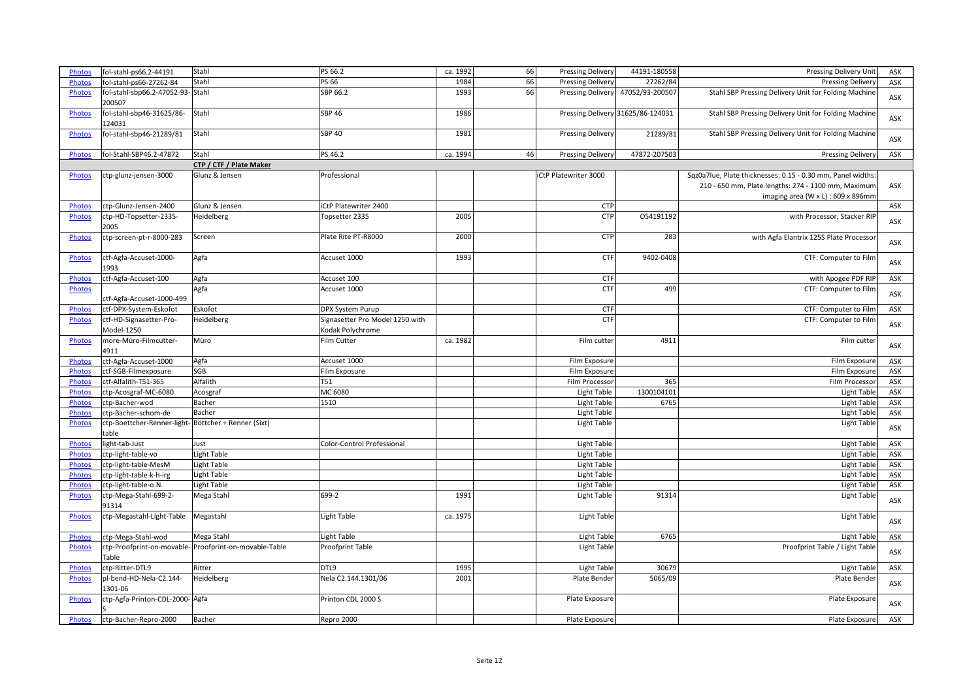| Photos        | fol-stahl-ps66.2-44191                                       | Stahl                                                 | PS 66.2                                             | ca. 1992 | 66 | <b>Pressing Delivery</b> | 44191-180558                      | Pressing Delivery Unit                                                                    | ASK |
|---------------|--------------------------------------------------------------|-------------------------------------------------------|-----------------------------------------------------|----------|----|--------------------------|-----------------------------------|-------------------------------------------------------------------------------------------|-----|
| <b>Photos</b> | fol-stahl-ps66-27262-84                                      | Stahl                                                 | PS 66                                               | 1984     | 66 | <b>Pressing Delivery</b> | 27262/84                          | <b>Pressing Delivery</b>                                                                  | ASK |
| <b>Photos</b> | fol-stahl-sbp66.2-47052-93-Stahl<br>200507                   |                                                       | SBP 66.2                                            | 1993     | 66 | Pressing Delivery        | 47052/93-200507                   | Stahl SBP Pressing Delivery Unit for Folding Machine                                      | ASK |
| <b>Photos</b> | fol-stahl-sbp46-31625/86-<br>124031                          | Stahl                                                 | <b>SBP 46</b>                                       | 1986     |    |                          | Pressing Delivery 31625/86-124031 | Stahl SBP Pressing Delivery Unit for Folding Machine                                      | ASK |
| Photos        | fol-stahl-sbp46-21289/81                                     | Stahl                                                 | <b>SBP 40</b>                                       | 1981     |    | <b>Pressing Delivery</b> | 21289/81                          | Stahl SBP Pressing Delivery Unit for Folding Machine                                      | ASK |
| Photos        | fol-Stahl-SBP46.2-47872                                      | Stahl                                                 | PS 46.2                                             | ca. 1994 | 46 | <b>Pressing Delivery</b> | 47872-207503                      | <b>Pressing Delivery</b>                                                                  | ASK |
|               |                                                              | CTP / CTF / Plate Maker                               |                                                     |          |    |                          |                                   |                                                                                           |     |
| Photos        | ctp-glunz-jensen-3000                                        | Glunz & Jensen                                        | Professional                                        |          |    | iCtP Platewriter 3000    |                                   | Sqz0a7lue, Plate thicknesses: 0.15 - 0.30 mm, Panel widths:                               |     |
|               |                                                              |                                                       |                                                     |          |    |                          |                                   | 210 - 650 mm, Plate lengths: 274 - 1100 mm, Maximum<br>imaging area (W x L) : 609 x 896mm | ASK |
| <b>Photos</b> | ctp-Glunz-Jensen-2400                                        | Glunz & Jensen                                        | iCtP Platewriter 2400                               |          |    | CTP                      |                                   |                                                                                           | ASK |
| <b>Photos</b> | ctp-HD-Topsetter-2335-<br>2005                               | Heidelberg                                            | Topsetter 2335                                      | 2005     |    | CTP                      | 054191192                         | with Processor, Stacker RIP                                                               | ASK |
| Photos        | ctp-screen-pt-r-8000-283                                     | Screen                                                | Plate Rite PT-R8000                                 | 2000     |    | <b>CTP</b>               | 283                               | with Agfa Elantrix 125S Plate Processor                                                   | ASK |
| <b>Photos</b> | ctf-Agfa-Accuset-1000-<br>1993                               | Agfa                                                  | Accuset 1000                                        | 1993     |    | <b>CTF</b>               | 9402-0408                         | CTF: Computer to Film                                                                     | ASK |
| <b>Photos</b> | ctf-Agfa-Accuset-100                                         | Agfa                                                  | Accuset 100                                         |          |    | <b>CTF</b>               |                                   | with Apogee PDF RIP                                                                       | ASK |
| <b>Photos</b> |                                                              | Agfa                                                  | Accuset 1000                                        |          |    | <b>CTF</b>               | 499                               | CTF: Computer to Film                                                                     |     |
|               | ctf-Agfa-Accuset-1000-499                                    |                                                       |                                                     |          |    |                          |                                   |                                                                                           | ASK |
| <b>Photos</b> | ctf-DPX-System-Eskofot                                       | Eskofot                                               | DPX System Purup                                    |          |    | <b>CTF</b>               |                                   | CTF: Computer to Film                                                                     | ASK |
| Photos        | ctf-HD-Signasetter-Pro-<br>Model-1250                        | Heidelberg                                            | Signasetter Pro Model 1250 with<br>Kodak Polychrome |          |    | <b>CTF</b>               |                                   | CTF: Computer to Film                                                                     | ASK |
| Photos        | more-Müro-Filmcutter-<br>4911                                | Müro                                                  | Film Cutter                                         | ca. 1982 |    | Film cutter              | 4911                              | Film cutter                                                                               | ASK |
| Photos        | ctf-Agfa-Accuset-1000                                        | Agfa                                                  | Accuset 1000                                        |          |    | Film Exposure            |                                   | Film Exposure                                                                             | ASK |
| Photos        | ctf-SGB-Filmexposure                                         | SGB                                                   | Film Exposure                                       |          |    | Film Exposure            |                                   | Film Exposure                                                                             | ASK |
| Photos        | ctf-Alfalith-T51-365                                         | Alfalith                                              | <b>T51</b>                                          |          |    | Film Processor           | 365                               | Film Processor                                                                            | ASK |
| Photos        | ctp-Acosgraf-MC-6080                                         | Acosgraf                                              | MC 6080                                             |          |    | Light Table              | 1300104101                        | Light Table                                                                               | ASK |
| Photos        | ctp-Bacher-wod                                               | Bacher                                                | 1510                                                |          |    | Light Table              | 6765                              | Light Table                                                                               | ASK |
| <b>Photos</b> | ctp-Bacher-schom-de                                          | Bacher                                                |                                                     |          |    | Light Table              |                                   | Light Table                                                                               | ASK |
| <b>Photos</b> | ctp-Boettcher-Renner-light-Böttcher + Renner (Sixt)<br>table |                                                       |                                                     |          |    | Light Table              |                                   | Light Table                                                                               | ASK |
| <b>Photos</b> | light-tab-Just                                               | Just                                                  | Color-Control Professional                          |          |    | Light Table              |                                   | Light Table                                                                               | ASK |
| Photos        | ctp-light-table-vo                                           | Light Table                                           |                                                     |          |    | Light Table              |                                   | Light Table                                                                               | ASK |
| Photos        | ctp-light-table-MesM                                         | Light Table                                           |                                                     |          |    | Light Table              |                                   | Light Table                                                                               | ASK |
| <b>Photos</b> | ctp-light-table-k-h-irg                                      | Light Table                                           |                                                     |          |    | Light Table              |                                   | Light Table                                                                               | ASK |
| <b>Photos</b> | ctp-light-table-o.N.                                         | Light Table                                           |                                                     |          |    | Light Table              |                                   | <b>Light Table</b>                                                                        | ASK |
| <b>Photos</b> | ctp-Mega-Stahl-699-2-<br>91314                               | Mega Stahl                                            | 699-2                                               | 1991     |    | Light Table              | 91314                             | Light Table                                                                               | ASK |
| <b>Photos</b> | ctp-Megastahl-Light-Table                                    | Megastahl                                             | Light Table                                         | ca. 1975 |    | Light Table              |                                   | Light Table                                                                               | ASK |
| <b>Photos</b> | ctp-Mega-Stahl-wod                                           | Mega Stahl                                            | Light Table                                         |          |    | <b>Light Table</b>       | 6765                              | Light Table                                                                               | ASK |
| <b>Photos</b> | Table                                                        | ctp-Proofprint-on-movable-Proofprint-on-movable-Table | Proofprint Table                                    |          |    | Light Table              |                                   | Proofprint Table / Light Table                                                            | ASK |
| Photos        | ctp-Ritter-DTL9                                              | Ritter                                                | DTL9                                                | 1995     |    | <b>Light Table</b>       | 30679                             | Light Table                                                                               | ASK |
| Photos        | pl-bend-HD-Nela-C2.144-<br>1301-06                           | Heidelberg                                            | Nela C2.144.1301/06                                 | 2001     |    | Plate Bender             | 5065/09                           | Plate Bender                                                                              | ASK |
| <b>Photos</b> | ctp-Agfa-Printon-CDL-2000-Agfa                               |                                                       | Printon CDL 2000 S                                  |          |    | Plate Exposure           |                                   | Plate Exposure                                                                            | ASK |
| Photos        | ctp-Bacher-Repro-2000                                        | Bacher                                                | Repro 2000                                          |          |    | Plate Exposure           |                                   | Plate Exposure                                                                            | ASK |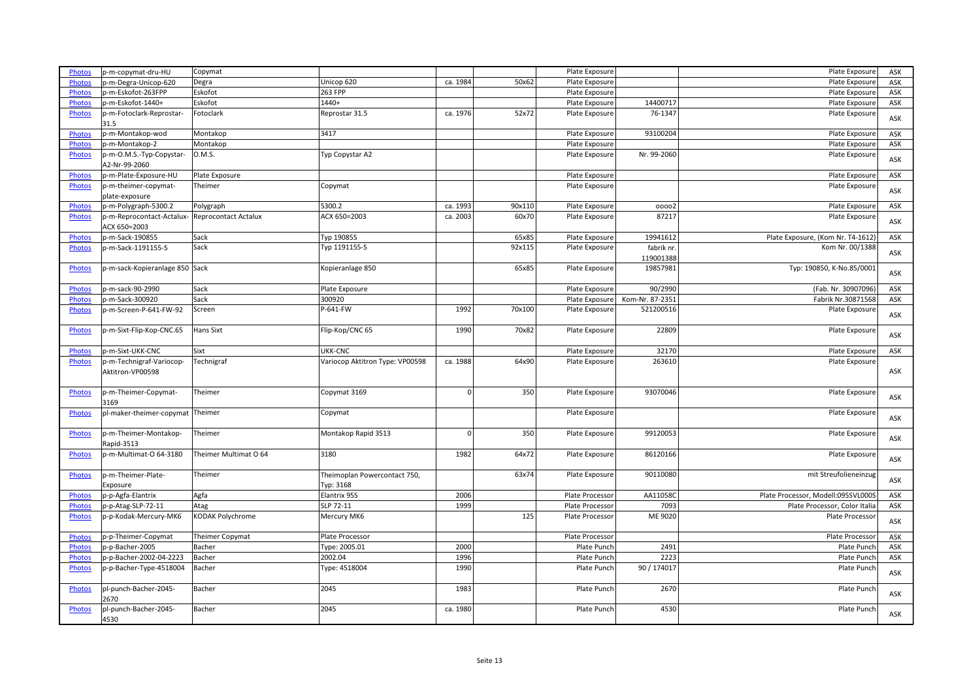| Unicop 620<br>ca. 1984<br>50x62<br>Plate Exposure<br>Plate Exposure<br>p-m-Degra-Unicop-620<br>Degra<br>ASK<br><b>Photos</b><br>263 FPP<br>p-m-Eskofot-263FPP<br>Eskofot<br>Plate Exposure<br>ASK<br><b>Photos</b><br>Plate Exposure<br>p-m-Eskofot-1440+<br>Eskofot<br>1440+<br>14400717<br>Plate Exposure<br>Plate Exposure<br>ASK<br><b>Photos</b><br>Reprostar 31.5<br>ca. 1976<br>52x72<br>Plate Exposure<br>76-1347<br>Plate Exposure<br>Fotoclark<br>p-m-Fotoclark-Reprostar-<br><b>Photos</b><br>ASK<br>31.5<br>p-m-Montakop-wod<br>3417<br>93100204<br><b>Photos</b><br>Montakop<br>Plate Exposure<br>Plate Exposure<br>ASK<br>Montakop<br>Plate Exposure<br>Plate Exposure<br>p-m-Montakop-2<br><b>Photos</b><br>ASK<br>0.M.S.<br>Typ Copystar A2<br>Plate Exposure<br>Nr. 99-2060<br>p-m-O.M.S.-Typ-Copystar-<br>Plate Exposure<br><b>Photos</b><br>ASK<br>A2-Nr-99-2060<br>ASK<br><b>Photos</b><br>p-m-Plate-Exposure-HU<br>Plate Exposure<br>Plate Exposure<br>Plate Exposure<br>Plate Exposure<br>Plate Exposure<br>p-m-theimer-copymat-<br>Theimer<br>Copymat<br><b>Photos</b><br>ASK<br>plate-exposure<br>90x110<br>Plate Exposure<br><b>Photos</b><br>p-m-Polygraph-5300.2<br>Polygraph<br>5300.2<br>ca. 1993<br>Plate Exposure<br>ASK<br>00002<br>ACX 650=2003<br>87217<br>ca. 2003<br>60x70<br>Plate Exposure<br><b>Reprocontact Actalux</b><br>Plate Exposure<br><b>Photos</b><br>p-m-Reprocontact-Actalux-<br>ASK<br>ACX 650=2003<br>p-m-Sack-190855<br>Plate Exposure<br>19941612<br>Plate Exposure, (Kom Nr. T4-1612)<br>Sack<br>Typ 190855<br>65x85<br>ASK<br><b>Photos</b><br>Sack<br>Typ 1191155-S<br>92x115<br>Plate Exposure<br>Kom Nr. 00/1388<br>p-m-Sack-1191155-S<br>fabrik nr<br><b>Photos</b><br>ASK<br>119001388<br>19857981<br>Typ: 190850, K-No.85/0001<br><b>Photos</b><br>p-m-sack-Kopieranlage 850 Sack<br>Kopieranlage 850<br>65x85<br>Plate Exposure<br>ASK<br>p-m-sack-90-2990<br>90/2990<br><b>Photos</b><br>Sack<br>Plate Exposure<br>Plate Exposure<br>(Fab. Nr. 30907096)<br>ASK<br>Sack<br>p-m-Sack-300920<br>300920<br>Plate Exposure<br>Kom-Nr. 87-2351<br>Fabrik Nr.30871568<br>ASK<br><b>Photos</b><br>P-641-FW<br>p-m-Screen-P-641-FW-92<br>1992<br>70×100<br>521200516<br><b>Photos</b><br>Screen<br>Plate Exposure<br>Plate Exposure<br>ASK<br>1990<br>70x82<br>22809<br><b>Photos</b><br>p-m-Sixt-Flip-Kop-CNC.65<br><b>Hans Sixt</b><br>Flip-Kop/CNC 65<br>Plate Exposure<br>Plate Exposure<br>ASK<br>Sixt<br>UKK-CNC<br>Plate Exposure<br>32170<br>p-m-Sixt-UKK-CNC<br>Plate Exposure<br>ASK<br><b>Photos</b><br>263610<br>p-m-Technigraf-Variocop-<br>Technigraf<br>Variocop Aktitron Type: VP00598<br>ca. 1988<br>64x90<br>Plate Exposure<br>Plate Exposure<br><b>Photos</b><br>Aktitron-VP00598<br>ASK<br>Theimer<br>O<br>350<br>93070046<br><b>Photos</b><br>p-m-Theimer-Copymat-<br>Copymat 3169<br>Plate Exposure<br>Plate Exposure<br>ASK<br>3169<br><b>Photos</b><br>pl-maker-theimer-copymat<br>Theimer<br>Plate Exposure<br>Plate Exposure<br>Copymat<br>ASK<br>350<br>99120053<br><b>Photos</b><br>p-m-Theimer-Montakop-<br>Theimer<br>Montakop Rapid 3513<br>Plate Exposure<br>Plate Exposure<br>ASK<br>Rapid-3513<br>p-m-Multimat-O 64-3180<br>Theimer Multimat O 64<br>3180<br>1982<br>64x72<br>86120166<br><b>Photos</b><br>Plate Exposure<br>Plate Exposure<br>ASK<br>63x74<br>90110080<br>mit Streufolieneinzug<br><b>Photos</b><br>p-m-Theimer-Plate-<br>Theimer<br>Theimoplan Powercontact 750,<br>Plate Exposure<br>ASK<br>Exposure<br>Тур: 3168<br>p-p-Agfa-Elantrix<br>Agfa<br>Elantrix 95S<br>2006<br>AA110580<br><b>Photos</b><br>Plate Processor<br>Plate Processor, Modell:095SVL000S<br>ASK<br>1999<br>SLP 72-11<br>7093<br>Plate Processor<br>Plate Processor, Color Italia<br>p-p-Atag-SLP-72-11<br>Atag<br>ASK<br><b>Photos</b><br>p-p-Kodak-Mercury-MK6<br>KODAK Polychrome<br>125<br>ME 9020<br><b>Photos</b><br>Mercury MK6<br>Plate Processor<br>Plate Processor<br>ASK<br>Plate Processor<br>Plate Processor<br>Plate Processor<br>p-p-Theimer-Copymat<br><b>Theimer Copymat</b><br>ASK<br><b>Photos</b><br>p-p-Bacher-2005<br>2000<br>2491<br><b>Photos</b><br>Bacher<br>Type: 2005.01<br>Plate Punch<br>Plate Punch<br>ASK<br>2002.04<br>1996<br>2223<br>p-p-Bacher-2002-04-2223<br>Bacher<br>Plate Punch<br>Plate Punch<br>ASK<br><b>Photos</b><br>p-p-Bacher-Type-4518004<br>1990<br>90 / 174017<br><b>Photos</b><br>Bacher<br>Type: 4518004<br>Plate Punch<br>Plate Punch<br>ASK<br>pl-punch-Bacher-2045-<br>Bacher<br>2045<br>1983<br>2670<br><b>Photos</b><br>Plate Punch<br>Plate Punch<br>ASK<br>2670<br>Bacher<br>2045<br>ca. 1980<br>4530<br>Plate Punch<br><b>Photos</b><br>pl-punch-Bacher-2045-<br>Plate Punch<br>ASK<br>4530 |               |                    |         |  |                |                |     |
|------------------------------------------------------------------------------------------------------------------------------------------------------------------------------------------------------------------------------------------------------------------------------------------------------------------------------------------------------------------------------------------------------------------------------------------------------------------------------------------------------------------------------------------------------------------------------------------------------------------------------------------------------------------------------------------------------------------------------------------------------------------------------------------------------------------------------------------------------------------------------------------------------------------------------------------------------------------------------------------------------------------------------------------------------------------------------------------------------------------------------------------------------------------------------------------------------------------------------------------------------------------------------------------------------------------------------------------------------------------------------------------------------------------------------------------------------------------------------------------------------------------------------------------------------------------------------------------------------------------------------------------------------------------------------------------------------------------------------------------------------------------------------------------------------------------------------------------------------------------------------------------------------------------------------------------------------------------------------------------------------------------------------------------------------------------------------------------------------------------------------------------------------------------------------------------------------------------------------------------------------------------------------------------------------------------------------------------------------------------------------------------------------------------------------------------------------------------------------------------------------------------------------------------------------------------------------------------------------------------------------------------------------------------------------------------------------------------------------------------------------------------------------------------------------------------------------------------------------------------------------------------------------------------------------------------------------------------------------------------------------------------------------------------------------------------------------------------------------------------------------------------------------------------------------------------------------------------------------------------------------------------------------------------------------------------------------------------------------------------------------------------------------------------------------------------------------------------------------------------------------------------------------------------------------------------------------------------------------------------------------------------------------------------------------------------------------------------------------------------------------------------------------------------------------------------------------------------------------------------------------------------------------------------------------------------------------------------------------------------------------------------------------------------------------------------------------------------------------------------------------------------------------------------------------------------------------------------------------------------------------------------------------------------------------------------------------------------------------------------------------------------------------------------------------------------------------------------------------------------------------------------------------------------------------------------------------------------------------------------------------------------------------------------------------------------------------------------------------------------|---------------|--------------------|---------|--|----------------|----------------|-----|
|                                                                                                                                                                                                                                                                                                                                                                                                                                                                                                                                                                                                                                                                                                                                                                                                                                                                                                                                                                                                                                                                                                                                                                                                                                                                                                                                                                                                                                                                                                                                                                                                                                                                                                                                                                                                                                                                                                                                                                                                                                                                                                                                                                                                                                                                                                                                                                                                                                                                                                                                                                                                                                                                                                                                                                                                                                                                                                                                                                                                                                                                                                                                                                                                                                                                                                                                                                                                                                                                                                                                                                                                                                                                                                                                                                                                                                                                                                                                                                                                                                                                                                                                                                                                                                                                                                                                                                                                                                                                                                                                                                                                                                                                                                                                          | <b>Photos</b> | p-m-copymat-dru-HU | Copymat |  | Plate Exposure | Plate Exposure | ASK |
|                                                                                                                                                                                                                                                                                                                                                                                                                                                                                                                                                                                                                                                                                                                                                                                                                                                                                                                                                                                                                                                                                                                                                                                                                                                                                                                                                                                                                                                                                                                                                                                                                                                                                                                                                                                                                                                                                                                                                                                                                                                                                                                                                                                                                                                                                                                                                                                                                                                                                                                                                                                                                                                                                                                                                                                                                                                                                                                                                                                                                                                                                                                                                                                                                                                                                                                                                                                                                                                                                                                                                                                                                                                                                                                                                                                                                                                                                                                                                                                                                                                                                                                                                                                                                                                                                                                                                                                                                                                                                                                                                                                                                                                                                                                                          |               |                    |         |  |                |                |     |
|                                                                                                                                                                                                                                                                                                                                                                                                                                                                                                                                                                                                                                                                                                                                                                                                                                                                                                                                                                                                                                                                                                                                                                                                                                                                                                                                                                                                                                                                                                                                                                                                                                                                                                                                                                                                                                                                                                                                                                                                                                                                                                                                                                                                                                                                                                                                                                                                                                                                                                                                                                                                                                                                                                                                                                                                                                                                                                                                                                                                                                                                                                                                                                                                                                                                                                                                                                                                                                                                                                                                                                                                                                                                                                                                                                                                                                                                                                                                                                                                                                                                                                                                                                                                                                                                                                                                                                                                                                                                                                                                                                                                                                                                                                                                          |               |                    |         |  |                |                |     |
|                                                                                                                                                                                                                                                                                                                                                                                                                                                                                                                                                                                                                                                                                                                                                                                                                                                                                                                                                                                                                                                                                                                                                                                                                                                                                                                                                                                                                                                                                                                                                                                                                                                                                                                                                                                                                                                                                                                                                                                                                                                                                                                                                                                                                                                                                                                                                                                                                                                                                                                                                                                                                                                                                                                                                                                                                                                                                                                                                                                                                                                                                                                                                                                                                                                                                                                                                                                                                                                                                                                                                                                                                                                                                                                                                                                                                                                                                                                                                                                                                                                                                                                                                                                                                                                                                                                                                                                                                                                                                                                                                                                                                                                                                                                                          |               |                    |         |  |                |                |     |
|                                                                                                                                                                                                                                                                                                                                                                                                                                                                                                                                                                                                                                                                                                                                                                                                                                                                                                                                                                                                                                                                                                                                                                                                                                                                                                                                                                                                                                                                                                                                                                                                                                                                                                                                                                                                                                                                                                                                                                                                                                                                                                                                                                                                                                                                                                                                                                                                                                                                                                                                                                                                                                                                                                                                                                                                                                                                                                                                                                                                                                                                                                                                                                                                                                                                                                                                                                                                                                                                                                                                                                                                                                                                                                                                                                                                                                                                                                                                                                                                                                                                                                                                                                                                                                                                                                                                                                                                                                                                                                                                                                                                                                                                                                                                          |               |                    |         |  |                |                |     |
|                                                                                                                                                                                                                                                                                                                                                                                                                                                                                                                                                                                                                                                                                                                                                                                                                                                                                                                                                                                                                                                                                                                                                                                                                                                                                                                                                                                                                                                                                                                                                                                                                                                                                                                                                                                                                                                                                                                                                                                                                                                                                                                                                                                                                                                                                                                                                                                                                                                                                                                                                                                                                                                                                                                                                                                                                                                                                                                                                                                                                                                                                                                                                                                                                                                                                                                                                                                                                                                                                                                                                                                                                                                                                                                                                                                                                                                                                                                                                                                                                                                                                                                                                                                                                                                                                                                                                                                                                                                                                                                                                                                                                                                                                                                                          |               |                    |         |  |                |                |     |
|                                                                                                                                                                                                                                                                                                                                                                                                                                                                                                                                                                                                                                                                                                                                                                                                                                                                                                                                                                                                                                                                                                                                                                                                                                                                                                                                                                                                                                                                                                                                                                                                                                                                                                                                                                                                                                                                                                                                                                                                                                                                                                                                                                                                                                                                                                                                                                                                                                                                                                                                                                                                                                                                                                                                                                                                                                                                                                                                                                                                                                                                                                                                                                                                                                                                                                                                                                                                                                                                                                                                                                                                                                                                                                                                                                                                                                                                                                                                                                                                                                                                                                                                                                                                                                                                                                                                                                                                                                                                                                                                                                                                                                                                                                                                          |               |                    |         |  |                |                |     |
|                                                                                                                                                                                                                                                                                                                                                                                                                                                                                                                                                                                                                                                                                                                                                                                                                                                                                                                                                                                                                                                                                                                                                                                                                                                                                                                                                                                                                                                                                                                                                                                                                                                                                                                                                                                                                                                                                                                                                                                                                                                                                                                                                                                                                                                                                                                                                                                                                                                                                                                                                                                                                                                                                                                                                                                                                                                                                                                                                                                                                                                                                                                                                                                                                                                                                                                                                                                                                                                                                                                                                                                                                                                                                                                                                                                                                                                                                                                                                                                                                                                                                                                                                                                                                                                                                                                                                                                                                                                                                                                                                                                                                                                                                                                                          |               |                    |         |  |                |                |     |
|                                                                                                                                                                                                                                                                                                                                                                                                                                                                                                                                                                                                                                                                                                                                                                                                                                                                                                                                                                                                                                                                                                                                                                                                                                                                                                                                                                                                                                                                                                                                                                                                                                                                                                                                                                                                                                                                                                                                                                                                                                                                                                                                                                                                                                                                                                                                                                                                                                                                                                                                                                                                                                                                                                                                                                                                                                                                                                                                                                                                                                                                                                                                                                                                                                                                                                                                                                                                                                                                                                                                                                                                                                                                                                                                                                                                                                                                                                                                                                                                                                                                                                                                                                                                                                                                                                                                                                                                                                                                                                                                                                                                                                                                                                                                          |               |                    |         |  |                |                |     |
|                                                                                                                                                                                                                                                                                                                                                                                                                                                                                                                                                                                                                                                                                                                                                                                                                                                                                                                                                                                                                                                                                                                                                                                                                                                                                                                                                                                                                                                                                                                                                                                                                                                                                                                                                                                                                                                                                                                                                                                                                                                                                                                                                                                                                                                                                                                                                                                                                                                                                                                                                                                                                                                                                                                                                                                                                                                                                                                                                                                                                                                                                                                                                                                                                                                                                                                                                                                                                                                                                                                                                                                                                                                                                                                                                                                                                                                                                                                                                                                                                                                                                                                                                                                                                                                                                                                                                                                                                                                                                                                                                                                                                                                                                                                                          |               |                    |         |  |                |                |     |
|                                                                                                                                                                                                                                                                                                                                                                                                                                                                                                                                                                                                                                                                                                                                                                                                                                                                                                                                                                                                                                                                                                                                                                                                                                                                                                                                                                                                                                                                                                                                                                                                                                                                                                                                                                                                                                                                                                                                                                                                                                                                                                                                                                                                                                                                                                                                                                                                                                                                                                                                                                                                                                                                                                                                                                                                                                                                                                                                                                                                                                                                                                                                                                                                                                                                                                                                                                                                                                                                                                                                                                                                                                                                                                                                                                                                                                                                                                                                                                                                                                                                                                                                                                                                                                                                                                                                                                                                                                                                                                                                                                                                                                                                                                                                          |               |                    |         |  |                |                |     |
|                                                                                                                                                                                                                                                                                                                                                                                                                                                                                                                                                                                                                                                                                                                                                                                                                                                                                                                                                                                                                                                                                                                                                                                                                                                                                                                                                                                                                                                                                                                                                                                                                                                                                                                                                                                                                                                                                                                                                                                                                                                                                                                                                                                                                                                                                                                                                                                                                                                                                                                                                                                                                                                                                                                                                                                                                                                                                                                                                                                                                                                                                                                                                                                                                                                                                                                                                                                                                                                                                                                                                                                                                                                                                                                                                                                                                                                                                                                                                                                                                                                                                                                                                                                                                                                                                                                                                                                                                                                                                                                                                                                                                                                                                                                                          |               |                    |         |  |                |                |     |
|                                                                                                                                                                                                                                                                                                                                                                                                                                                                                                                                                                                                                                                                                                                                                                                                                                                                                                                                                                                                                                                                                                                                                                                                                                                                                                                                                                                                                                                                                                                                                                                                                                                                                                                                                                                                                                                                                                                                                                                                                                                                                                                                                                                                                                                                                                                                                                                                                                                                                                                                                                                                                                                                                                                                                                                                                                                                                                                                                                                                                                                                                                                                                                                                                                                                                                                                                                                                                                                                                                                                                                                                                                                                                                                                                                                                                                                                                                                                                                                                                                                                                                                                                                                                                                                                                                                                                                                                                                                                                                                                                                                                                                                                                                                                          |               |                    |         |  |                |                |     |
|                                                                                                                                                                                                                                                                                                                                                                                                                                                                                                                                                                                                                                                                                                                                                                                                                                                                                                                                                                                                                                                                                                                                                                                                                                                                                                                                                                                                                                                                                                                                                                                                                                                                                                                                                                                                                                                                                                                                                                                                                                                                                                                                                                                                                                                                                                                                                                                                                                                                                                                                                                                                                                                                                                                                                                                                                                                                                                                                                                                                                                                                                                                                                                                                                                                                                                                                                                                                                                                                                                                                                                                                                                                                                                                                                                                                                                                                                                                                                                                                                                                                                                                                                                                                                                                                                                                                                                                                                                                                                                                                                                                                                                                                                                                                          |               |                    |         |  |                |                |     |
|                                                                                                                                                                                                                                                                                                                                                                                                                                                                                                                                                                                                                                                                                                                                                                                                                                                                                                                                                                                                                                                                                                                                                                                                                                                                                                                                                                                                                                                                                                                                                                                                                                                                                                                                                                                                                                                                                                                                                                                                                                                                                                                                                                                                                                                                                                                                                                                                                                                                                                                                                                                                                                                                                                                                                                                                                                                                                                                                                                                                                                                                                                                                                                                                                                                                                                                                                                                                                                                                                                                                                                                                                                                                                                                                                                                                                                                                                                                                                                                                                                                                                                                                                                                                                                                                                                                                                                                                                                                                                                                                                                                                                                                                                                                                          |               |                    |         |  |                |                |     |
|                                                                                                                                                                                                                                                                                                                                                                                                                                                                                                                                                                                                                                                                                                                                                                                                                                                                                                                                                                                                                                                                                                                                                                                                                                                                                                                                                                                                                                                                                                                                                                                                                                                                                                                                                                                                                                                                                                                                                                                                                                                                                                                                                                                                                                                                                                                                                                                                                                                                                                                                                                                                                                                                                                                                                                                                                                                                                                                                                                                                                                                                                                                                                                                                                                                                                                                                                                                                                                                                                                                                                                                                                                                                                                                                                                                                                                                                                                                                                                                                                                                                                                                                                                                                                                                                                                                                                                                                                                                                                                                                                                                                                                                                                                                                          |               |                    |         |  |                |                |     |
|                                                                                                                                                                                                                                                                                                                                                                                                                                                                                                                                                                                                                                                                                                                                                                                                                                                                                                                                                                                                                                                                                                                                                                                                                                                                                                                                                                                                                                                                                                                                                                                                                                                                                                                                                                                                                                                                                                                                                                                                                                                                                                                                                                                                                                                                                                                                                                                                                                                                                                                                                                                                                                                                                                                                                                                                                                                                                                                                                                                                                                                                                                                                                                                                                                                                                                                                                                                                                                                                                                                                                                                                                                                                                                                                                                                                                                                                                                                                                                                                                                                                                                                                                                                                                                                                                                                                                                                                                                                                                                                                                                                                                                                                                                                                          |               |                    |         |  |                |                |     |
|                                                                                                                                                                                                                                                                                                                                                                                                                                                                                                                                                                                                                                                                                                                                                                                                                                                                                                                                                                                                                                                                                                                                                                                                                                                                                                                                                                                                                                                                                                                                                                                                                                                                                                                                                                                                                                                                                                                                                                                                                                                                                                                                                                                                                                                                                                                                                                                                                                                                                                                                                                                                                                                                                                                                                                                                                                                                                                                                                                                                                                                                                                                                                                                                                                                                                                                                                                                                                                                                                                                                                                                                                                                                                                                                                                                                                                                                                                                                                                                                                                                                                                                                                                                                                                                                                                                                                                                                                                                                                                                                                                                                                                                                                                                                          |               |                    |         |  |                |                |     |
|                                                                                                                                                                                                                                                                                                                                                                                                                                                                                                                                                                                                                                                                                                                                                                                                                                                                                                                                                                                                                                                                                                                                                                                                                                                                                                                                                                                                                                                                                                                                                                                                                                                                                                                                                                                                                                                                                                                                                                                                                                                                                                                                                                                                                                                                                                                                                                                                                                                                                                                                                                                                                                                                                                                                                                                                                                                                                                                                                                                                                                                                                                                                                                                                                                                                                                                                                                                                                                                                                                                                                                                                                                                                                                                                                                                                                                                                                                                                                                                                                                                                                                                                                                                                                                                                                                                                                                                                                                                                                                                                                                                                                                                                                                                                          |               |                    |         |  |                |                |     |
|                                                                                                                                                                                                                                                                                                                                                                                                                                                                                                                                                                                                                                                                                                                                                                                                                                                                                                                                                                                                                                                                                                                                                                                                                                                                                                                                                                                                                                                                                                                                                                                                                                                                                                                                                                                                                                                                                                                                                                                                                                                                                                                                                                                                                                                                                                                                                                                                                                                                                                                                                                                                                                                                                                                                                                                                                                                                                                                                                                                                                                                                                                                                                                                                                                                                                                                                                                                                                                                                                                                                                                                                                                                                                                                                                                                                                                                                                                                                                                                                                                                                                                                                                                                                                                                                                                                                                                                                                                                                                                                                                                                                                                                                                                                                          |               |                    |         |  |                |                |     |
|                                                                                                                                                                                                                                                                                                                                                                                                                                                                                                                                                                                                                                                                                                                                                                                                                                                                                                                                                                                                                                                                                                                                                                                                                                                                                                                                                                                                                                                                                                                                                                                                                                                                                                                                                                                                                                                                                                                                                                                                                                                                                                                                                                                                                                                                                                                                                                                                                                                                                                                                                                                                                                                                                                                                                                                                                                                                                                                                                                                                                                                                                                                                                                                                                                                                                                                                                                                                                                                                                                                                                                                                                                                                                                                                                                                                                                                                                                                                                                                                                                                                                                                                                                                                                                                                                                                                                                                                                                                                                                                                                                                                                                                                                                                                          |               |                    |         |  |                |                |     |
|                                                                                                                                                                                                                                                                                                                                                                                                                                                                                                                                                                                                                                                                                                                                                                                                                                                                                                                                                                                                                                                                                                                                                                                                                                                                                                                                                                                                                                                                                                                                                                                                                                                                                                                                                                                                                                                                                                                                                                                                                                                                                                                                                                                                                                                                                                                                                                                                                                                                                                                                                                                                                                                                                                                                                                                                                                                                                                                                                                                                                                                                                                                                                                                                                                                                                                                                                                                                                                                                                                                                                                                                                                                                                                                                                                                                                                                                                                                                                                                                                                                                                                                                                                                                                                                                                                                                                                                                                                                                                                                                                                                                                                                                                                                                          |               |                    |         |  |                |                |     |
|                                                                                                                                                                                                                                                                                                                                                                                                                                                                                                                                                                                                                                                                                                                                                                                                                                                                                                                                                                                                                                                                                                                                                                                                                                                                                                                                                                                                                                                                                                                                                                                                                                                                                                                                                                                                                                                                                                                                                                                                                                                                                                                                                                                                                                                                                                                                                                                                                                                                                                                                                                                                                                                                                                                                                                                                                                                                                                                                                                                                                                                                                                                                                                                                                                                                                                                                                                                                                                                                                                                                                                                                                                                                                                                                                                                                                                                                                                                                                                                                                                                                                                                                                                                                                                                                                                                                                                                                                                                                                                                                                                                                                                                                                                                                          |               |                    |         |  |                |                |     |
|                                                                                                                                                                                                                                                                                                                                                                                                                                                                                                                                                                                                                                                                                                                                                                                                                                                                                                                                                                                                                                                                                                                                                                                                                                                                                                                                                                                                                                                                                                                                                                                                                                                                                                                                                                                                                                                                                                                                                                                                                                                                                                                                                                                                                                                                                                                                                                                                                                                                                                                                                                                                                                                                                                                                                                                                                                                                                                                                                                                                                                                                                                                                                                                                                                                                                                                                                                                                                                                                                                                                                                                                                                                                                                                                                                                                                                                                                                                                                                                                                                                                                                                                                                                                                                                                                                                                                                                                                                                                                                                                                                                                                                                                                                                                          |               |                    |         |  |                |                |     |
|                                                                                                                                                                                                                                                                                                                                                                                                                                                                                                                                                                                                                                                                                                                                                                                                                                                                                                                                                                                                                                                                                                                                                                                                                                                                                                                                                                                                                                                                                                                                                                                                                                                                                                                                                                                                                                                                                                                                                                                                                                                                                                                                                                                                                                                                                                                                                                                                                                                                                                                                                                                                                                                                                                                                                                                                                                                                                                                                                                                                                                                                                                                                                                                                                                                                                                                                                                                                                                                                                                                                                                                                                                                                                                                                                                                                                                                                                                                                                                                                                                                                                                                                                                                                                                                                                                                                                                                                                                                                                                                                                                                                                                                                                                                                          |               |                    |         |  |                |                |     |
|                                                                                                                                                                                                                                                                                                                                                                                                                                                                                                                                                                                                                                                                                                                                                                                                                                                                                                                                                                                                                                                                                                                                                                                                                                                                                                                                                                                                                                                                                                                                                                                                                                                                                                                                                                                                                                                                                                                                                                                                                                                                                                                                                                                                                                                                                                                                                                                                                                                                                                                                                                                                                                                                                                                                                                                                                                                                                                                                                                                                                                                                                                                                                                                                                                                                                                                                                                                                                                                                                                                                                                                                                                                                                                                                                                                                                                                                                                                                                                                                                                                                                                                                                                                                                                                                                                                                                                                                                                                                                                                                                                                                                                                                                                                                          |               |                    |         |  |                |                |     |
|                                                                                                                                                                                                                                                                                                                                                                                                                                                                                                                                                                                                                                                                                                                                                                                                                                                                                                                                                                                                                                                                                                                                                                                                                                                                                                                                                                                                                                                                                                                                                                                                                                                                                                                                                                                                                                                                                                                                                                                                                                                                                                                                                                                                                                                                                                                                                                                                                                                                                                                                                                                                                                                                                                                                                                                                                                                                                                                                                                                                                                                                                                                                                                                                                                                                                                                                                                                                                                                                                                                                                                                                                                                                                                                                                                                                                                                                                                                                                                                                                                                                                                                                                                                                                                                                                                                                                                                                                                                                                                                                                                                                                                                                                                                                          |               |                    |         |  |                |                |     |
|                                                                                                                                                                                                                                                                                                                                                                                                                                                                                                                                                                                                                                                                                                                                                                                                                                                                                                                                                                                                                                                                                                                                                                                                                                                                                                                                                                                                                                                                                                                                                                                                                                                                                                                                                                                                                                                                                                                                                                                                                                                                                                                                                                                                                                                                                                                                                                                                                                                                                                                                                                                                                                                                                                                                                                                                                                                                                                                                                                                                                                                                                                                                                                                                                                                                                                                                                                                                                                                                                                                                                                                                                                                                                                                                                                                                                                                                                                                                                                                                                                                                                                                                                                                                                                                                                                                                                                                                                                                                                                                                                                                                                                                                                                                                          |               |                    |         |  |                |                |     |
|                                                                                                                                                                                                                                                                                                                                                                                                                                                                                                                                                                                                                                                                                                                                                                                                                                                                                                                                                                                                                                                                                                                                                                                                                                                                                                                                                                                                                                                                                                                                                                                                                                                                                                                                                                                                                                                                                                                                                                                                                                                                                                                                                                                                                                                                                                                                                                                                                                                                                                                                                                                                                                                                                                                                                                                                                                                                                                                                                                                                                                                                                                                                                                                                                                                                                                                                                                                                                                                                                                                                                                                                                                                                                                                                                                                                                                                                                                                                                                                                                                                                                                                                                                                                                                                                                                                                                                                                                                                                                                                                                                                                                                                                                                                                          |               |                    |         |  |                |                |     |
|                                                                                                                                                                                                                                                                                                                                                                                                                                                                                                                                                                                                                                                                                                                                                                                                                                                                                                                                                                                                                                                                                                                                                                                                                                                                                                                                                                                                                                                                                                                                                                                                                                                                                                                                                                                                                                                                                                                                                                                                                                                                                                                                                                                                                                                                                                                                                                                                                                                                                                                                                                                                                                                                                                                                                                                                                                                                                                                                                                                                                                                                                                                                                                                                                                                                                                                                                                                                                                                                                                                                                                                                                                                                                                                                                                                                                                                                                                                                                                                                                                                                                                                                                                                                                                                                                                                                                                                                                                                                                                                                                                                                                                                                                                                                          |               |                    |         |  |                |                |     |
|                                                                                                                                                                                                                                                                                                                                                                                                                                                                                                                                                                                                                                                                                                                                                                                                                                                                                                                                                                                                                                                                                                                                                                                                                                                                                                                                                                                                                                                                                                                                                                                                                                                                                                                                                                                                                                                                                                                                                                                                                                                                                                                                                                                                                                                                                                                                                                                                                                                                                                                                                                                                                                                                                                                                                                                                                                                                                                                                                                                                                                                                                                                                                                                                                                                                                                                                                                                                                                                                                                                                                                                                                                                                                                                                                                                                                                                                                                                                                                                                                                                                                                                                                                                                                                                                                                                                                                                                                                                                                                                                                                                                                                                                                                                                          |               |                    |         |  |                |                |     |
|                                                                                                                                                                                                                                                                                                                                                                                                                                                                                                                                                                                                                                                                                                                                                                                                                                                                                                                                                                                                                                                                                                                                                                                                                                                                                                                                                                                                                                                                                                                                                                                                                                                                                                                                                                                                                                                                                                                                                                                                                                                                                                                                                                                                                                                                                                                                                                                                                                                                                                                                                                                                                                                                                                                                                                                                                                                                                                                                                                                                                                                                                                                                                                                                                                                                                                                                                                                                                                                                                                                                                                                                                                                                                                                                                                                                                                                                                                                                                                                                                                                                                                                                                                                                                                                                                                                                                                                                                                                                                                                                                                                                                                                                                                                                          |               |                    |         |  |                |                |     |
|                                                                                                                                                                                                                                                                                                                                                                                                                                                                                                                                                                                                                                                                                                                                                                                                                                                                                                                                                                                                                                                                                                                                                                                                                                                                                                                                                                                                                                                                                                                                                                                                                                                                                                                                                                                                                                                                                                                                                                                                                                                                                                                                                                                                                                                                                                                                                                                                                                                                                                                                                                                                                                                                                                                                                                                                                                                                                                                                                                                                                                                                                                                                                                                                                                                                                                                                                                                                                                                                                                                                                                                                                                                                                                                                                                                                                                                                                                                                                                                                                                                                                                                                                                                                                                                                                                                                                                                                                                                                                                                                                                                                                                                                                                                                          |               |                    |         |  |                |                |     |
|                                                                                                                                                                                                                                                                                                                                                                                                                                                                                                                                                                                                                                                                                                                                                                                                                                                                                                                                                                                                                                                                                                                                                                                                                                                                                                                                                                                                                                                                                                                                                                                                                                                                                                                                                                                                                                                                                                                                                                                                                                                                                                                                                                                                                                                                                                                                                                                                                                                                                                                                                                                                                                                                                                                                                                                                                                                                                                                                                                                                                                                                                                                                                                                                                                                                                                                                                                                                                                                                                                                                                                                                                                                                                                                                                                                                                                                                                                                                                                                                                                                                                                                                                                                                                                                                                                                                                                                                                                                                                                                                                                                                                                                                                                                                          |               |                    |         |  |                |                |     |
|                                                                                                                                                                                                                                                                                                                                                                                                                                                                                                                                                                                                                                                                                                                                                                                                                                                                                                                                                                                                                                                                                                                                                                                                                                                                                                                                                                                                                                                                                                                                                                                                                                                                                                                                                                                                                                                                                                                                                                                                                                                                                                                                                                                                                                                                                                                                                                                                                                                                                                                                                                                                                                                                                                                                                                                                                                                                                                                                                                                                                                                                                                                                                                                                                                                                                                                                                                                                                                                                                                                                                                                                                                                                                                                                                                                                                                                                                                                                                                                                                                                                                                                                                                                                                                                                                                                                                                                                                                                                                                                                                                                                                                                                                                                                          |               |                    |         |  |                |                |     |
|                                                                                                                                                                                                                                                                                                                                                                                                                                                                                                                                                                                                                                                                                                                                                                                                                                                                                                                                                                                                                                                                                                                                                                                                                                                                                                                                                                                                                                                                                                                                                                                                                                                                                                                                                                                                                                                                                                                                                                                                                                                                                                                                                                                                                                                                                                                                                                                                                                                                                                                                                                                                                                                                                                                                                                                                                                                                                                                                                                                                                                                                                                                                                                                                                                                                                                                                                                                                                                                                                                                                                                                                                                                                                                                                                                                                                                                                                                                                                                                                                                                                                                                                                                                                                                                                                                                                                                                                                                                                                                                                                                                                                                                                                                                                          |               |                    |         |  |                |                |     |
|                                                                                                                                                                                                                                                                                                                                                                                                                                                                                                                                                                                                                                                                                                                                                                                                                                                                                                                                                                                                                                                                                                                                                                                                                                                                                                                                                                                                                                                                                                                                                                                                                                                                                                                                                                                                                                                                                                                                                                                                                                                                                                                                                                                                                                                                                                                                                                                                                                                                                                                                                                                                                                                                                                                                                                                                                                                                                                                                                                                                                                                                                                                                                                                                                                                                                                                                                                                                                                                                                                                                                                                                                                                                                                                                                                                                                                                                                                                                                                                                                                                                                                                                                                                                                                                                                                                                                                                                                                                                                                                                                                                                                                                                                                                                          |               |                    |         |  |                |                |     |
|                                                                                                                                                                                                                                                                                                                                                                                                                                                                                                                                                                                                                                                                                                                                                                                                                                                                                                                                                                                                                                                                                                                                                                                                                                                                                                                                                                                                                                                                                                                                                                                                                                                                                                                                                                                                                                                                                                                                                                                                                                                                                                                                                                                                                                                                                                                                                                                                                                                                                                                                                                                                                                                                                                                                                                                                                                                                                                                                                                                                                                                                                                                                                                                                                                                                                                                                                                                                                                                                                                                                                                                                                                                                                                                                                                                                                                                                                                                                                                                                                                                                                                                                                                                                                                                                                                                                                                                                                                                                                                                                                                                                                                                                                                                                          |               |                    |         |  |                |                |     |
|                                                                                                                                                                                                                                                                                                                                                                                                                                                                                                                                                                                                                                                                                                                                                                                                                                                                                                                                                                                                                                                                                                                                                                                                                                                                                                                                                                                                                                                                                                                                                                                                                                                                                                                                                                                                                                                                                                                                                                                                                                                                                                                                                                                                                                                                                                                                                                                                                                                                                                                                                                                                                                                                                                                                                                                                                                                                                                                                                                                                                                                                                                                                                                                                                                                                                                                                                                                                                                                                                                                                                                                                                                                                                                                                                                                                                                                                                                                                                                                                                                                                                                                                                                                                                                                                                                                                                                                                                                                                                                                                                                                                                                                                                                                                          |               |                    |         |  |                |                |     |
|                                                                                                                                                                                                                                                                                                                                                                                                                                                                                                                                                                                                                                                                                                                                                                                                                                                                                                                                                                                                                                                                                                                                                                                                                                                                                                                                                                                                                                                                                                                                                                                                                                                                                                                                                                                                                                                                                                                                                                                                                                                                                                                                                                                                                                                                                                                                                                                                                                                                                                                                                                                                                                                                                                                                                                                                                                                                                                                                                                                                                                                                                                                                                                                                                                                                                                                                                                                                                                                                                                                                                                                                                                                                                                                                                                                                                                                                                                                                                                                                                                                                                                                                                                                                                                                                                                                                                                                                                                                                                                                                                                                                                                                                                                                                          |               |                    |         |  |                |                |     |
|                                                                                                                                                                                                                                                                                                                                                                                                                                                                                                                                                                                                                                                                                                                                                                                                                                                                                                                                                                                                                                                                                                                                                                                                                                                                                                                                                                                                                                                                                                                                                                                                                                                                                                                                                                                                                                                                                                                                                                                                                                                                                                                                                                                                                                                                                                                                                                                                                                                                                                                                                                                                                                                                                                                                                                                                                                                                                                                                                                                                                                                                                                                                                                                                                                                                                                                                                                                                                                                                                                                                                                                                                                                                                                                                                                                                                                                                                                                                                                                                                                                                                                                                                                                                                                                                                                                                                                                                                                                                                                                                                                                                                                                                                                                                          |               |                    |         |  |                |                |     |
|                                                                                                                                                                                                                                                                                                                                                                                                                                                                                                                                                                                                                                                                                                                                                                                                                                                                                                                                                                                                                                                                                                                                                                                                                                                                                                                                                                                                                                                                                                                                                                                                                                                                                                                                                                                                                                                                                                                                                                                                                                                                                                                                                                                                                                                                                                                                                                                                                                                                                                                                                                                                                                                                                                                                                                                                                                                                                                                                                                                                                                                                                                                                                                                                                                                                                                                                                                                                                                                                                                                                                                                                                                                                                                                                                                                                                                                                                                                                                                                                                                                                                                                                                                                                                                                                                                                                                                                                                                                                                                                                                                                                                                                                                                                                          |               |                    |         |  |                |                |     |
|                                                                                                                                                                                                                                                                                                                                                                                                                                                                                                                                                                                                                                                                                                                                                                                                                                                                                                                                                                                                                                                                                                                                                                                                                                                                                                                                                                                                                                                                                                                                                                                                                                                                                                                                                                                                                                                                                                                                                                                                                                                                                                                                                                                                                                                                                                                                                                                                                                                                                                                                                                                                                                                                                                                                                                                                                                                                                                                                                                                                                                                                                                                                                                                                                                                                                                                                                                                                                                                                                                                                                                                                                                                                                                                                                                                                                                                                                                                                                                                                                                                                                                                                                                                                                                                                                                                                                                                                                                                                                                                                                                                                                                                                                                                                          |               |                    |         |  |                |                |     |
|                                                                                                                                                                                                                                                                                                                                                                                                                                                                                                                                                                                                                                                                                                                                                                                                                                                                                                                                                                                                                                                                                                                                                                                                                                                                                                                                                                                                                                                                                                                                                                                                                                                                                                                                                                                                                                                                                                                                                                                                                                                                                                                                                                                                                                                                                                                                                                                                                                                                                                                                                                                                                                                                                                                                                                                                                                                                                                                                                                                                                                                                                                                                                                                                                                                                                                                                                                                                                                                                                                                                                                                                                                                                                                                                                                                                                                                                                                                                                                                                                                                                                                                                                                                                                                                                                                                                                                                                                                                                                                                                                                                                                                                                                                                                          |               |                    |         |  |                |                |     |
|                                                                                                                                                                                                                                                                                                                                                                                                                                                                                                                                                                                                                                                                                                                                                                                                                                                                                                                                                                                                                                                                                                                                                                                                                                                                                                                                                                                                                                                                                                                                                                                                                                                                                                                                                                                                                                                                                                                                                                                                                                                                                                                                                                                                                                                                                                                                                                                                                                                                                                                                                                                                                                                                                                                                                                                                                                                                                                                                                                                                                                                                                                                                                                                                                                                                                                                                                                                                                                                                                                                                                                                                                                                                                                                                                                                                                                                                                                                                                                                                                                                                                                                                                                                                                                                                                                                                                                                                                                                                                                                                                                                                                                                                                                                                          |               |                    |         |  |                |                |     |
|                                                                                                                                                                                                                                                                                                                                                                                                                                                                                                                                                                                                                                                                                                                                                                                                                                                                                                                                                                                                                                                                                                                                                                                                                                                                                                                                                                                                                                                                                                                                                                                                                                                                                                                                                                                                                                                                                                                                                                                                                                                                                                                                                                                                                                                                                                                                                                                                                                                                                                                                                                                                                                                                                                                                                                                                                                                                                                                                                                                                                                                                                                                                                                                                                                                                                                                                                                                                                                                                                                                                                                                                                                                                                                                                                                                                                                                                                                                                                                                                                                                                                                                                                                                                                                                                                                                                                                                                                                                                                                                                                                                                                                                                                                                                          |               |                    |         |  |                |                |     |
|                                                                                                                                                                                                                                                                                                                                                                                                                                                                                                                                                                                                                                                                                                                                                                                                                                                                                                                                                                                                                                                                                                                                                                                                                                                                                                                                                                                                                                                                                                                                                                                                                                                                                                                                                                                                                                                                                                                                                                                                                                                                                                                                                                                                                                                                                                                                                                                                                                                                                                                                                                                                                                                                                                                                                                                                                                                                                                                                                                                                                                                                                                                                                                                                                                                                                                                                                                                                                                                                                                                                                                                                                                                                                                                                                                                                                                                                                                                                                                                                                                                                                                                                                                                                                                                                                                                                                                                                                                                                                                                                                                                                                                                                                                                                          |               |                    |         |  |                |                |     |
|                                                                                                                                                                                                                                                                                                                                                                                                                                                                                                                                                                                                                                                                                                                                                                                                                                                                                                                                                                                                                                                                                                                                                                                                                                                                                                                                                                                                                                                                                                                                                                                                                                                                                                                                                                                                                                                                                                                                                                                                                                                                                                                                                                                                                                                                                                                                                                                                                                                                                                                                                                                                                                                                                                                                                                                                                                                                                                                                                                                                                                                                                                                                                                                                                                                                                                                                                                                                                                                                                                                                                                                                                                                                                                                                                                                                                                                                                                                                                                                                                                                                                                                                                                                                                                                                                                                                                                                                                                                                                                                                                                                                                                                                                                                                          |               |                    |         |  |                |                |     |
|                                                                                                                                                                                                                                                                                                                                                                                                                                                                                                                                                                                                                                                                                                                                                                                                                                                                                                                                                                                                                                                                                                                                                                                                                                                                                                                                                                                                                                                                                                                                                                                                                                                                                                                                                                                                                                                                                                                                                                                                                                                                                                                                                                                                                                                                                                                                                                                                                                                                                                                                                                                                                                                                                                                                                                                                                                                                                                                                                                                                                                                                                                                                                                                                                                                                                                                                                                                                                                                                                                                                                                                                                                                                                                                                                                                                                                                                                                                                                                                                                                                                                                                                                                                                                                                                                                                                                                                                                                                                                                                                                                                                                                                                                                                                          |               |                    |         |  |                |                |     |
|                                                                                                                                                                                                                                                                                                                                                                                                                                                                                                                                                                                                                                                                                                                                                                                                                                                                                                                                                                                                                                                                                                                                                                                                                                                                                                                                                                                                                                                                                                                                                                                                                                                                                                                                                                                                                                                                                                                                                                                                                                                                                                                                                                                                                                                                                                                                                                                                                                                                                                                                                                                                                                                                                                                                                                                                                                                                                                                                                                                                                                                                                                                                                                                                                                                                                                                                                                                                                                                                                                                                                                                                                                                                                                                                                                                                                                                                                                                                                                                                                                                                                                                                                                                                                                                                                                                                                                                                                                                                                                                                                                                                                                                                                                                                          |               |                    |         |  |                |                |     |
|                                                                                                                                                                                                                                                                                                                                                                                                                                                                                                                                                                                                                                                                                                                                                                                                                                                                                                                                                                                                                                                                                                                                                                                                                                                                                                                                                                                                                                                                                                                                                                                                                                                                                                                                                                                                                                                                                                                                                                                                                                                                                                                                                                                                                                                                                                                                                                                                                                                                                                                                                                                                                                                                                                                                                                                                                                                                                                                                                                                                                                                                                                                                                                                                                                                                                                                                                                                                                                                                                                                                                                                                                                                                                                                                                                                                                                                                                                                                                                                                                                                                                                                                                                                                                                                                                                                                                                                                                                                                                                                                                                                                                                                                                                                                          |               |                    |         |  |                |                |     |
|                                                                                                                                                                                                                                                                                                                                                                                                                                                                                                                                                                                                                                                                                                                                                                                                                                                                                                                                                                                                                                                                                                                                                                                                                                                                                                                                                                                                                                                                                                                                                                                                                                                                                                                                                                                                                                                                                                                                                                                                                                                                                                                                                                                                                                                                                                                                                                                                                                                                                                                                                                                                                                                                                                                                                                                                                                                                                                                                                                                                                                                                                                                                                                                                                                                                                                                                                                                                                                                                                                                                                                                                                                                                                                                                                                                                                                                                                                                                                                                                                                                                                                                                                                                                                                                                                                                                                                                                                                                                                                                                                                                                                                                                                                                                          |               |                    |         |  |                |                |     |
|                                                                                                                                                                                                                                                                                                                                                                                                                                                                                                                                                                                                                                                                                                                                                                                                                                                                                                                                                                                                                                                                                                                                                                                                                                                                                                                                                                                                                                                                                                                                                                                                                                                                                                                                                                                                                                                                                                                                                                                                                                                                                                                                                                                                                                                                                                                                                                                                                                                                                                                                                                                                                                                                                                                                                                                                                                                                                                                                                                                                                                                                                                                                                                                                                                                                                                                                                                                                                                                                                                                                                                                                                                                                                                                                                                                                                                                                                                                                                                                                                                                                                                                                                                                                                                                                                                                                                                                                                                                                                                                                                                                                                                                                                                                                          |               |                    |         |  |                |                |     |
|                                                                                                                                                                                                                                                                                                                                                                                                                                                                                                                                                                                                                                                                                                                                                                                                                                                                                                                                                                                                                                                                                                                                                                                                                                                                                                                                                                                                                                                                                                                                                                                                                                                                                                                                                                                                                                                                                                                                                                                                                                                                                                                                                                                                                                                                                                                                                                                                                                                                                                                                                                                                                                                                                                                                                                                                                                                                                                                                                                                                                                                                                                                                                                                                                                                                                                                                                                                                                                                                                                                                                                                                                                                                                                                                                                                                                                                                                                                                                                                                                                                                                                                                                                                                                                                                                                                                                                                                                                                                                                                                                                                                                                                                                                                                          |               |                    |         |  |                |                |     |
|                                                                                                                                                                                                                                                                                                                                                                                                                                                                                                                                                                                                                                                                                                                                                                                                                                                                                                                                                                                                                                                                                                                                                                                                                                                                                                                                                                                                                                                                                                                                                                                                                                                                                                                                                                                                                                                                                                                                                                                                                                                                                                                                                                                                                                                                                                                                                                                                                                                                                                                                                                                                                                                                                                                                                                                                                                                                                                                                                                                                                                                                                                                                                                                                                                                                                                                                                                                                                                                                                                                                                                                                                                                                                                                                                                                                                                                                                                                                                                                                                                                                                                                                                                                                                                                                                                                                                                                                                                                                                                                                                                                                                                                                                                                                          |               |                    |         |  |                |                |     |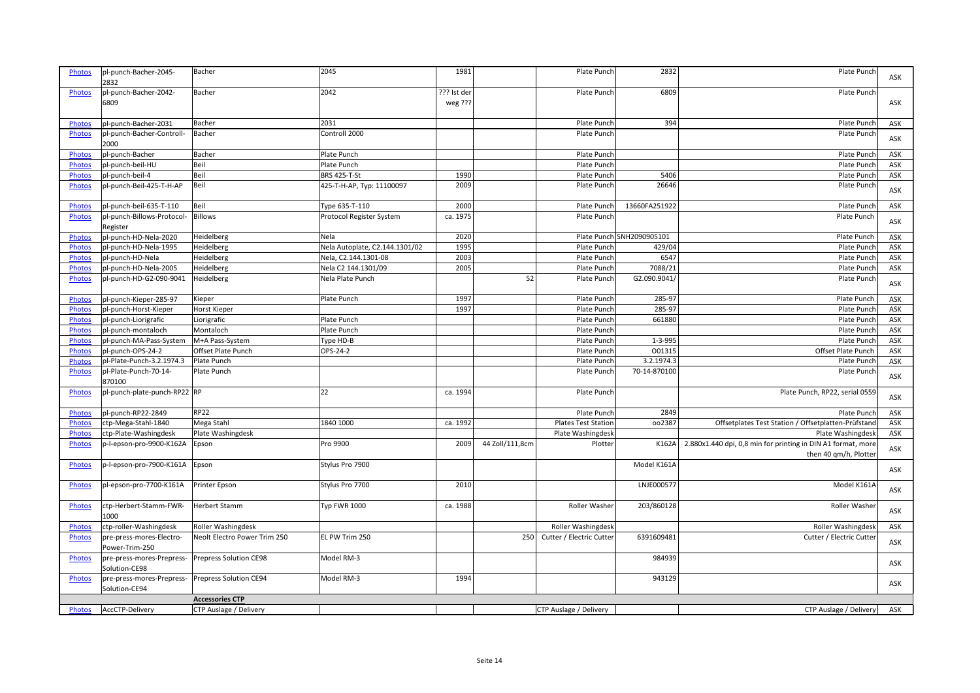| <b>Photos</b> | pl-punch-Bacher-2045-                      | Bacher                       | 2045                           | 1981                   |                 | Plate Punch                | 2832                      | Plate Punch                                                                           |     |
|---------------|--------------------------------------------|------------------------------|--------------------------------|------------------------|-----------------|----------------------------|---------------------------|---------------------------------------------------------------------------------------|-----|
|               | 2832                                       |                              |                                |                        |                 |                            |                           |                                                                                       | ASK |
| Photos        | pl-punch-Bacher-2042-<br>6809              | Bacher                       | 2042                           | ??? Ist der<br>weg ??? |                 | Plate Punch                | 6809                      | Plate Punch                                                                           | ASK |
| <b>Photos</b> | pl-punch-Bacher-2031                       | Bacher                       | 2031                           |                        |                 | Plate Punch                | 394                       | Plate Punch                                                                           | ASK |
| Photos        | pl-punch-Bacher-Controll-<br>2000          | Bacher                       | Controll 2000                  |                        |                 | Plate Punch                |                           | Plate Punch                                                                           | ASK |
| Photos        | pl-punch-Bacher                            | Bacher                       | Plate Punch                    |                        |                 | Plate Punch                |                           | Plate Punch                                                                           | ASK |
| Photos        | pl-punch-beil-HU                           | Beil                         | Plate Punch                    |                        |                 | Plate Punch                |                           | Plate Punch                                                                           | ASK |
| Photos        | pl-punch-beil-4                            | Beil                         | <b>BRS 425-T-St</b>            | 1990                   |                 | Plate Punch                | 5406                      | Plate Punch                                                                           | ASK |
| Photos        | pl-punch-Beil-425-T-H-AP                   | Beil                         | 425-T-H-AP, Typ: 11100097      | 2009                   |                 | Plate Punch                | 26646                     | Plate Punch                                                                           | ASK |
| Photos        | pl-punch-beil-635-T-110                    | Beil                         | Type 635-T-110                 | 2000                   |                 | Plate Punch                | 13660FA251922             | Plate Punch                                                                           | ASK |
| <b>Photos</b> | pl-punch-Billows-Protocol-<br>Register     | <b>Billows</b>               | Protocol Register System       | ca. 1975               |                 | Plate Punch                |                           | Plate Punch                                                                           | ASK |
| Photos        | pl-punch-HD-Nela-2020                      | Heidelberg                   | Nela                           | 2020                   |                 |                            | Plate Punch SNH2090905101 | Plate Punch                                                                           | ASK |
| Photos        | pl-punch-HD-Nela-1995                      | Heidelberg                   | Nela Autoplate, C2.144.1301/02 | 1995                   |                 | Plate Punch                | 429/04                    | Plate Punch                                                                           | ASK |
| Photos        | pl-punch-HD-Nela                           | Heidelberg                   | Nela, C2.144.1301-08           | 2003                   |                 | Plate Punch                | 6547                      | Plate Punch                                                                           | ASK |
| <b>Photos</b> | pl-punch-HD-Nela-2005                      | Heidelberg                   | Nela C2 144.1301/09            | 2005                   |                 | Plate Punch                | 7088/21                   | Plate Punch                                                                           | ASK |
| Photos        | pl-punch-HD-G2-090-9041                    | Heidelberg                   | Nela Plate Punch               |                        | 52              | Plate Punch                | G2.090.9041/              | Plate Punch                                                                           | ASK |
| Photos        | pl-punch-Kieper-285-97                     | Kieper                       | Plate Punch                    | 1997                   |                 | Plate Punch                | 285-97                    | Plate Punch                                                                           | ASK |
| Photos        | pl-punch-Horst-Kieper                      | Horst Kieper                 |                                | 1997                   |                 | Plate Punch                | 285-97                    | Plate Punch                                                                           | ASK |
| <b>Photos</b> | pl-punch-Liorigrafic                       | Liorigrafic                  | Plate Punch                    |                        |                 | Plate Punch                | 661880                    | Plate Punch                                                                           | ASK |
| Photos        | pl-punch-montaloch                         | Montaloch                    | Plate Punch                    |                        |                 | Plate Punch                |                           | Plate Punch                                                                           | ASK |
| Photos        | pl-punch-MA-Pass-System                    | M+A Pass-System              | Type HD-B                      |                        |                 | Plate Punch                | 1-3-995                   | Plate Punch                                                                           | ASK |
| <b>Photos</b> | pl-punch-OPS-24-2                          | Offset Plate Punch           | OPS-24-2                       |                        |                 | Plate Punch                | 001315                    | Offset Plate Punch                                                                    | ASK |
| <b>Photos</b> | pl-Plate-Punch-3.2.1974.3                  | Plate Punch                  |                                |                        |                 | Plate Punch                | 3.2.1974.3                | Plate Punch                                                                           | ASK |
| <b>Photos</b> | pl-Plate-Punch-70-14-<br>870100            | Plate Punch                  |                                |                        |                 | Plate Punch                | 70-14-870100              | Plate Punch                                                                           | ASK |
| <b>Photos</b> | pl-punch-plate-punch-RP22 RP               |                              | 22                             | ca. 1994               |                 | Plate Punch                |                           | Plate Punch, RP22, serial 0559                                                        | ASK |
| <b>Photos</b> | pl-punch-RP22-2849                         | <b>RP22</b>                  |                                |                        |                 | Plate Punch                | 2849                      | Plate Punch                                                                           | ASK |
| Photos        | ctp-Mega-Stahl-1840                        | Mega Stahl                   | 1840 1000                      | ca. 1992               |                 | <b>Plates Test Station</b> | 002387                    | Offsetplates Test Station / Offsetplatten-Prüfstand                                   | ASK |
| <b>Photos</b> | ctp-Plate-Washingdesk                      | Plate Washingdesk            |                                |                        |                 | Plate Washingdesk          |                           | Plate Washingdesk                                                                     | ASK |
| Photos        | p-l-epson-pro-9900-K162A                   | Epson                        | Pro 9900                       | 2009                   | 44 Zoll/111,8cm | Plotter                    | K162A                     | 2.880x1.440 dpi, 0,8 min for printing in DIN A1 format, more<br>then 40 qm/h, Plotter | ASK |
| <b>Photos</b> | p-l-epson-pro-7900-K161A                   | Epson                        | Stylus Pro 7900                |                        |                 |                            | Model K161A               |                                                                                       | ASK |
| <b>Photos</b> | pl-epson-pro-7700-K161A                    | Printer Epson                | Stylus Pro 7700                | 2010                   |                 |                            | LNJE000577                | Model K161A                                                                           | ASK |
| Photos        | ctp-Herbert-Stamm-FWR-<br>1000             | Herbert Stamm                | <b>Typ FWR 1000</b>            | ca. 1988               |                 | Roller Washer              | 203/860128                | Roller Washer                                                                         | ASK |
| <b>Photos</b> | ctp-roller-Washingdesk                     | Roller Washingdesk           |                                |                        |                 | Roller Washingdesk         |                           | Roller Washingdesk                                                                    | ASK |
| Photos        | pre-press-mores-Electro-<br>Power-Trim-250 | Neolt Electro Power Trim 250 | EL PW Trim 250                 |                        | 250             | Cutter / Electric Cutter   | 6391609481                | Cutter / Electric Cutter                                                              | ASK |
| <b>Photos</b> | pre-press-mores-Prepress-<br>Solution-CE98 | Prepress Solution CE98       | Model RM-3                     |                        |                 |                            | 984939                    |                                                                                       | ASK |
| <b>Photos</b> | pre-press-mores-Prepress-<br>Solution-CE94 | Prepress Solution CE94       | Model RM-3                     | 1994                   |                 |                            | 943129                    |                                                                                       | ASK |
|               |                                            | <b>Accessories CTP</b>       |                                |                        |                 |                            |                           |                                                                                       |     |
| <b>Photos</b> | AccCTP-Delivery                            | CTP Auslage / Delivery       |                                |                        |                 | CTP Auslage / Delivery     |                           | CTP Auslage / Delivery                                                                | ASK |
|               |                                            |                              |                                |                        |                 |                            |                           |                                                                                       |     |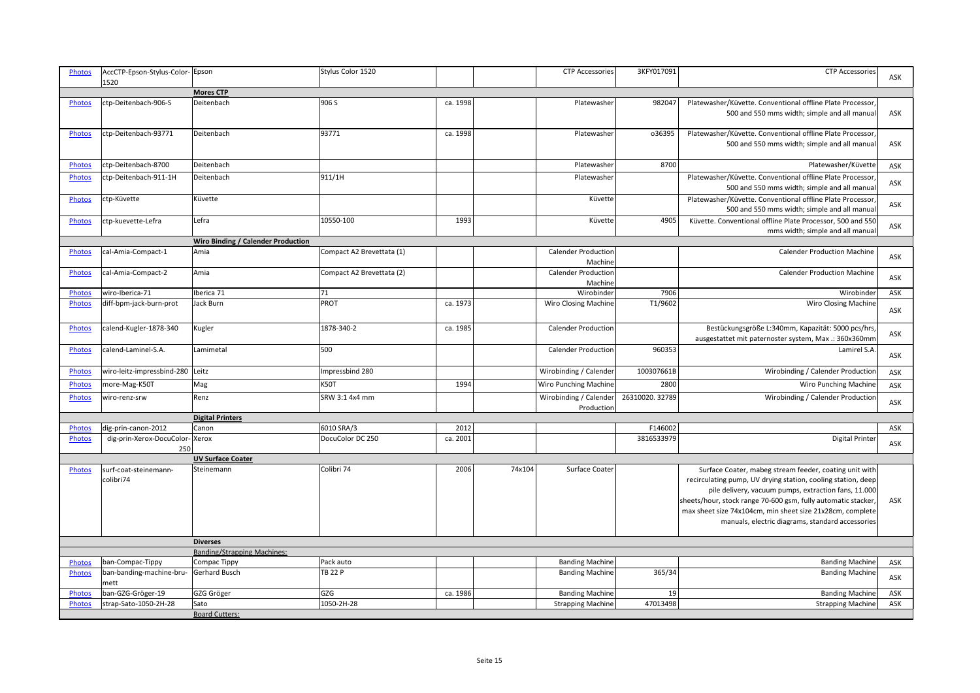| <b>Photos</b> | AccCTP-Epson-Stylus-Color-Epson<br>1520 |                                    | Stylus Color 1520         |          |        | <b>CTP Accessories</b>                | 3KFY017091     | <b>CTP Accessories</b>                                                                                                                                                                                                                                                                                                                                          | ASK |
|---------------|-----------------------------------------|------------------------------------|---------------------------|----------|--------|---------------------------------------|----------------|-----------------------------------------------------------------------------------------------------------------------------------------------------------------------------------------------------------------------------------------------------------------------------------------------------------------------------------------------------------------|-----|
|               |                                         | <b>Mores CTP</b>                   |                           |          |        |                                       |                |                                                                                                                                                                                                                                                                                                                                                                 |     |
| Photos        | ctp-Deitenbach-906-S                    | Deitenbach                         | 906 S                     | ca. 1998 |        | Platewasher                           | 982047         | Platewasher/Küvette. Conventional offline Plate Processor,<br>500 and 550 mms width; simple and all manual                                                                                                                                                                                                                                                      | ASK |
| Photos        | ctp-Deitenbach-93771                    | Deitenbach                         | 93771                     | ca. 1998 |        | Platewasher                           | 036395         | Platewasher/Küvette. Conventional offline Plate Processor<br>500 and 550 mms width; simple and all manual                                                                                                                                                                                                                                                       | ASK |
| <b>Photos</b> | ctp-Deitenbach-8700                     | Deitenbach                         |                           |          |        | Platewasher                           | 8700           | Platewasher/Küvette                                                                                                                                                                                                                                                                                                                                             | ASK |
| <b>Photos</b> | ctp-Deitenbach-911-1H                   | Deitenbach                         | 911/1H                    |          |        | Platewasher                           |                | Platewasher/Küvette. Conventional offline Plate Processor<br>500 and 550 mms width; simple and all manual                                                                                                                                                                                                                                                       | ASK |
| Photos        | ctp-Küvette                             | Küvette                            |                           |          |        | Küvette                               |                | Platewasher/Küvette. Conventional offline Plate Processor<br>500 and 550 mms width; simple and all manual                                                                                                                                                                                                                                                       | ASK |
| <b>Photos</b> | ctp-kuevette-Lefra                      | Lefra                              | 10550-100                 | 1993     |        | Küvette                               | 4905           | Küvette. Conventional offline Plate Processor, 500 and 550<br>mms width; simple and all manual                                                                                                                                                                                                                                                                  | ASK |
|               |                                         | Wiro Binding / Calender Production |                           |          |        |                                       |                |                                                                                                                                                                                                                                                                                                                                                                 |     |
| <b>Photos</b> | cal-Amia-Compact-1                      | Amia                               | Compact A2 Brevettata (1) |          |        | <b>Calender Production</b><br>Machine |                | <b>Calender Production Machine</b>                                                                                                                                                                                                                                                                                                                              | ASK |
| Photos        | cal-Amia-Compact-2                      | Amia                               | Compact A2 Brevettata (2) |          |        | <b>Calender Production</b><br>Machine |                | <b>Calender Production Machine</b>                                                                                                                                                                                                                                                                                                                              | ASK |
| <b>Photos</b> | wiro-Iberica-71                         | Iberica 71                         | 71                        |          |        | Wirobinder                            | 7906           | Wirobinder                                                                                                                                                                                                                                                                                                                                                      | ASK |
| Photos        | diff-bpm-jack-burn-prot                 | Jack Burn                          | <b>PROT</b>               | ca. 1973 |        | <b>Wiro Closing Machine</b>           | T1/9602        | <b>Wiro Closing Machine</b>                                                                                                                                                                                                                                                                                                                                     | ASK |
| Photos        | calend-Kugler-1878-340                  | Kugler                             | 1878-340-2                | ca. 1985 |        | <b>Calender Production</b>            |                | Bestückungsgröße L:340mm, Kapazität: 5000 pcs/hrs,<br>ausgestattet mit paternoster system, Max .: 360x360mm                                                                                                                                                                                                                                                     | ASK |
| Photos        | calend-Laminel-S.A.                     | Lamimetal                          | 500                       |          |        | <b>Calender Production</b>            | 960353         | Lamirel S.A.                                                                                                                                                                                                                                                                                                                                                    | ASK |
| Photos        | wiro-leitz-impressbind-280 Leitz        |                                    | Impressbind 280           |          |        | Wirobinding / Calender                | 100307661B     | Wirobinding / Calender Production                                                                                                                                                                                                                                                                                                                               | ASK |
| <b>Photos</b> | more-Mag-K50T                           | Mag                                | <b>K50T</b>               | 1994     |        | Wiro Punching Machine                 | 2800           | Wiro Punching Machine                                                                                                                                                                                                                                                                                                                                           | ASK |
| <b>Photos</b> | wiro-renz-srw                           | Renz                               | SRW 3:1 4x4 mm            |          |        | Wirobinding / Calender<br>Production  | 26310020.32789 | Wirobinding / Calender Production                                                                                                                                                                                                                                                                                                                               | ASK |
|               |                                         | <b>Digital Printers</b>            |                           |          |        |                                       |                |                                                                                                                                                                                                                                                                                                                                                                 |     |
| Photos        | dig-prin-canon-2012                     | Canon                              | 6010 SRA/3                | 2012     |        |                                       | F146002        |                                                                                                                                                                                                                                                                                                                                                                 | ASK |
| <b>Photos</b> | dig-prin-Xerox-DocuColor-Xerox<br>250   |                                    | DocuColor DC 250          | ca. 2001 |        |                                       | 3816533979     | <b>Digital Printer</b>                                                                                                                                                                                                                                                                                                                                          | ASK |
|               |                                         | <b>UV Surface Coater</b>           |                           |          |        |                                       |                |                                                                                                                                                                                                                                                                                                                                                                 |     |
| Photos        | surf-coat-steinemann-<br>colibri74      | Steinemann                         | Colibri 74                | 2006     | 74x104 | Surface Coater                        |                | Surface Coater, mabeg stream feeder, coating unit with<br>recirculating pump, UV drying station, cooling station, deep<br>pile delivery, vacuum pumps, extraction fans, 11.000<br>sheets/hour, stock range 70-600 gsm, fully automatic stacker<br>max sheet size 74x104cm, min sheet size 21x28cm, complete<br>manuals, electric diagrams, standard accessories | ASK |
|               |                                         | <b>Diverses</b>                    |                           |          |        |                                       |                |                                                                                                                                                                                                                                                                                                                                                                 |     |
|               |                                         | <b>Banding/Strapping Machines:</b> |                           |          |        |                                       |                |                                                                                                                                                                                                                                                                                                                                                                 |     |
| Photos        | ban-Compac-Tippy                        | Compac Tippy                       | Pack auto                 |          |        | <b>Banding Machine</b>                |                | <b>Banding Machine</b>                                                                                                                                                                                                                                                                                                                                          | ASK |
| <b>Photos</b> | ban-banding-machine-bru-<br>mett        | Gerhard Busch                      | <b>TB 22 P</b>            |          |        | <b>Banding Machine</b>                | 365/34         | <b>Banding Machine</b>                                                                                                                                                                                                                                                                                                                                          | ASK |
| Photos        | ban-GZG-Gröger-19                       | GZG Gröger                         | GZG                       | ca. 1986 |        | <b>Banding Machine</b>                | 19             | <b>Banding Machine</b>                                                                                                                                                                                                                                                                                                                                          | ASK |
| <b>Photos</b> | strap-Sato-1050-2H-28                   | Sato                               | 1050-2H-28                |          |        | <b>Strapping Machine</b>              | 47013498       | <b>Strapping Machine</b>                                                                                                                                                                                                                                                                                                                                        | ASK |
|               |                                         | <b>Board Cutters:</b>              |                           |          |        |                                       |                |                                                                                                                                                                                                                                                                                                                                                                 |     |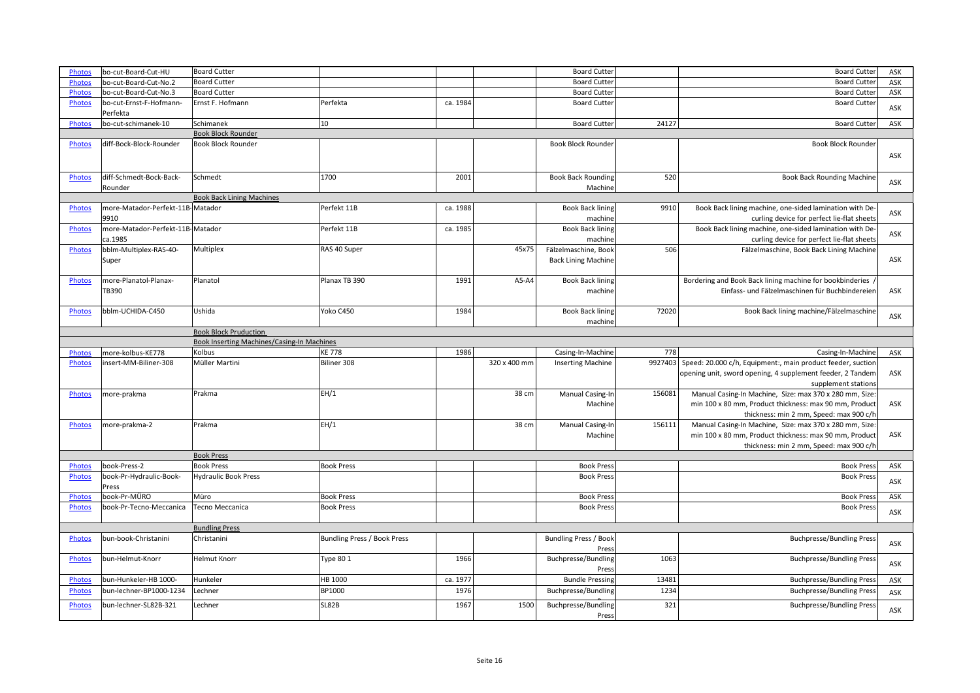| Photos        | bo-cut-Board-Cut-HU                 | <b>Board Cutter</b>                               |                             |          |              | <b>Board Cutter</b>                 |         | <b>Board Cutter</b>                                         | ASK        |
|---------------|-------------------------------------|---------------------------------------------------|-----------------------------|----------|--------------|-------------------------------------|---------|-------------------------------------------------------------|------------|
| Photos        | bo-cut-Board-Cut-No.2               | <b>Board Cutter</b>                               |                             |          |              | <b>Board Cutter</b>                 |         | <b>Board Cutter</b>                                         | ASK        |
| <b>Photos</b> | bo-cut-Board-Cut-No.3               | <b>Board Cutter</b>                               |                             |          |              | <b>Board Cutter</b>                 |         | <b>Board Cutter</b>                                         | ASK        |
| <b>Photos</b> | bo-cut-Ernst-F-Hofmann-<br>Perfekta | Ernst F. Hofmann                                  | Perfekta                    | ca. 1984 |              | <b>Board Cutter</b>                 |         | <b>Board Cutter</b>                                         | ASK        |
| <b>Photos</b> | bo-cut-schimanek-10                 | Schimanek                                         | $ 10\rangle$                |          |              | <b>Board Cutter</b>                 | 24127   | <b>Board Cutter</b>                                         | ASK        |
|               |                                     | <b>Book Block Rounder</b>                         |                             |          |              |                                     |         |                                                             |            |
| <b>Photos</b> | diff-Bock-Block-Rounder             | <b>Book Block Rounder</b>                         |                             |          |              | Book Block Rounder                  |         | Book Block Rounder                                          |            |
|               |                                     |                                                   |                             |          |              |                                     |         |                                                             | ASK        |
| <b>Photos</b> | diff-Schmedt-Bock-Back-             | Schmedt                                           | 1700                        | 2001     |              | <b>Book Back Rounding</b>           | 520     | <b>Book Back Rounding Machine</b>                           | ASK        |
|               | Rounder                             |                                                   |                             |          |              | Machine                             |         |                                                             |            |
|               |                                     | <b>Book Back Lining Machines</b>                  |                             |          |              |                                     |         |                                                             |            |
| Photos        | more-Matador-Perfekt-11B-Matador    |                                                   | Perfekt 11B                 | ca. 1988 |              | <b>Book Back lining</b>             | 9910    | Book Back lining machine, one-sided lamination with De-     |            |
|               | 9910                                |                                                   |                             |          |              | machine                             |         | curling device for perfect lie-flat sheets                  | ASK        |
| <b>Photos</b> | more-Matador-Perfekt-11B-Matador    |                                                   | Perfekt 11B                 | ca. 1985 |              | <b>Book Back lining</b>             |         | Book Back lining machine, one-sided lamination with De-     |            |
|               | ca.1985                             |                                                   |                             |          |              | machine                             |         | curling device for perfect lie-flat sheets                  | ASK        |
| <b>Photos</b> | bblm-Multiplex-RAS-40-              | Multiplex                                         | RAS 40 Super                |          | 45x75        | Fälzelmaschine, Book                | 506     | Fälzelmaschine, Book Back Lining Machine                    |            |
|               | Super                               |                                                   |                             |          |              | <b>Back Lining Machine</b>          |         |                                                             | ASK        |
|               |                                     |                                                   |                             |          |              |                                     |         |                                                             |            |
| <b>Photos</b> | more-Planatol-Planax-               | Planatol                                          | Planax TB 390               | 1991     | A5-A4        | <b>Book Back lining</b>             |         | Bordering and Book Back lining machine for bookbinderies /  |            |
|               |                                     |                                                   |                             |          |              |                                     |         |                                                             |            |
|               | <b>TB390</b>                        |                                                   |                             |          |              | machine                             |         | Einfass- und Fälzelmaschinen für Buchbindereien             | ASK        |
|               |                                     |                                                   |                             |          |              |                                     |         |                                                             |            |
| Photos        | bblm-UCHIDA-C450                    | Ushida                                            | Yoko C450                   | 1984     |              | <b>Book Back lining</b>             | 72020   | Book Back lining machine/Fälzelmaschine                     | ASK        |
|               |                                     |                                                   |                             |          |              | machine                             |         |                                                             |            |
|               |                                     | <b>Book Block Pruduction</b>                      |                             |          |              |                                     |         |                                                             |            |
|               |                                     | <b>Book Inserting Machines/Casing-In Machines</b> |                             |          |              |                                     |         |                                                             |            |
|               |                                     |                                                   |                             |          |              |                                     |         |                                                             |            |
| <b>Photos</b> | more-kolbus-KE778                   | Kolbus                                            | <b>KE778</b>                | 1986     |              | Casing-In-Machine                   | 778     | Casing-In-Machine                                           | ASK        |
| Photos        | insert-MM-Biliner-308               | Müller Martini                                    | Biliner 308                 |          | 320 x 400 mm | <b>Inserting Machine</b>            | 9927403 | Speed: 20.000 c/h, Equipment:, main product feeder, suction |            |
|               |                                     |                                                   |                             |          |              |                                     |         | opening unit, sword opening, 4 supplement feeder, 2 Tandem  | ASK        |
|               |                                     |                                                   |                             |          |              |                                     |         | supplement stations                                         |            |
| <b>Photos</b> |                                     |                                                   |                             |          |              |                                     | 156083  |                                                             |            |
|               | more-prakma                         | Prakma                                            | EH/1                        |          | 38 cm        | Manual Casing-In                    |         | Manual Casing-In Machine, Size: max 370 x 280 mm, Size:     |            |
|               |                                     |                                                   |                             |          |              | Machine                             |         | min 100 x 80 mm, Product thickness: max 90 mm, Product      | ASK        |
|               |                                     |                                                   |                             |          |              |                                     |         | thickness: min 2 mm, Speed: max 900 c/h                     |            |
| <b>Photos</b> | more-prakma-2                       | Prakma                                            | EH/1                        |          | 38 cm        | Manual Casing-In                    | 156111  | Manual Casing-In Machine, Size: max 370 x 280 mm, Size:     |            |
|               |                                     |                                                   |                             |          |              | Machine                             |         | min 100 x 80 mm, Product thickness: max 90 mm, Product      | ASK        |
|               |                                     |                                                   |                             |          |              |                                     |         | thickness: min 2 mm, Speed: max 900 c/h                     |            |
|               |                                     | <b>Book Press</b>                                 |                             |          |              |                                     |         |                                                             |            |
| <b>Photos</b> | book-Press-2                        | <b>Book Press</b>                                 | <b>Book Press</b>           |          |              | <b>Book Press</b>                   |         | <b>Book Press</b>                                           | ASK        |
| <b>Photos</b> | book-Pr-Hydraulic-Book-             | <b>Hydraulic Book Press</b>                       |                             |          |              | <b>Book Press</b>                   |         | <b>Book Press</b>                                           | ASK        |
|               | Press                               |                                                   |                             |          |              |                                     |         |                                                             |            |
| <b>Photos</b> | book-Pr-MÜRO                        | Müro                                              | <b>Book Press</b>           |          |              | <b>Book Press</b>                   |         | <b>Book Press</b>                                           | ASK        |
| <b>Photos</b> | book-Pr-Tecno-Meccanica             | Tecno Meccanica                                   | <b>Book Press</b>           |          |              | <b>Book Press</b>                   |         | <b>Book Press</b>                                           |            |
|               |                                     |                                                   |                             |          |              |                                     |         |                                                             | ASK        |
|               |                                     | <b>Bundling Press</b>                             |                             |          |              |                                     |         |                                                             |            |
| <b>Photos</b> | bun-book-Christanini                | Christanini                                       | Bundling Press / Book Press |          |              | <b>Bundling Press / Book</b>        |         | <b>Buchpresse/Bundling Press</b>                            |            |
|               |                                     |                                                   |                             |          |              | Press                               |         |                                                             | ASK        |
| <b>Photos</b> | bun-Helmut-Knorr                    | <b>Helmut Knorr</b>                               | <b>Type 80 1</b>            | 1966     |              | Buchpresse/Bundling                 | 1063    | <b>Buchpresse/Bundling Press</b>                            |            |
|               |                                     |                                                   |                             |          |              | Press                               |         |                                                             | ASK        |
| Photos        | bun-Hunkeler-HB 1000-               | Hunkeler                                          | HB 1000                     | ca. 1977 |              | <b>Bundle Pressing</b>              | 13481   | <b>Buchpresse/Bundling Press</b>                            | ASK        |
|               |                                     |                                                   |                             |          |              |                                     |         |                                                             |            |
| <b>Photos</b> | bun-lechner-BP1000-1234             | Lechner                                           | BP1000                      | 1976     |              | Buchpresse/Bundling                 | 1234    | <b>Buchpresse/Bundling Press</b>                            | ASK        |
| <b>Photos</b> | bun-lechner-SL82B-321               | Lechner                                           | <b>SL82B</b>                | 1967     | 1500         | <b>Buchpresse/Bundling</b><br>Press | 321     | <b>Buchpresse/Bundling Press</b>                            | <b>ASK</b> |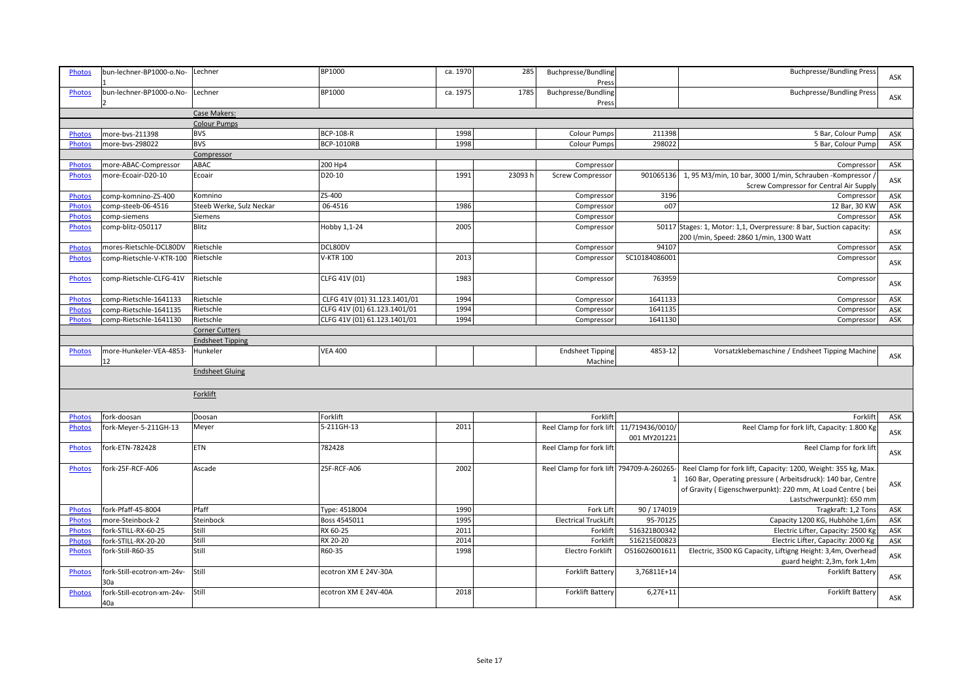| <b>Photos</b> | bun-lechner-BP1000-o.No-          | Lechner                  | BP1000                       | ca. 1970 | 285     | Buchpresse/Bundling<br>Press             |               | <b>Buchpresse/Bundling Press</b>                                                             | ASK        |
|---------------|-----------------------------------|--------------------------|------------------------------|----------|---------|------------------------------------------|---------------|----------------------------------------------------------------------------------------------|------------|
| <b>Photos</b> | bun-lechner-BP1000-o.No-          | Lechner                  | BP1000                       | ca. 1975 | 1785    | Buchpresse/Bundling<br>Press             |               | <b>Buchpresse/Bundling Press</b>                                                             | ASK        |
|               |                                   | Case Makers:             |                              |          |         |                                          |               |                                                                                              |            |
|               |                                   | <b>Colour Pumps</b>      |                              |          |         |                                          |               |                                                                                              |            |
| <b>Photos</b> | more-bvs-211398                   | <b>BVS</b>               | <b>BCP-108-R</b>             | 1998     |         | <b>Colour Pumps</b>                      | 211398        | 5 Bar, Colour Pump                                                                           | ASK        |
| Photos        | more-bvs-298022                   | <b>BVS</b>               | <b>BCP-1010RB</b>            | 1998     |         | <b>Colour Pumps</b>                      | 298022        | 5 Bar, Colour Pump                                                                           | ASK        |
|               |                                   | Compressor               |                              |          |         |                                          |               |                                                                                              |            |
| <b>Photos</b> | more-ABAC-Compressor              | ABAC                     | 200 Hp4                      |          |         | Compressor                               |               | Compressor                                                                                   | ASK        |
| Photos        | more-Ecoair-D20-10                | Ecoair                   | D20-10                       | 1991     | 23093 h | <b>Screw Compressor</b>                  | 901065136     | 1, 95 M3/min, 10 bar, 3000 1/min, Schrauben -Kompressor                                      |            |
|               |                                   |                          |                              |          |         |                                          |               | Screw Compressor for Central Air Supply                                                      | ASK        |
| <b>Photos</b> | comp-komnino-ZS-400               | Komnino                  | ZS-400                       |          |         | Compressor                               | 3196          | Compressor                                                                                   | ASK        |
| <b>Photos</b> | comp-steeb-06-4516                | Steeb Werke, Sulz Neckar | 06-4516                      | 1986     |         | Compressor                               | o07           | 12 Bar, 30 KW                                                                                | ASK        |
| Photos        | comp-siemens                      | Siemens                  |                              |          |         | Compressor                               |               | Compressor                                                                                   | ASK        |
| Photos        | comp-blitz-050117                 | Blitz                    | Hobby 1,1-24                 | 2005     |         | Compressor                               |               | 50117 Stages: 1, Motor: 1,1, Overpressure: 8 bar, Suction capacity:                          |            |
|               |                                   |                          |                              |          |         |                                          |               | 200 I/min, Speed: 2860 1/min, 1300 Watt                                                      | ASK        |
| Photos        | mores-Rietschle-DCL80DV           | Rietschle                | DCL80DV                      |          |         | Compressor                               | 94107         | Compressor                                                                                   | ASK        |
| <b>Photos</b> | comp-Rietschle-V-KTR-100          | Rietschle                | <b>V-KTR 100</b>             | 2013     |         | Compressor                               | SC10184086001 | Compressor                                                                                   |            |
|               |                                   |                          |                              |          |         |                                          |               |                                                                                              | ASK        |
| Photos        | comp-Rietschle-CLFG-41V           | Rietschle                | CLFG 41V (01)                | 1983     |         | Compressor                               | 763959        | Compressor                                                                                   | ASK        |
| Photos        | comp-Rietschle-1641133            | Rietschle                | CLFG 41V (01) 31.123.1401/01 | 1994     |         | Compressor                               | 1641133       | Compressor                                                                                   | ASK        |
| Photos        | comp-Rietschle-1641135            | Rietschle                | CLFG 41V (01) 61.123.1401/01 | 1994     |         | Compressor                               | 1641135       | Compressor                                                                                   | ASK        |
| <b>Photos</b> | comp-Rietschle-1641130            | Rietschle                | CLFG 41V (01) 61.123.1401/01 | 1994     |         | Compressor                               | 1641130       | Compressor                                                                                   | ASK        |
|               |                                   | <b>Corner Cutters</b>    |                              |          |         |                                          |               |                                                                                              |            |
|               |                                   | <b>Endsheet Tipping</b>  |                              |          |         |                                          |               |                                                                                              |            |
|               |                                   |                          |                              |          |         |                                          |               |                                                                                              |            |
| Photos        | more-Hunkeler-VEA-4853-<br>12     | Hunkeler                 | <b>VEA 400</b>               |          |         | Endsheet Tipping<br>Machine              | 4853-12       | Vorsatzklebemaschine / Endsheet Tipping Machine                                              | ASK        |
|               |                                   | <b>Endsheet Gluing</b>   |                              |          |         |                                          |               |                                                                                              |            |
|               |                                   |                          |                              |          |         |                                          |               |                                                                                              |            |
|               |                                   | Forklift                 |                              |          |         |                                          |               |                                                                                              |            |
| <b>Photos</b> | fork-doosan                       | Doosan                   | Forklift                     |          |         | Forklift                                 |               | Forklift                                                                                     | ASK        |
| <b>Photos</b> | fork-Meyer-5-211GH-13             | Meyer                    | 5-211GH-13                   | 2011     |         | Reel Clamp for fork lift 11/719436/0010/ |               | Reel Clamp for fork lift, Capacity: 1.800 Kg                                                 |            |
|               |                                   |                          |                              |          |         |                                          | 001 MY201221  |                                                                                              | ASK        |
| Photos        | fork-ETN-782428                   | <b>ETN</b>               | 782428                       |          |         | Reel Clamp for fork lift                 |               | Reel Clamp for fork lift                                                                     | ASK        |
| <b>Photos</b> | fork-25F-RCF-A06                  | Ascade                   | 25F-RCF-A06                  | 2002     |         | Reel Clamp for fork lift 794709-A-260265 |               | Reel Clamp for fork lift, Capacity: 1200, Weight: 355 kg, Max.                               |            |
|               |                                   |                          |                              |          |         |                                          |               | 160 Bar, Operating pressure (Arbeitsdruck): 140 bar, Centre                                  | ASK        |
|               |                                   |                          |                              |          |         |                                          |               | of Gravity (Eigenschwerpunkt): 220 mm, At Load Centre (bei                                   |            |
|               |                                   |                          |                              |          |         |                                          |               | Lastschwerpunkt): 650 mm                                                                     |            |
| Photos        | fork-Pfaff-45-8004                | Pfaff                    | Type: 4518004                | 1990     |         | Fork Lift                                | 90 / 174019   | Tragkraft: 1,2 Tons                                                                          | ASK        |
| <b>Photos</b> | more-Steinbock-2                  | Steinbock                | Boss 4545011                 | 1995     |         | <b>Electrical TruckLift</b>              | 95-70125      | Capacity 1200 KG, Hubhöhe 1,6m                                                               | ASK        |
| Photos        | fork-STILL-RX-60-25               | Still                    | RX 60-25                     | 2011     |         | Forklift                                 | 516321B00342  | Electric Lifter, Capacity: 2500 Kg                                                           | ASK        |
| Photos        | fork-STILL-RX-20-20               | Still                    | RX 20-20                     | 2014     |         | Forklift                                 | 516215E00823  | Electric Lifter, Capacity: 2000 Kg                                                           | ASK        |
| <b>Photos</b> | fork-Still-R60-35                 | Still                    | R60-35                       | 1998     |         | Electro Forklift                         | 0516026001611 | Electric, 3500 KG Capacity, Liftigng Height: 3,4m, Overhead<br>guard height: 2,3m, fork 1,4m | ASK        |
| Photos        | fork-Still-ecotron-xm-24v-        | Still                    | ecotron XM E 24V-30A         |          |         | <b>Forklift Battery</b>                  | 3,76811E+14   | <b>Forklift Battery</b>                                                                      | ASK        |
| <b>Photos</b> | 30a<br>fork-Still-ecotron-xm-24v- | <b>Still</b>             | ecotron XM E 24V-40A         | 2018     |         | Forklift Battery                         | $6,27E+11$    | <b>Forklift Battery</b>                                                                      | <b>ASK</b> |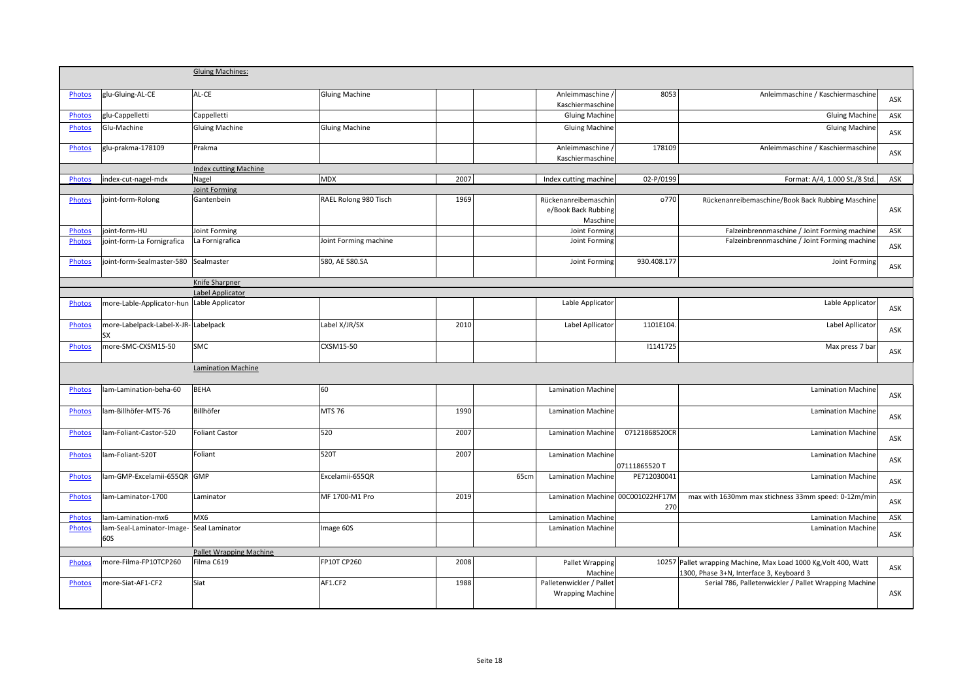|               |                                                  | <b>Gluing Machines:</b>      |                       |      |      |                                                         |               |                                                                                                             |     |
|---------------|--------------------------------------------------|------------------------------|-----------------------|------|------|---------------------------------------------------------|---------------|-------------------------------------------------------------------------------------------------------------|-----|
|               |                                                  |                              |                       |      |      |                                                         |               |                                                                                                             |     |
| <b>Photos</b> | glu-Gluing-AL-CE                                 | AL-CE                        | <b>Gluing Machine</b> |      |      | Anleimmaschine /<br>Kaschiermaschine                    | 8053          | Anleimmaschine / Kaschiermaschine                                                                           | ASK |
| Photos        | glu-Cappelletti                                  | Cappelletti                  |                       |      |      | <b>Gluing Machine</b>                                   |               | <b>Gluing Machine</b>                                                                                       | ASK |
| <b>Photos</b> | Glu-Machine                                      | <b>Gluing Machine</b>        | <b>Gluing Machine</b> |      |      | <b>Gluing Machine</b>                                   |               | <b>Gluing Machine</b>                                                                                       |     |
|               |                                                  |                              |                       |      |      |                                                         |               |                                                                                                             | ASK |
| <b>Photos</b> | glu-prakma-178109                                | Prakma                       |                       |      |      | Anleimmaschine /<br>Kaschiermaschine                    | 178109        | Anleimmaschine / Kaschiermaschine                                                                           | ASK |
|               |                                                  | <b>Index cutting Machine</b> |                       |      |      |                                                         |               |                                                                                                             |     |
| <b>Photos</b> | index-cut-nagel-mdx                              | Nagel                        | <b>MDX</b>            | 2007 |      | Index cutting machine                                   | 02-P/0199     | Format: A/4, 1.000 St./8 Std.                                                                               | ASK |
|               |                                                  | Joint Forming                |                       |      |      |                                                         |               |                                                                                                             |     |
| Photos        | joint-form-Rolong                                | Gantenbein                   | RAEL Rolong 980 Tisch | 1969 |      | Rückenanreibemaschin<br>e/Book Back Rubbing<br>Maschine | o770          | Rückenanreibemaschine/Book Back Rubbing Maschine                                                            | ASK |
| <b>Photos</b> | joint-form-HU                                    | Joint Forming                |                       |      |      | Joint Forming                                           |               | Falzeinbrennmaschine / Joint Forming machine                                                                | ASK |
| <b>Photos</b> | joint-form-La Fornigrafica                       | La Fornigrafica              | Joint Forming machine |      |      | Joint Forming                                           |               | Falzeinbrennmaschine / Joint Forming machine                                                                | ASK |
| <b>Photos</b> | joint-form-Sealmaster-580 Sealmaster             |                              | 580, AE 580.SA        |      |      | Joint Forming                                           | 930.408.177   | Joint Forming                                                                                               | ASK |
|               |                                                  | Knife Sharpner               |                       |      |      |                                                         |               |                                                                                                             |     |
|               |                                                  | Label Applicator             |                       |      |      |                                                         |               |                                                                                                             |     |
| <b>Photos</b> | more-Lable-Applicator-hun Lable Applicator       |                              |                       |      |      | Lable Applicator                                        |               | Lable Applicator                                                                                            | ASK |
| <b>Photos</b> | more-Labelpack-Label-X-JR-Labelpack<br><b>SX</b> |                              | Label X/JR/SX         | 2010 |      | Label Apllicator                                        | 1101E104      | Label Apllicator                                                                                            | ASK |
| <b>Photos</b> | more-SMC-CXSM15-50                               | <b>SMC</b>                   | CXSM15-50             |      |      |                                                         | 1141725       | Max press 7 bar                                                                                             | ASK |
|               |                                                  | <b>Lamination Machine</b>    |                       |      |      |                                                         |               |                                                                                                             |     |
| <b>Photos</b> | lam-Lamination-beha-60                           | <b>BEHA</b>                  | 60                    |      |      | <b>Lamination Machine</b>                               |               | Lamination Machine                                                                                          |     |
|               |                                                  |                              |                       |      |      |                                                         |               |                                                                                                             | ASK |
| <b>Photos</b> | lam-Billhöfer-MTS-76                             | Billhöfer                    | <b>MTS 76</b>         | 1990 |      | <b>Lamination Machine</b>                               |               | <b>Lamination Machine</b>                                                                                   | ASK |
| Photos        | lam-Foliant-Castor-520                           | <b>Foliant Castor</b>        | 520                   | 2007 |      | Lamination Machine                                      | 07121868520CR | <b>Lamination Machine</b>                                                                                   | ASK |
| <b>Photos</b> | lam-Foliant-520T                                 | Foliant                      | 520T                  | 2007 |      | <b>Lamination Machine</b>                               | 07111865520 T | <b>Lamination Machine</b>                                                                                   | ASK |
| <b>Photos</b> | lam-GMP-Excelamii-655QR                          | <b>GMP</b>                   | Excelamii-655QR       |      | 65cm | <b>Lamination Machine</b>                               | PE712030041   | <b>Lamination Machine</b>                                                                                   | ASK |
| <b>Photos</b> | llam-Laminator-1700                              | Laminator                    | MF 1700-M1 Pro        | 2019 |      | Lamination Machine 00C001022HF17M                       | 270           | max with 1630mm max stichness 33mm speed: 0-12m/min                                                         | ASK |
| <b>Photos</b> | lam-Lamination-mx6                               | MX6                          |                       |      |      | <b>Lamination Machine</b>                               |               | <b>Lamination Machine</b>                                                                                   | ASK |
| <b>Photos</b> | lam-Seal-Laminator-Image-                        | Seal Laminator               | Image 60S             |      |      | <b>Lamination Machine</b>                               |               | <b>Lamination Machine</b>                                                                                   |     |
|               | 60S                                              |                              |                       |      |      |                                                         |               |                                                                                                             | ASK |
|               |                                                  | Pallet Wrapping Machine      |                       |      |      |                                                         |               |                                                                                                             |     |
| <b>Photos</b> | more-Filma-FP10TCP260                            | Filma C619                   | FP10T CP260           | 2008 |      | <b>Pallet Wrapping</b><br>Machine                       |               | 10257 Pallet wrapping Machine, Max Load 1000 Kg, Volt 400, Watt<br>1300, Phase 3+N, Interface 3, Keyboard 3 | ASK |
| <b>Photos</b> | more-Siat-AF1-CF2                                | Siat                         | AF1.CF2               | 1988 |      | Palletenwickler / Pallet<br><b>Wrapping Machine</b>     |               | Serial 786, Palletenwickler / Pallet Wrapping Machine                                                       | ASK |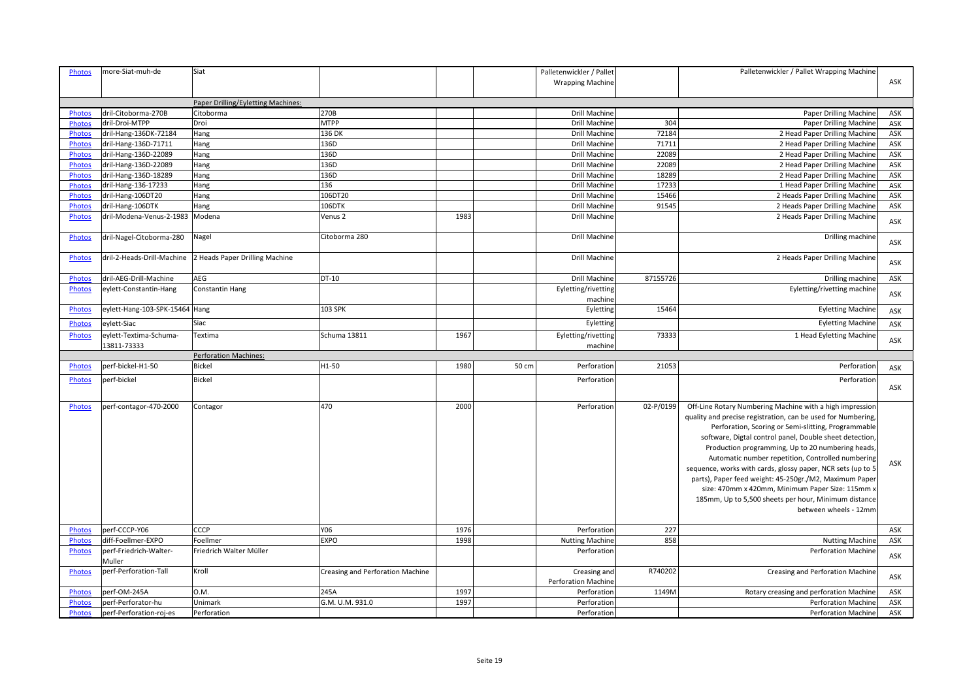| ASK<br><b>Wrapping Machine</b><br>Paper Drilling/Eyletting Machines:<br>270B<br>dril-Citoborma-270B<br>Drill Machine<br>ASK<br><b>Photos</b><br>Citoborma<br>Paper Drilling Machine<br>MTPP<br>dril-Droi-MTPP<br>Drill Machine<br>304<br>Paper Drilling Machine<br>ASK<br><b>Photos</b><br>Droi<br>dril-Hang-136DK-72184<br>136 DK<br>Drill Machine<br>72184<br>2 Head Paper Drilling Machine<br><b>Photos</b><br>Hang<br>ASK<br>dril-Hang-136D-71711<br>136D<br>Drill Machine<br>71711<br>2 Head Paper Drilling Machine<br>ASK<br><b>Photos</b><br>Hang<br>136D<br>22089<br>dril-Hang-136D-22089<br>Drill Machine<br>2 Head Paper Drilling Machine<br>ASK<br><b>Photos</b><br>Hang<br>136D<br>Photos<br>dril-Hang-136D-22089<br>Drill Machine<br>22089<br>2 Head Paper Drilling Machine<br>ASK<br>Hang<br>18289<br>dril-Hang-136D-18289<br>136D<br>Drill Machine<br>2 Head Paper Drilling Machine<br>ASK<br><b>Photos</b><br>Hang<br>136<br>17233<br>dril-Hang-136-17233<br>Hang<br>Drill Machine<br>1 Head Paper Drilling Machine<br>ASK<br><b>Photos</b><br>106DT20<br>15466<br>dril-Hang-106DT20<br>Drill Machine<br>2 Heads Paper Drilling Machine<br>ASK<br><b>Photos</b><br>Hang<br>106DTK<br>Drill Machine<br>91545<br>dril-Hang-106DTK<br>Hang<br>2 Heads Paper Drilling Machine<br>ASK<br><b>Photos</b><br>1983<br>dril-Modena-Venus-2-1983<br>Modena<br>Drill Machine<br>2 Heads Paper Drilling Machine<br>Venus 2<br><b>Photos</b><br>ASK<br>Drill Machine<br>Drilling machine<br>Citoborma 280<br>dril-Nagel-Citoborma-280<br>Nagel<br>Photos<br>ASK<br><b>Photos</b><br>dril-2-Heads-Drill-Machine<br>2 Heads Paper Drilling Machine<br>Drill Machine<br>2 Heads Paper Drilling Machine<br>ASK<br>DT-10<br>87155726<br>Drilling machine<br>ASK<br>dril-AEG-Drill-Machine<br>AEG<br>Drill Machine<br><b>Photos</b><br>Eyletting/rivetting machine<br>eylett-Constantin-Hang<br><b>Constantin Hang</b><br>Eyletting/rivetting<br><b>Photos</b><br>ASK<br>machine<br>103 SPK<br>Eyletting<br>15464<br><b>Eyletting Machine</b><br><b>Photos</b><br>eylett-Hang-103-SPK-15464 Hang<br>ASK<br><b>Photos</b><br>eylett-Siac<br>Siac<br>Eyletting<br><b>Eyletting Machine</b><br>ASK<br>Schuma 13811<br>1967<br>73333<br>1 Head Eyletting Machine<br>eylett-Textima-Schuma-<br>Textima<br>Eyletting/rivetting<br><b>Photos</b><br>ASK<br>13811-73333<br>machine<br><b>Perforation Machines:</b><br>H1-50<br>1980<br>21053<br><b>Bickel</b><br>50 cm<br>Perforation<br>Photos<br>perf-bickel-H1-50<br>Perforation<br>ASK<br><b>Bickel</b><br>perf-bickel<br>Perforation<br>Perforation<br><b>Photos</b><br>ASK<br>470<br>2000<br>02-P/0199<br><b>Photos</b><br>Perforation<br>Off-Line Rotary Numbering Machine with a high impression<br>perf-contagor-470-2000<br>Contagor<br>quality and precise registration, can be used for Numbering,<br>Perforation, Scoring or Semi-slitting, Programmable<br>software, Digtal control panel, Double sheet detection,<br>Production programming, Up to 20 numbering heads,<br>Automatic number repetition, Controlled numbering<br>ASK<br>sequence, works with cards, glossy paper, NCR sets (up to 5<br>parts), Paper feed weight: 45-250gr./M2, Maximum Paper<br>size: 470mm x 420mm, Minimum Paper Size: 115mm x<br>185mm, Up to 5,500 sheets per hour, Minimum distance<br>between wheels - 12mm<br>perf-CCCP-Y06<br>CCCP<br>Y06<br>1976<br>227<br>ASK<br><b>Photos</b><br>Perforation<br>858<br>diff-Foellmer-EXPO<br>Foellmer<br><b>EXPO</b><br>1998<br><b>Nutting Machine</b><br><b>Nutting Machine</b><br>ASK<br><b>Photos</b><br><b>Perforation Machine</b><br>Friedrich Walter Müller<br>Perforation<br>perf-Friedrich-Walter-<br><b>Photos</b><br>ASK<br>Muller<br>R740202<br><b>Photos</b><br>perf-Perforation-Tall<br>Kroll<br>Creasing and Perforation Machine<br>Creasing and<br>Creasing and Perforation Machine<br>ASK<br>Perforation Machine<br>1997<br>perf-OM-245A<br>0.M.<br>245A<br>Perforation<br>1149M<br>Rotary creasing and perforation Machine<br>ASK<br><b>Photos</b><br>1997<br>perf-Perforator-hu<br>G.M. U.M. 931.0<br>Perforation<br><b>Perforation Machine</b><br>ASK<br>Photos<br>Unimark<br>ASK<br><b>Photos</b><br>perf-Perforation-roj-es<br>Perforation<br>Perforation<br><b>Perforation Machine</b> | <b>Photos</b> | more-Siat-muh-de | Siat |  | Palletenwickler / Pallet | Palletenwickler / Pallet Wrapping Machine |  |
|-------------------------------------------------------------------------------------------------------------------------------------------------------------------------------------------------------------------------------------------------------------------------------------------------------------------------------------------------------------------------------------------------------------------------------------------------------------------------------------------------------------------------------------------------------------------------------------------------------------------------------------------------------------------------------------------------------------------------------------------------------------------------------------------------------------------------------------------------------------------------------------------------------------------------------------------------------------------------------------------------------------------------------------------------------------------------------------------------------------------------------------------------------------------------------------------------------------------------------------------------------------------------------------------------------------------------------------------------------------------------------------------------------------------------------------------------------------------------------------------------------------------------------------------------------------------------------------------------------------------------------------------------------------------------------------------------------------------------------------------------------------------------------------------------------------------------------------------------------------------------------------------------------------------------------------------------------------------------------------------------------------------------------------------------------------------------------------------------------------------------------------------------------------------------------------------------------------------------------------------------------------------------------------------------------------------------------------------------------------------------------------------------------------------------------------------------------------------------------------------------------------------------------------------------------------------------------------------------------------------------------------------------------------------------------------------------------------------------------------------------------------------------------------------------------------------------------------------------------------------------------------------------------------------------------------------------------------------------------------------------------------------------------------------------------------------------------------------------------------------------------------------------------------------------------------------------------------------------------------------------------------------------------------------------------------------------------------------------------------------------------------------------------------------------------------------------------------------------------------------------------------------------------------------------------------------------------------------------------------------------------------------------------------------------------------------------------------------------------------------------------------------------------------------------------------------------------------------------------------------------------------------------------------------------------------------------------------------------------------------------------------------------------------------------------------------------------------------------------------------------------------------------------------------------------------------------------------------------------------------------------------------------------------------|---------------|------------------|------|--|--------------------------|-------------------------------------------|--|
|                                                                                                                                                                                                                                                                                                                                                                                                                                                                                                                                                                                                                                                                                                                                                                                                                                                                                                                                                                                                                                                                                                                                                                                                                                                                                                                                                                                                                                                                                                                                                                                                                                                                                                                                                                                                                                                                                                                                                                                                                                                                                                                                                                                                                                                                                                                                                                                                                                                                                                                                                                                                                                                                                                                                                                                                                                                                                                                                                                                                                                                                                                                                                                                                                                                                                                                                                                                                                                                                                                                                                                                                                                                                                                                                                                                                                                                                                                                                                                                                                                                                                                                                                                                                                                                                                           |               |                  |      |  |                          |                                           |  |
|                                                                                                                                                                                                                                                                                                                                                                                                                                                                                                                                                                                                                                                                                                                                                                                                                                                                                                                                                                                                                                                                                                                                                                                                                                                                                                                                                                                                                                                                                                                                                                                                                                                                                                                                                                                                                                                                                                                                                                                                                                                                                                                                                                                                                                                                                                                                                                                                                                                                                                                                                                                                                                                                                                                                                                                                                                                                                                                                                                                                                                                                                                                                                                                                                                                                                                                                                                                                                                                                                                                                                                                                                                                                                                                                                                                                                                                                                                                                                                                                                                                                                                                                                                                                                                                                                           |               |                  |      |  |                          |                                           |  |
|                                                                                                                                                                                                                                                                                                                                                                                                                                                                                                                                                                                                                                                                                                                                                                                                                                                                                                                                                                                                                                                                                                                                                                                                                                                                                                                                                                                                                                                                                                                                                                                                                                                                                                                                                                                                                                                                                                                                                                                                                                                                                                                                                                                                                                                                                                                                                                                                                                                                                                                                                                                                                                                                                                                                                                                                                                                                                                                                                                                                                                                                                                                                                                                                                                                                                                                                                                                                                                                                                                                                                                                                                                                                                                                                                                                                                                                                                                                                                                                                                                                                                                                                                                                                                                                                                           |               |                  |      |  |                          |                                           |  |
|                                                                                                                                                                                                                                                                                                                                                                                                                                                                                                                                                                                                                                                                                                                                                                                                                                                                                                                                                                                                                                                                                                                                                                                                                                                                                                                                                                                                                                                                                                                                                                                                                                                                                                                                                                                                                                                                                                                                                                                                                                                                                                                                                                                                                                                                                                                                                                                                                                                                                                                                                                                                                                                                                                                                                                                                                                                                                                                                                                                                                                                                                                                                                                                                                                                                                                                                                                                                                                                                                                                                                                                                                                                                                                                                                                                                                                                                                                                                                                                                                                                                                                                                                                                                                                                                                           |               |                  |      |  |                          |                                           |  |
|                                                                                                                                                                                                                                                                                                                                                                                                                                                                                                                                                                                                                                                                                                                                                                                                                                                                                                                                                                                                                                                                                                                                                                                                                                                                                                                                                                                                                                                                                                                                                                                                                                                                                                                                                                                                                                                                                                                                                                                                                                                                                                                                                                                                                                                                                                                                                                                                                                                                                                                                                                                                                                                                                                                                                                                                                                                                                                                                                                                                                                                                                                                                                                                                                                                                                                                                                                                                                                                                                                                                                                                                                                                                                                                                                                                                                                                                                                                                                                                                                                                                                                                                                                                                                                                                                           |               |                  |      |  |                          |                                           |  |
|                                                                                                                                                                                                                                                                                                                                                                                                                                                                                                                                                                                                                                                                                                                                                                                                                                                                                                                                                                                                                                                                                                                                                                                                                                                                                                                                                                                                                                                                                                                                                                                                                                                                                                                                                                                                                                                                                                                                                                                                                                                                                                                                                                                                                                                                                                                                                                                                                                                                                                                                                                                                                                                                                                                                                                                                                                                                                                                                                                                                                                                                                                                                                                                                                                                                                                                                                                                                                                                                                                                                                                                                                                                                                                                                                                                                                                                                                                                                                                                                                                                                                                                                                                                                                                                                                           |               |                  |      |  |                          |                                           |  |
|                                                                                                                                                                                                                                                                                                                                                                                                                                                                                                                                                                                                                                                                                                                                                                                                                                                                                                                                                                                                                                                                                                                                                                                                                                                                                                                                                                                                                                                                                                                                                                                                                                                                                                                                                                                                                                                                                                                                                                                                                                                                                                                                                                                                                                                                                                                                                                                                                                                                                                                                                                                                                                                                                                                                                                                                                                                                                                                                                                                                                                                                                                                                                                                                                                                                                                                                                                                                                                                                                                                                                                                                                                                                                                                                                                                                                                                                                                                                                                                                                                                                                                                                                                                                                                                                                           |               |                  |      |  |                          |                                           |  |
|                                                                                                                                                                                                                                                                                                                                                                                                                                                                                                                                                                                                                                                                                                                                                                                                                                                                                                                                                                                                                                                                                                                                                                                                                                                                                                                                                                                                                                                                                                                                                                                                                                                                                                                                                                                                                                                                                                                                                                                                                                                                                                                                                                                                                                                                                                                                                                                                                                                                                                                                                                                                                                                                                                                                                                                                                                                                                                                                                                                                                                                                                                                                                                                                                                                                                                                                                                                                                                                                                                                                                                                                                                                                                                                                                                                                                                                                                                                                                                                                                                                                                                                                                                                                                                                                                           |               |                  |      |  |                          |                                           |  |
|                                                                                                                                                                                                                                                                                                                                                                                                                                                                                                                                                                                                                                                                                                                                                                                                                                                                                                                                                                                                                                                                                                                                                                                                                                                                                                                                                                                                                                                                                                                                                                                                                                                                                                                                                                                                                                                                                                                                                                                                                                                                                                                                                                                                                                                                                                                                                                                                                                                                                                                                                                                                                                                                                                                                                                                                                                                                                                                                                                                                                                                                                                                                                                                                                                                                                                                                                                                                                                                                                                                                                                                                                                                                                                                                                                                                                                                                                                                                                                                                                                                                                                                                                                                                                                                                                           |               |                  |      |  |                          |                                           |  |
|                                                                                                                                                                                                                                                                                                                                                                                                                                                                                                                                                                                                                                                                                                                                                                                                                                                                                                                                                                                                                                                                                                                                                                                                                                                                                                                                                                                                                                                                                                                                                                                                                                                                                                                                                                                                                                                                                                                                                                                                                                                                                                                                                                                                                                                                                                                                                                                                                                                                                                                                                                                                                                                                                                                                                                                                                                                                                                                                                                                                                                                                                                                                                                                                                                                                                                                                                                                                                                                                                                                                                                                                                                                                                                                                                                                                                                                                                                                                                                                                                                                                                                                                                                                                                                                                                           |               |                  |      |  |                          |                                           |  |
|                                                                                                                                                                                                                                                                                                                                                                                                                                                                                                                                                                                                                                                                                                                                                                                                                                                                                                                                                                                                                                                                                                                                                                                                                                                                                                                                                                                                                                                                                                                                                                                                                                                                                                                                                                                                                                                                                                                                                                                                                                                                                                                                                                                                                                                                                                                                                                                                                                                                                                                                                                                                                                                                                                                                                                                                                                                                                                                                                                                                                                                                                                                                                                                                                                                                                                                                                                                                                                                                                                                                                                                                                                                                                                                                                                                                                                                                                                                                                                                                                                                                                                                                                                                                                                                                                           |               |                  |      |  |                          |                                           |  |
|                                                                                                                                                                                                                                                                                                                                                                                                                                                                                                                                                                                                                                                                                                                                                                                                                                                                                                                                                                                                                                                                                                                                                                                                                                                                                                                                                                                                                                                                                                                                                                                                                                                                                                                                                                                                                                                                                                                                                                                                                                                                                                                                                                                                                                                                                                                                                                                                                                                                                                                                                                                                                                                                                                                                                                                                                                                                                                                                                                                                                                                                                                                                                                                                                                                                                                                                                                                                                                                                                                                                                                                                                                                                                                                                                                                                                                                                                                                                                                                                                                                                                                                                                                                                                                                                                           |               |                  |      |  |                          |                                           |  |
|                                                                                                                                                                                                                                                                                                                                                                                                                                                                                                                                                                                                                                                                                                                                                                                                                                                                                                                                                                                                                                                                                                                                                                                                                                                                                                                                                                                                                                                                                                                                                                                                                                                                                                                                                                                                                                                                                                                                                                                                                                                                                                                                                                                                                                                                                                                                                                                                                                                                                                                                                                                                                                                                                                                                                                                                                                                                                                                                                                                                                                                                                                                                                                                                                                                                                                                                                                                                                                                                                                                                                                                                                                                                                                                                                                                                                                                                                                                                                                                                                                                                                                                                                                                                                                                                                           |               |                  |      |  |                          |                                           |  |
|                                                                                                                                                                                                                                                                                                                                                                                                                                                                                                                                                                                                                                                                                                                                                                                                                                                                                                                                                                                                                                                                                                                                                                                                                                                                                                                                                                                                                                                                                                                                                                                                                                                                                                                                                                                                                                                                                                                                                                                                                                                                                                                                                                                                                                                                                                                                                                                                                                                                                                                                                                                                                                                                                                                                                                                                                                                                                                                                                                                                                                                                                                                                                                                                                                                                                                                                                                                                                                                                                                                                                                                                                                                                                                                                                                                                                                                                                                                                                                                                                                                                                                                                                                                                                                                                                           |               |                  |      |  |                          |                                           |  |
|                                                                                                                                                                                                                                                                                                                                                                                                                                                                                                                                                                                                                                                                                                                                                                                                                                                                                                                                                                                                                                                                                                                                                                                                                                                                                                                                                                                                                                                                                                                                                                                                                                                                                                                                                                                                                                                                                                                                                                                                                                                                                                                                                                                                                                                                                                                                                                                                                                                                                                                                                                                                                                                                                                                                                                                                                                                                                                                                                                                                                                                                                                                                                                                                                                                                                                                                                                                                                                                                                                                                                                                                                                                                                                                                                                                                                                                                                                                                                                                                                                                                                                                                                                                                                                                                                           |               |                  |      |  |                          |                                           |  |
|                                                                                                                                                                                                                                                                                                                                                                                                                                                                                                                                                                                                                                                                                                                                                                                                                                                                                                                                                                                                                                                                                                                                                                                                                                                                                                                                                                                                                                                                                                                                                                                                                                                                                                                                                                                                                                                                                                                                                                                                                                                                                                                                                                                                                                                                                                                                                                                                                                                                                                                                                                                                                                                                                                                                                                                                                                                                                                                                                                                                                                                                                                                                                                                                                                                                                                                                                                                                                                                                                                                                                                                                                                                                                                                                                                                                                                                                                                                                                                                                                                                                                                                                                                                                                                                                                           |               |                  |      |  |                          |                                           |  |
|                                                                                                                                                                                                                                                                                                                                                                                                                                                                                                                                                                                                                                                                                                                                                                                                                                                                                                                                                                                                                                                                                                                                                                                                                                                                                                                                                                                                                                                                                                                                                                                                                                                                                                                                                                                                                                                                                                                                                                                                                                                                                                                                                                                                                                                                                                                                                                                                                                                                                                                                                                                                                                                                                                                                                                                                                                                                                                                                                                                                                                                                                                                                                                                                                                                                                                                                                                                                                                                                                                                                                                                                                                                                                                                                                                                                                                                                                                                                                                                                                                                                                                                                                                                                                                                                                           |               |                  |      |  |                          |                                           |  |
|                                                                                                                                                                                                                                                                                                                                                                                                                                                                                                                                                                                                                                                                                                                                                                                                                                                                                                                                                                                                                                                                                                                                                                                                                                                                                                                                                                                                                                                                                                                                                                                                                                                                                                                                                                                                                                                                                                                                                                                                                                                                                                                                                                                                                                                                                                                                                                                                                                                                                                                                                                                                                                                                                                                                                                                                                                                                                                                                                                                                                                                                                                                                                                                                                                                                                                                                                                                                                                                                                                                                                                                                                                                                                                                                                                                                                                                                                                                                                                                                                                                                                                                                                                                                                                                                                           |               |                  |      |  |                          |                                           |  |
|                                                                                                                                                                                                                                                                                                                                                                                                                                                                                                                                                                                                                                                                                                                                                                                                                                                                                                                                                                                                                                                                                                                                                                                                                                                                                                                                                                                                                                                                                                                                                                                                                                                                                                                                                                                                                                                                                                                                                                                                                                                                                                                                                                                                                                                                                                                                                                                                                                                                                                                                                                                                                                                                                                                                                                                                                                                                                                                                                                                                                                                                                                                                                                                                                                                                                                                                                                                                                                                                                                                                                                                                                                                                                                                                                                                                                                                                                                                                                                                                                                                                                                                                                                                                                                                                                           |               |                  |      |  |                          |                                           |  |
|                                                                                                                                                                                                                                                                                                                                                                                                                                                                                                                                                                                                                                                                                                                                                                                                                                                                                                                                                                                                                                                                                                                                                                                                                                                                                                                                                                                                                                                                                                                                                                                                                                                                                                                                                                                                                                                                                                                                                                                                                                                                                                                                                                                                                                                                                                                                                                                                                                                                                                                                                                                                                                                                                                                                                                                                                                                                                                                                                                                                                                                                                                                                                                                                                                                                                                                                                                                                                                                                                                                                                                                                                                                                                                                                                                                                                                                                                                                                                                                                                                                                                                                                                                                                                                                                                           |               |                  |      |  |                          |                                           |  |
|                                                                                                                                                                                                                                                                                                                                                                                                                                                                                                                                                                                                                                                                                                                                                                                                                                                                                                                                                                                                                                                                                                                                                                                                                                                                                                                                                                                                                                                                                                                                                                                                                                                                                                                                                                                                                                                                                                                                                                                                                                                                                                                                                                                                                                                                                                                                                                                                                                                                                                                                                                                                                                                                                                                                                                                                                                                                                                                                                                                                                                                                                                                                                                                                                                                                                                                                                                                                                                                                                                                                                                                                                                                                                                                                                                                                                                                                                                                                                                                                                                                                                                                                                                                                                                                                                           |               |                  |      |  |                          |                                           |  |
|                                                                                                                                                                                                                                                                                                                                                                                                                                                                                                                                                                                                                                                                                                                                                                                                                                                                                                                                                                                                                                                                                                                                                                                                                                                                                                                                                                                                                                                                                                                                                                                                                                                                                                                                                                                                                                                                                                                                                                                                                                                                                                                                                                                                                                                                                                                                                                                                                                                                                                                                                                                                                                                                                                                                                                                                                                                                                                                                                                                                                                                                                                                                                                                                                                                                                                                                                                                                                                                                                                                                                                                                                                                                                                                                                                                                                                                                                                                                                                                                                                                                                                                                                                                                                                                                                           |               |                  |      |  |                          |                                           |  |
|                                                                                                                                                                                                                                                                                                                                                                                                                                                                                                                                                                                                                                                                                                                                                                                                                                                                                                                                                                                                                                                                                                                                                                                                                                                                                                                                                                                                                                                                                                                                                                                                                                                                                                                                                                                                                                                                                                                                                                                                                                                                                                                                                                                                                                                                                                                                                                                                                                                                                                                                                                                                                                                                                                                                                                                                                                                                                                                                                                                                                                                                                                                                                                                                                                                                                                                                                                                                                                                                                                                                                                                                                                                                                                                                                                                                                                                                                                                                                                                                                                                                                                                                                                                                                                                                                           |               |                  |      |  |                          |                                           |  |
|                                                                                                                                                                                                                                                                                                                                                                                                                                                                                                                                                                                                                                                                                                                                                                                                                                                                                                                                                                                                                                                                                                                                                                                                                                                                                                                                                                                                                                                                                                                                                                                                                                                                                                                                                                                                                                                                                                                                                                                                                                                                                                                                                                                                                                                                                                                                                                                                                                                                                                                                                                                                                                                                                                                                                                                                                                                                                                                                                                                                                                                                                                                                                                                                                                                                                                                                                                                                                                                                                                                                                                                                                                                                                                                                                                                                                                                                                                                                                                                                                                                                                                                                                                                                                                                                                           |               |                  |      |  |                          |                                           |  |
|                                                                                                                                                                                                                                                                                                                                                                                                                                                                                                                                                                                                                                                                                                                                                                                                                                                                                                                                                                                                                                                                                                                                                                                                                                                                                                                                                                                                                                                                                                                                                                                                                                                                                                                                                                                                                                                                                                                                                                                                                                                                                                                                                                                                                                                                                                                                                                                                                                                                                                                                                                                                                                                                                                                                                                                                                                                                                                                                                                                                                                                                                                                                                                                                                                                                                                                                                                                                                                                                                                                                                                                                                                                                                                                                                                                                                                                                                                                                                                                                                                                                                                                                                                                                                                                                                           |               |                  |      |  |                          |                                           |  |
|                                                                                                                                                                                                                                                                                                                                                                                                                                                                                                                                                                                                                                                                                                                                                                                                                                                                                                                                                                                                                                                                                                                                                                                                                                                                                                                                                                                                                                                                                                                                                                                                                                                                                                                                                                                                                                                                                                                                                                                                                                                                                                                                                                                                                                                                                                                                                                                                                                                                                                                                                                                                                                                                                                                                                                                                                                                                                                                                                                                                                                                                                                                                                                                                                                                                                                                                                                                                                                                                                                                                                                                                                                                                                                                                                                                                                                                                                                                                                                                                                                                                                                                                                                                                                                                                                           |               |                  |      |  |                          |                                           |  |
|                                                                                                                                                                                                                                                                                                                                                                                                                                                                                                                                                                                                                                                                                                                                                                                                                                                                                                                                                                                                                                                                                                                                                                                                                                                                                                                                                                                                                                                                                                                                                                                                                                                                                                                                                                                                                                                                                                                                                                                                                                                                                                                                                                                                                                                                                                                                                                                                                                                                                                                                                                                                                                                                                                                                                                                                                                                                                                                                                                                                                                                                                                                                                                                                                                                                                                                                                                                                                                                                                                                                                                                                                                                                                                                                                                                                                                                                                                                                                                                                                                                                                                                                                                                                                                                                                           |               |                  |      |  |                          |                                           |  |
|                                                                                                                                                                                                                                                                                                                                                                                                                                                                                                                                                                                                                                                                                                                                                                                                                                                                                                                                                                                                                                                                                                                                                                                                                                                                                                                                                                                                                                                                                                                                                                                                                                                                                                                                                                                                                                                                                                                                                                                                                                                                                                                                                                                                                                                                                                                                                                                                                                                                                                                                                                                                                                                                                                                                                                                                                                                                                                                                                                                                                                                                                                                                                                                                                                                                                                                                                                                                                                                                                                                                                                                                                                                                                                                                                                                                                                                                                                                                                                                                                                                                                                                                                                                                                                                                                           |               |                  |      |  |                          |                                           |  |
|                                                                                                                                                                                                                                                                                                                                                                                                                                                                                                                                                                                                                                                                                                                                                                                                                                                                                                                                                                                                                                                                                                                                                                                                                                                                                                                                                                                                                                                                                                                                                                                                                                                                                                                                                                                                                                                                                                                                                                                                                                                                                                                                                                                                                                                                                                                                                                                                                                                                                                                                                                                                                                                                                                                                                                                                                                                                                                                                                                                                                                                                                                                                                                                                                                                                                                                                                                                                                                                                                                                                                                                                                                                                                                                                                                                                                                                                                                                                                                                                                                                                                                                                                                                                                                                                                           |               |                  |      |  |                          |                                           |  |
|                                                                                                                                                                                                                                                                                                                                                                                                                                                                                                                                                                                                                                                                                                                                                                                                                                                                                                                                                                                                                                                                                                                                                                                                                                                                                                                                                                                                                                                                                                                                                                                                                                                                                                                                                                                                                                                                                                                                                                                                                                                                                                                                                                                                                                                                                                                                                                                                                                                                                                                                                                                                                                                                                                                                                                                                                                                                                                                                                                                                                                                                                                                                                                                                                                                                                                                                                                                                                                                                                                                                                                                                                                                                                                                                                                                                                                                                                                                                                                                                                                                                                                                                                                                                                                                                                           |               |                  |      |  |                          |                                           |  |
|                                                                                                                                                                                                                                                                                                                                                                                                                                                                                                                                                                                                                                                                                                                                                                                                                                                                                                                                                                                                                                                                                                                                                                                                                                                                                                                                                                                                                                                                                                                                                                                                                                                                                                                                                                                                                                                                                                                                                                                                                                                                                                                                                                                                                                                                                                                                                                                                                                                                                                                                                                                                                                                                                                                                                                                                                                                                                                                                                                                                                                                                                                                                                                                                                                                                                                                                                                                                                                                                                                                                                                                                                                                                                                                                                                                                                                                                                                                                                                                                                                                                                                                                                                                                                                                                                           |               |                  |      |  |                          |                                           |  |
|                                                                                                                                                                                                                                                                                                                                                                                                                                                                                                                                                                                                                                                                                                                                                                                                                                                                                                                                                                                                                                                                                                                                                                                                                                                                                                                                                                                                                                                                                                                                                                                                                                                                                                                                                                                                                                                                                                                                                                                                                                                                                                                                                                                                                                                                                                                                                                                                                                                                                                                                                                                                                                                                                                                                                                                                                                                                                                                                                                                                                                                                                                                                                                                                                                                                                                                                                                                                                                                                                                                                                                                                                                                                                                                                                                                                                                                                                                                                                                                                                                                                                                                                                                                                                                                                                           |               |                  |      |  |                          |                                           |  |
|                                                                                                                                                                                                                                                                                                                                                                                                                                                                                                                                                                                                                                                                                                                                                                                                                                                                                                                                                                                                                                                                                                                                                                                                                                                                                                                                                                                                                                                                                                                                                                                                                                                                                                                                                                                                                                                                                                                                                                                                                                                                                                                                                                                                                                                                                                                                                                                                                                                                                                                                                                                                                                                                                                                                                                                                                                                                                                                                                                                                                                                                                                                                                                                                                                                                                                                                                                                                                                                                                                                                                                                                                                                                                                                                                                                                                                                                                                                                                                                                                                                                                                                                                                                                                                                                                           |               |                  |      |  |                          |                                           |  |
|                                                                                                                                                                                                                                                                                                                                                                                                                                                                                                                                                                                                                                                                                                                                                                                                                                                                                                                                                                                                                                                                                                                                                                                                                                                                                                                                                                                                                                                                                                                                                                                                                                                                                                                                                                                                                                                                                                                                                                                                                                                                                                                                                                                                                                                                                                                                                                                                                                                                                                                                                                                                                                                                                                                                                                                                                                                                                                                                                                                                                                                                                                                                                                                                                                                                                                                                                                                                                                                                                                                                                                                                                                                                                                                                                                                                                                                                                                                                                                                                                                                                                                                                                                                                                                                                                           |               |                  |      |  |                          |                                           |  |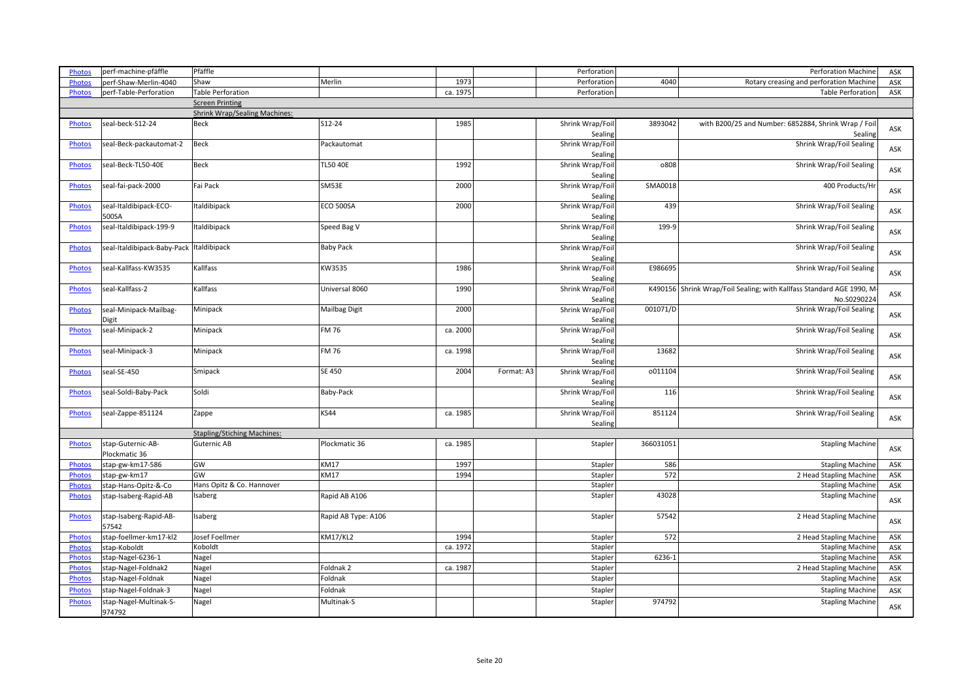| <b>Photos</b>                  | perf-machine-pfäffle                     | Pfäffle                              |                      |                  |            | Perforation        |           | <b>Perforation Machine</b>                                           | ASK        |
|--------------------------------|------------------------------------------|--------------------------------------|----------------------|------------------|------------|--------------------|-----------|----------------------------------------------------------------------|------------|
| Photos                         | perf-Shaw-Merlin-4040                    | Shaw                                 | Merlin               | 1973             |            | Perforation        | 4040      | Rotary creasing and perforation Machine                              | ASK        |
| <b>Photos</b>                  | perf-Table-Perforation                   | Table Perforation                    |                      | ca. 1975         |            | Perforation        |           | <b>Table Perforation</b>                                             | ASK        |
|                                |                                          | <b>Screen Printing</b>               |                      |                  |            |                    |           |                                                                      |            |
|                                |                                          | <b>Shrink Wrap/Sealing Machines:</b> |                      |                  |            |                    |           |                                                                      |            |
| <b>Photos</b>                  | seal-beck-S12-24                         | <b>Beck</b>                          | S12-24               | 1985             |            | Shrink Wrap/Foil   | 3893042   | with B200/25 and Number: 6852884, Shrink Wrap / Foil                 |            |
|                                |                                          |                                      |                      |                  |            | Sealing            |           | Sealing                                                              | ASK        |
| Photos                         | seal-Beck-packautomat-2                  | Beck                                 | Packautomat          |                  |            | Shrink Wrap/Foil   |           | Shrink Wrap/Foil Sealing                                             |            |
|                                |                                          |                                      |                      |                  |            | Sealing            |           |                                                                      | ASK        |
| <b>Photos</b>                  | seal-Beck-TL50-40E                       | Beck                                 | <b>TL50 40E</b>      | 1992             |            | Shrink Wrap/Foil   | 0808      | Shrink Wrap/Foil Sealing                                             |            |
|                                |                                          |                                      |                      |                  |            | Sealing            |           |                                                                      | ASK        |
| Photos                         | seal-fai-pack-2000                       | Fai Pack                             | SM53E                | 2000             |            | Shrink Wrap/Foil   | SMA0018   | 400 Products/Hr                                                      |            |
|                                |                                          |                                      |                      |                  |            | Sealing            |           |                                                                      | ASK        |
| <b>Photos</b>                  | seal-Italdibipack-ECO-                   | Italdibipack                         | <b>ECO 500SA</b>     | 2000             |            | Shrink Wrap/Foil   | 439       | Shrink Wrap/Foil Sealing                                             |            |
|                                | 500SA                                    |                                      |                      |                  |            | Sealing            |           |                                                                      | ASK        |
| <b>Photos</b>                  | seal-Italdibipack-199-9                  | <b>Italdibipack</b>                  | Speed Bag V          |                  |            | Shrink Wrap/Foil   | 199-9     | Shrink Wrap/Foil Sealing                                             |            |
|                                |                                          |                                      |                      |                  |            | Sealing            |           |                                                                      | ASK        |
| Photos                         | seal-Italdibipack-Baby-Pack Italdibipack |                                      | <b>Baby Pack</b>     |                  |            | Shrink Wrap/Foil   |           | Shrink Wrap/Foil Sealing                                             |            |
|                                |                                          |                                      |                      |                  |            | Sealing            |           |                                                                      | ASK        |
| Photos                         | seal-Kallfass-KW3535                     | Kallfass                             | KW3535               | 1986             |            | Shrink Wrap/Foil   | E986695   | Shrink Wrap/Foil Sealing                                             |            |
|                                |                                          |                                      |                      |                  |            | Sealing            |           |                                                                      | ASK        |
| <b>Photos</b>                  | seal-Kallfass-2                          | Kallfass                             | Universal 8060       | 1990             |            | Shrink Wrap/Foil   |           | K490156 Shrink Wrap/Foil Sealing; with Kallfass Standard AGE 1990, M |            |
|                                |                                          |                                      |                      |                  |            | Sealing            |           | No.S0290224                                                          | ASK        |
| Photos                         | seal-Minipack-Mailbag-                   | Minipack                             | <b>Mailbag Digit</b> | 2000             |            | Shrink Wrap/Foil   | 001071/D  | Shrink Wrap/Foil Sealing                                             |            |
|                                | Digit                                    |                                      |                      |                  |            | Sealing            |           |                                                                      | ASK        |
| <b>Photos</b>                  | seal-Minipack-2                          | Minipack                             | <b>FM76</b>          | ca. 2000         |            | Shrink Wrap/Foil   |           | Shrink Wrap/Foil Sealing                                             | ASK        |
|                                |                                          |                                      |                      |                  |            | Sealing            |           |                                                                      |            |
| Photos                         | seal-Minipack-3                          | Minipack                             | <b>FM76</b>          | ca. 1998         |            | Shrink Wrap/Foil   | 13682     | Shrink Wrap/Foil Sealing                                             | ASK        |
|                                |                                          |                                      |                      |                  |            | Sealing            |           |                                                                      |            |
| <b>Photos</b>                  | seal-SE-450                              | Smipack                              | <b>SE 450</b>        | 2004             | Format: A3 | Shrink Wrap/Foil   | 0011104   | Shrink Wrap/Foil Sealing                                             | ASK        |
|                                |                                          |                                      |                      |                  |            | Sealing            |           |                                                                      |            |
| <b>Photos</b>                  | seal-Soldi-Baby-Pack                     | Soldi                                | <b>Baby-Pack</b>     |                  |            | Shrink Wrap/Foil   | 116       | Shrink Wrap/Foil Sealing                                             | ASK        |
|                                |                                          |                                      |                      |                  |            | Sealing            |           |                                                                      |            |
| Photos                         | seal-Zappe-851124                        | Zappe                                | <b>KS44</b>          | ca. 1985         |            | Shrink Wrap/Foil   | 851124    | Shrink Wrap/Foil Sealing                                             | ASK        |
|                                |                                          |                                      |                      |                  |            | Sealing            |           |                                                                      |            |
|                                |                                          | <b>Stapling/Stiching Machines:</b>   |                      |                  |            |                    |           |                                                                      |            |
| Photos                         | stap-Guternic-AB-                        | Guternic AB                          | Plockmatic 36        | ca. 1985         |            | Stapler            | 366031051 | <b>Stapling Machine</b>                                              | ASK        |
|                                | Plockmatic 36                            |                                      |                      |                  |            |                    |           |                                                                      |            |
| Photos                         | stap-gw-km17-586                         | GW                                   | <b>KM17</b>          | 1997             |            | Stapler            | 586       | <b>Stapling Machine</b>                                              | ASK        |
| <b>Photos</b>                  | stap-gw-km17                             | GW                                   | <b>KM17</b>          | 1994             |            | Stapler            | 572       | 2 Head Stapling Machine                                              | ASK        |
| <b>Photos</b>                  | stap-Hans-Opitz-&-Co                     | Hans Opitz & Co. Hannover            |                      |                  |            | Stapler            |           | <b>Stapling Machine</b>                                              | ASK        |
| <b>Photos</b>                  | stap-Isaberg-Rapid-AB                    | Isaberg                              | Rapid AB A106        |                  |            | Stapler            | 43028     | <b>Stapling Machine</b>                                              | ASK        |
|                                |                                          |                                      |                      |                  |            |                    | 57542     |                                                                      |            |
| <b>Photos</b>                  | stap-Isaberg-Rapid-AB-                   | Isaberg                              | Rapid AB Type: A106  |                  |            | Stapler            |           | 2 Head Stapling Machine                                              | ASK        |
|                                | 57542                                    |                                      |                      |                  |            |                    |           |                                                                      |            |
| <b>Photos</b>                  | stap-foellmer-km17-kl2                   | Josef Foellmer<br>Koboldt            | <b>KM17/KL2</b>      | 1994<br>ca. 1972 |            | Stapler<br>Stapler | 572       | 2 Head Stapling Machine                                              | ASK        |
| Photos                         | stap-Koboldt                             |                                      |                      |                  |            | Stapler            | 6236-1    | <b>Stapling Machine</b>                                              | ASK<br>ASK |
| <b>Photos</b><br><b>Photos</b> | stap-Nagel-6236-1<br>stap-Nagel-Foldnak2 | Nagel                                | Foldnak <sub>2</sub> | ca. 1987         |            | Stapler            |           | <b>Stapling Machine</b><br>2 Head Stapling Machine                   | ASK        |
|                                |                                          | Nagel                                | Foldnak              |                  |            |                    |           |                                                                      |            |
| <b>Photos</b>                  | stap-Nagel-Foldnak                       | Nagel                                |                      |                  |            | Stapler            |           | <b>Stapling Machine</b>                                              | ASK        |
| <b>Photos</b>                  | stap-Nagel-Foldnak-3                     | Nagel                                | Foldnak              |                  |            | Stapler            |           | <b>Stapling Machine</b>                                              | ASK        |
| <b>Photos</b>                  | stap-Nagel-Multinak-S-                   | Nagel                                | Multinak-S           |                  |            | Stapler            | 974792    | <b>Stapling Machine</b>                                              | ASK        |
|                                | 974792                                   |                                      |                      |                  |            |                    |           |                                                                      |            |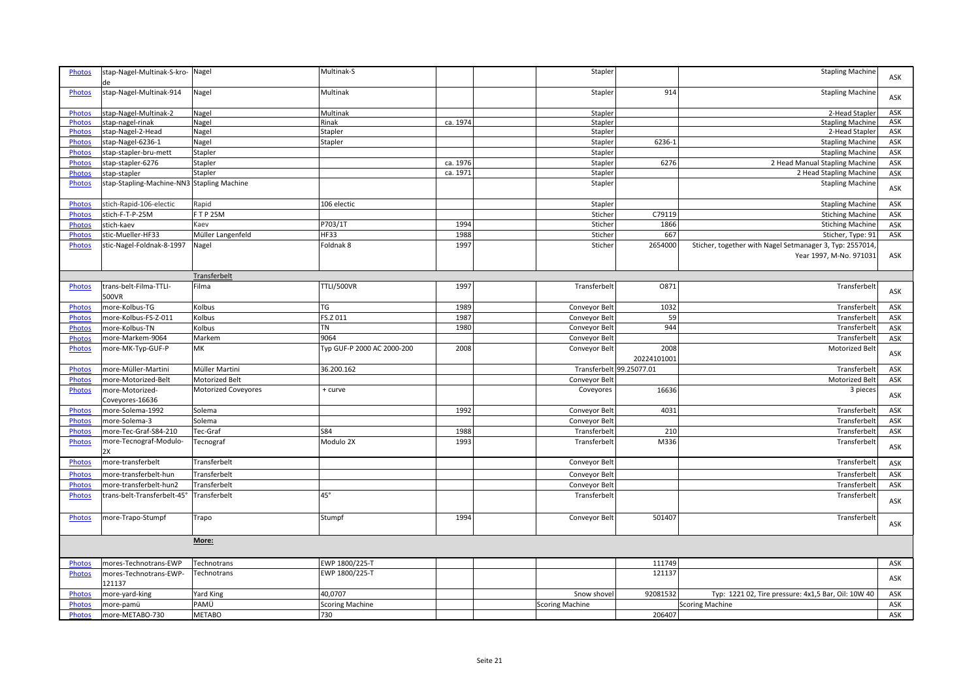| <b>Photos</b> | stap-Nagel-Multinak-S-kro- Nagel<br>de     |                            | Multinak-S                 |          | Stapler                  |             | <b>Stapling Machine</b>                                  | ASK |
|---------------|--------------------------------------------|----------------------------|----------------------------|----------|--------------------------|-------------|----------------------------------------------------------|-----|
| <b>Photos</b> | stap-Nagel-Multinak-914                    | Nagel                      | Multinak                   |          | Stapler                  | 914         | <b>Stapling Machine</b>                                  | ASK |
| <b>Photos</b> | stap-Nagel-Multinak-2                      | Nagel                      | Multinak                   |          | Stapler                  |             | 2-Head Stapler                                           | ASK |
| <b>Photos</b> | stap-nagel-rinak                           | Nagel                      | Rinak                      | ca. 1974 | Stapler                  |             | <b>Stapling Machine</b>                                  | ASK |
| <b>Photos</b> | stap-Nagel-2-Head                          | Nagel                      | Stapler                    |          | Stapler                  |             | 2-Head Stapler                                           | ASK |
| <b>Photos</b> | stap-Nagel-6236-1                          | Nagel                      | Stapler                    |          | Stapler                  | 6236-1      | <b>Stapling Machine</b>                                  | ASK |
| <b>Photos</b> | stap-stapler-bru-mett                      | Stapler                    |                            |          | Stapler                  |             | <b>Stapling Machine</b>                                  | ASK |
| <b>Photos</b> | stap-stapler-6276                          | Stapler                    |                            | ca. 1976 | Stapler                  | 6276        | 2 Head Manual Stapling Machine                           | ASK |
|               |                                            | Stapler                    |                            | ca. 1971 | Stapler                  |             |                                                          |     |
| <b>Photos</b> | stap-stapler                               |                            |                            |          |                          |             | 2 Head Stapling Machine                                  | ASK |
| <b>Photos</b> | stap-Stapling-Machine-NN3 Stapling Machine |                            |                            |          | Stapler                  |             | <b>Stapling Machine</b>                                  | ASK |
| <b>Photos</b> | stich-Rapid-106-electic                    | Rapid                      | 106 electic                |          | Stapler                  |             | <b>Stapling Machine</b>                                  | ASK |
| <b>Photos</b> | stich-F-T-P-25M                            | <b>FTP 25M</b>             |                            |          | Sticher                  | C79119      | <b>Stiching Machine</b>                                  | ASK |
| <b>Photos</b> | stich-kaev                                 | Kaev                       | P703/1T                    | 1994     | Sticher                  | 1866        | <b>Stiching Machine</b>                                  | ASK |
| <b>Photos</b> | stic-Mueller-HF33                          | Müller Langenfeld          | <b>HF33</b>                | 1988     | Sticher                  | 667         | Sticher, Type: 91                                        | ASK |
| <b>Photos</b> | stic-Nagel-Foldnak-8-1997                  | Nagel                      | Foldnak 8                  | 1997     | Sticher                  | 2654000     | Sticher, together with Nagel Setmanager 3, Typ: 2557014, |     |
|               |                                            |                            |                            |          |                          |             | Year 1997, M-No. 971031                                  | ASK |
|               |                                            | Transferbelt               |                            |          |                          |             |                                                          |     |
| <b>Photos</b> | trans-belt-Filma-TTLI-<br>500VR            | Filma                      | <b>TTLI/500VR</b>          | 1997     | Transferbelt             | 0871        | Transferbelt                                             | ASK |
| <b>Photos</b> | more-Kolbus-TG                             | Kolbus                     | TG                         | 1989     | Conveyor Belt            | 1032        | Transferbelt                                             | ASK |
| <b>Photos</b> | more-Kolbus-FS-Z-011                       | Kolbus                     | FS.Z 011                   | 1987     | Conveyor Belt            | 59          | Transferbelt                                             | ASK |
| <b>Photos</b> | more-Kolbus-TN                             | Kolbus                     | TN                         | 1980     | Conveyor Belt            | 944         | Transferbelt                                             | ASK |
| Photos        | more-Markem-9064                           | Markem                     | 9064                       |          | Conveyor Belt            |             | Transferbelt                                             | ASK |
| <b>Photos</b> | more-MK-Typ-GUF-P                          | MK                         | Typ GUF-P 2000 AC 2000-200 | 2008     | Conveyor Belt            | 2008        | Motorized Belt                                           |     |
|               |                                            |                            |                            |          |                          | 20224101001 |                                                          | ASK |
| <b>Photos</b> | more-Müller-Martini                        | Müller Martini             | 36.200.162                 |          | Transferbelt 99.25077.01 |             | Transferbelt                                             | ASK |
| <b>Photos</b> | more-Motorized-Belt                        | Motorized Belt             |                            |          | Conveyor Belt            |             | Motorized Belt                                           | ASK |
| <b>Photos</b> | more-Motorized-                            | <b>Motorized Coveyores</b> | + curve                    |          | Coveyores                | 16636       | 3 pieces                                                 |     |
|               | Coveyores-16636                            |                            |                            |          |                          |             |                                                          | ASK |
| <b>Photos</b> | more-Solema-1992                           | Solema                     |                            | 1992     | Conveyor Belt            | 4031        | Transferbelt                                             | ASK |
| <b>Photos</b> | more-Solema-3                              | Solema                     |                            |          | Conveyor Belt            |             | Transferbelt                                             | ASK |
| <b>Photos</b> | more-Tec-Graf-S84-210                      | Tec-Graf                   | <b>S84</b>                 | 1988     | Transferbelt             | 210         | Transferbelt                                             | ASK |
| <b>Photos</b> | more-Tecnograf-Modulo-                     | Tecnograf                  | Modulo 2X                  | 1993     | Transferbelt             | M336        | Transferbelt                                             | ASK |
|               | 2X                                         |                            |                            |          |                          |             |                                                          |     |
| <b>Photos</b> | more-transferbelt                          | Transferbelt               |                            |          | Conveyor Belt            |             | Transferbelt                                             | ASK |
| Photos        | more-transferbelt-hun                      | Transferbelt               |                            |          | Conveyor Belt            |             | Transferbelt                                             | ASK |
| <b>Photos</b> | more-transferbelt-hun2                     | Transferbelt               |                            |          | Conveyor Belt            |             | Transferbelt                                             | ASK |
| <b>Photos</b> | trans-belt-Transferbelt-45°                | Transferbelt               | $45^\circ$                 |          | Transferbelt             |             | Transferbelt                                             | ASK |
| <b>Photos</b> | more-Trapo-Stumpf                          | Trapo                      | Stumpf                     | 1994     | Conveyor Belt            | 501407      | Transferbelt                                             | ASK |
|               |                                            | More:                      |                            |          |                          |             |                                                          |     |
| <b>Photos</b> | mores-Technotrans-EWP                      | Technotrans                | EWP 1800/225-T             |          |                          | 111749      |                                                          | ASK |
| <b>Photos</b> | mores-Technotrans-EWP-                     | Technotrans                | EWP 1800/225-T             |          |                          | 121137      |                                                          |     |
|               | 121137                                     |                            |                            |          |                          |             |                                                          | ASK |
| <b>Photos</b> | more-yard-king                             | <b>Yard King</b>           | 40,0707                    |          | Snow shovel              | 92081532    | Typ: 1221 02, Tire pressure: 4x1,5 Bar, Oil: 10W 40      | ASK |
| <b>Photos</b> | more-pamü                                  | PAMÜ                       | <b>Scoring Machine</b>     |          | <b>Scoring Machine</b>   |             | <b>Scoring Machine</b>                                   | ASK |
| <b>Photos</b> | more-METABO-730                            | <b>METABO</b>              | 730                        |          |                          | 206407      |                                                          | ASK |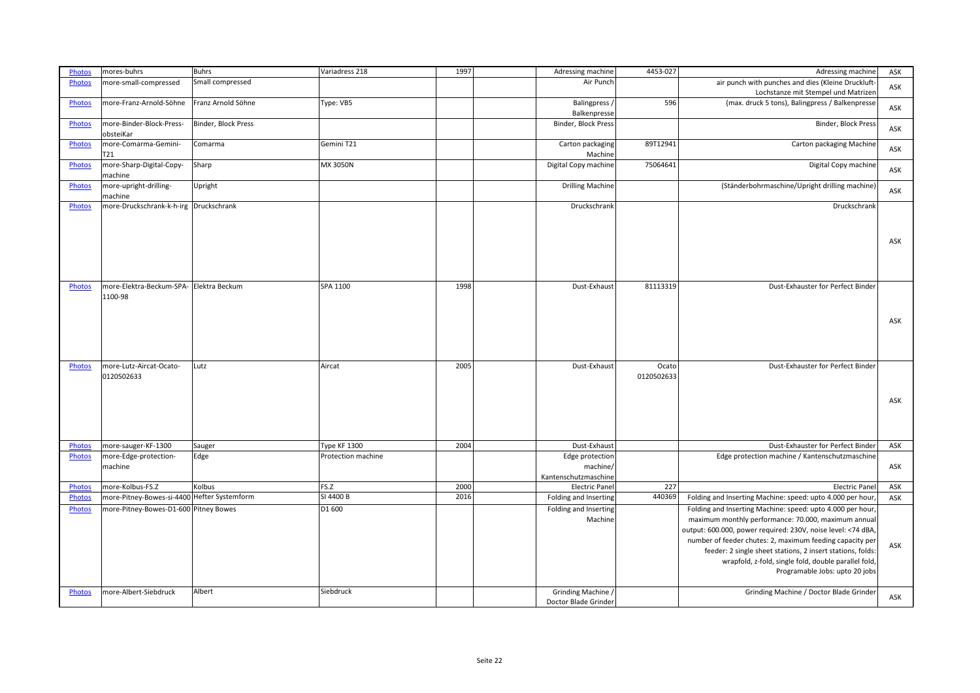| <b>Photos</b> | mores-buhrs                                        | <b>Buhrs</b>        | Variadress 218      | 1997 | Adressing machine                        | 4453-027            | Adressing machine                                                                                                                                                                                                                                                                                                                                                                                     | ASK |
|---------------|----------------------------------------------------|---------------------|---------------------|------|------------------------------------------|---------------------|-------------------------------------------------------------------------------------------------------------------------------------------------------------------------------------------------------------------------------------------------------------------------------------------------------------------------------------------------------------------------------------------------------|-----|
| <b>Photos</b> | more-small-compressed                              | Small compressed    |                     |      | Air Punch                                |                     | air punch with punches and dies (Kleine Druckluft-<br>Lochstanze mit Stempel und Matrizen                                                                                                                                                                                                                                                                                                             | ASK |
| Photos        | more-Franz-Arnold-Söhne                            | Franz Arnold Söhne  | Type: VB5           |      | Balingpress,<br>Balkenpresse             | 596                 | (max. druck 5 tons), Balingpress / Balkenpresse                                                                                                                                                                                                                                                                                                                                                       | ASK |
| <b>Photos</b> | more-Binder-Block-Press-<br>obsteiKar              | Binder, Block Press |                     |      | Binder, Block Press                      |                     | Binder, Block Press                                                                                                                                                                                                                                                                                                                                                                                   | ASK |
| <b>Photos</b> | more-Comarma-Gemini-<br>T <sub>21</sub>            | Comarma             | Gemini T21          |      | Carton packaging<br>Machine              | 89T12941            | Carton packaging Machine                                                                                                                                                                                                                                                                                                                                                                              | ASK |
| <b>Photos</b> | more-Sharp-Digital-Copy-<br>machine                | Sharp               | MX 3050N            |      | Digital Copy machine                     | 75064641            | Digital Copy machine                                                                                                                                                                                                                                                                                                                                                                                  | ASK |
| Photos        | more-upright-drilling-<br>machine                  | Upright             |                     |      | <b>Drilling Machine</b>                  |                     | (Ständerbohrmaschine/Upright drilling machine)                                                                                                                                                                                                                                                                                                                                                        | ASK |
| <b>Photos</b> | more-Druckschrank-k-h-irg Druckschrank             |                     |                     |      | Druckschrank                             |                     | Druckschrank                                                                                                                                                                                                                                                                                                                                                                                          |     |
|               |                                                    |                     |                     |      |                                          |                     |                                                                                                                                                                                                                                                                                                                                                                                                       | ASK |
| <b>Photos</b> | more-Elektra-Beckum-SPA- Elektra Beckum<br>1100-98 |                     | SPA 1100            | 1998 | Dust-Exhaust                             | 81113319            | Dust-Exhauster for Perfect Binder                                                                                                                                                                                                                                                                                                                                                                     |     |
|               |                                                    |                     |                     |      |                                          |                     |                                                                                                                                                                                                                                                                                                                                                                                                       | ASK |
| Photos        | more-Lutz-Aircat-Ocato-<br>0120502633              | Lutz                | Aircat              | 2005 | Dust-Exhaust                             | Ocato<br>0120502633 | Dust-Exhauster for Perfect Binder                                                                                                                                                                                                                                                                                                                                                                     |     |
|               |                                                    |                     |                     |      |                                          |                     |                                                                                                                                                                                                                                                                                                                                                                                                       | ASK |
| <b>Photos</b> | more-sauger-KF-1300                                | Sauger              | <b>Type KF 1300</b> | 2004 | Dust-Exhaust                             |                     | Dust-Exhauster for Perfect Binder                                                                                                                                                                                                                                                                                                                                                                     | ASK |
| <b>Photos</b> | more-Edge-protection-                              | Edge                | Protection machine  |      | Edge protection                          |                     | Edge protection machine / Kantenschutzmaschine                                                                                                                                                                                                                                                                                                                                                        |     |
|               | machine                                            |                     |                     |      | machine/<br>Kantenschutzmaschine         |                     |                                                                                                                                                                                                                                                                                                                                                                                                       | ASK |
| <b>Photos</b> | more-Kolbus-FS.Z                                   | Kolbus              | FS.Z                | 2000 | <b>Electric Pane</b>                     | 227                 | Electric Panel                                                                                                                                                                                                                                                                                                                                                                                        | ASK |
| Photos        | more-Pitney-Bowes-si-4400 Hefter Systemform        |                     | SI 4400 B           | 2016 | Folding and Inserting                    | 440369              | Folding and Inserting Machine: speed: upto 4.000 per hour,                                                                                                                                                                                                                                                                                                                                            | ASK |
| Photos        | more-Pitney-Bowes-D1-600 Pitney Bowes              |                     | D1 600              |      | Folding and Inserting<br>Machine         |                     | Folding and Inserting Machine: speed: upto 4.000 per hour,<br>maximum monthly performance: 70.000, maximum annual<br>output: 600.000, power required: 230V, noise level: <74 dBA,<br>number of feeder chutes: 2, maximum feeding capacity per<br>feeder: 2 single sheet stations, 2 insert stations, folds:<br>wrapfold, z-fold, single fold, double parallel fold,<br>Programable Jobs: upto 20 jobs | ASK |
| <b>Photos</b> | more-Albert-Siebdruck                              | Albert              | Siebdruck           |      | Grinding Machine<br>Doctor Blade Grinder |                     | Grinding Machine / Doctor Blade Grinder                                                                                                                                                                                                                                                                                                                                                               | ASK |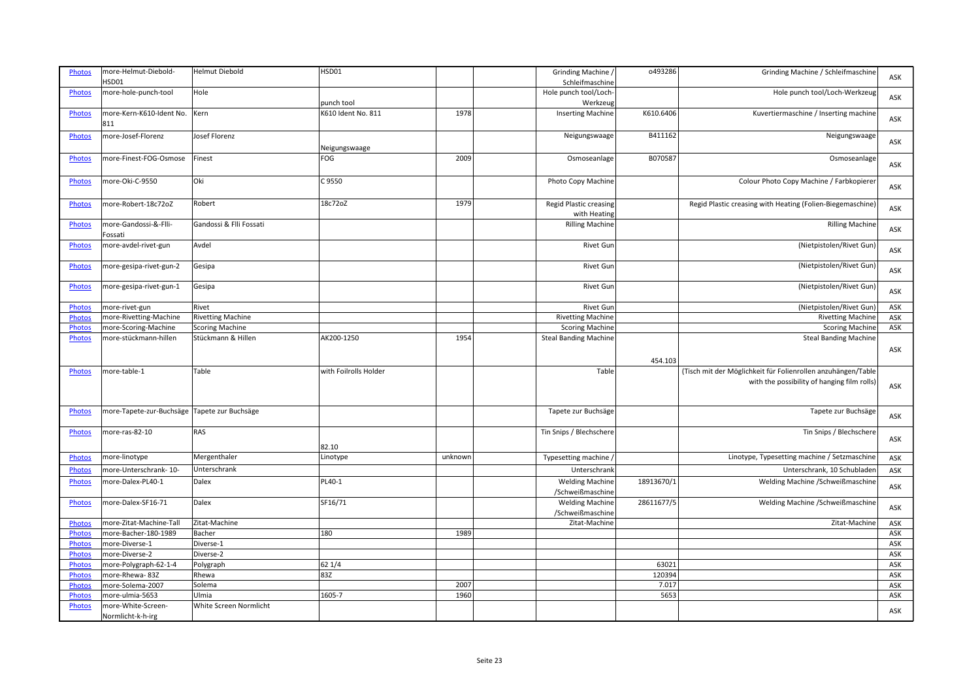| <b>Photos</b> | more-Helmut-Diebold-                         | <b>Helmut Diebold</b>    | HSD01                 |         | Grinding Machine /                            | 0493286    | Grinding Machine / Schleifmaschine                                                                          | ASK |
|---------------|----------------------------------------------|--------------------------|-----------------------|---------|-----------------------------------------------|------------|-------------------------------------------------------------------------------------------------------------|-----|
|               | HSD01                                        |                          |                       |         | Schleifmaschine                               |            |                                                                                                             |     |
| <b>Photos</b> | more-hole-punch-tool                         | Hole                     |                       |         | Hole punch tool/Loch                          |            | Hole punch tool/Loch-Werkzeug                                                                               | ASK |
|               |                                              |                          | punch tool            |         | Werkzeug                                      |            |                                                                                                             |     |
| Photos        | more-Kern-K610-Ident No.<br>811              | Kern                     | K610 Ident No. 811    | 1978    | <b>Inserting Machine</b>                      | K610.6406  | Kuvertiermaschine / Inserting machine                                                                       | ASK |
| Photos        | more-Josef-Florenz                           | Josef Florenz            |                       |         | Neigungswaage                                 | B411162    | Neigungswaage                                                                                               |     |
|               |                                              |                          | Neigungswaage         |         |                                               |            |                                                                                                             | ASK |
| Photos        | more-Finest-FOG-Osmose                       | Finest                   | FOG                   | 2009    | Osmoseanlage                                  | B070587    | Osmoseanlage                                                                                                | ASK |
| <b>Photos</b> | more-Oki-C-9550                              | Oki                      | C 9550                |         | Photo Copy Machine                            |            | Colour Photo Copy Machine / Farbkopierer                                                                    | ASK |
| <b>Photos</b> | more-Robert-18c72oZ                          | Robert                   | 18c72oZ               | 1979    | <b>Regid Plastic creasing</b><br>with Heating |            | Regid Plastic creasing with Heating (Folien-Biegemaschine)                                                  | ASK |
| <b>Photos</b> | more-Gandossi-&-Flli-<br>Fossati             | Gandossi & Flli Fossati  |                       |         | <b>Rilling Machine</b>                        |            | <b>Rilling Machine</b>                                                                                      | ASK |
| <b>Photos</b> | more-avdel-rivet-gun                         | Avdel                    |                       |         | <b>Rivet Gur</b>                              |            | (Nietpistolen/Rivet Gun)                                                                                    | ASK |
| Photos        | more-gesipa-rivet-gun-2                      | Gesipa                   |                       |         | Rivet Gun                                     |            | (Nietpistolen/Rivet Gun)                                                                                    | ASK |
| <b>Photos</b> | more-gesipa-rivet-gun-1                      | Gesipa                   |                       |         | <b>Rivet Gun</b>                              |            | (Nietpistolen/Rivet Gun)                                                                                    | ASK |
| <b>Photos</b> | more-rivet-gun                               | Rivet                    |                       |         | Rivet Gun                                     |            | (Nietpistolen/Rivet Gun)                                                                                    | ASK |
| Photos        | more-Rivetting-Machine                       | <b>Rivetting Machine</b> |                       |         | <b>Rivetting Machine</b>                      |            | <b>Rivetting Machine</b>                                                                                    | ASK |
| <b>Photos</b> | more-Scoring-Machine                         | <b>Scoring Machine</b>   |                       |         | <b>Scoring Machine</b>                        |            | <b>Scoring Machine</b>                                                                                      | ASK |
| <b>Photos</b> | more-stückmann-hillen                        | Stückmann & Hillen       | AK200-1250            | 1954    | <b>Steal Banding Machine</b>                  |            | <b>Steal Banding Machine</b>                                                                                | ASK |
|               |                                              |                          |                       |         |                                               | 454.103    |                                                                                                             |     |
| Photos        | more-table-1                                 | Table                    | with Foilrolls Holder |         | Table                                         |            | (Tisch mit der Möglichkeit für Folienrollen anzuhängen/Table<br>with the possibility of hanging film rolls) | ASK |
| <b>Photos</b> | more-Tapete-zur-Buchsäge Tapete zur Buchsäge |                          |                       |         | Tapete zur Buchsäge                           |            | Tapete zur Buchsäge                                                                                         | ASK |
| <b>Photos</b> | more-ras-82-10                               | RAS                      | 82.10                 |         | Tin Snips / Blechschere                       |            | Tin Snips / Blechschere                                                                                     | ASK |
| <b>Photos</b> | more-linotype                                | Mergenthaler             | Linotype              | unknown | Typesetting machine,                          |            | Linotype, Typesetting machine / Setzmaschine                                                                | ASK |
| <b>Photos</b> | more-Unterschrank-10-                        | Unterschrank             |                       |         | Unterschrank                                  |            | Unterschrank, 10 Schubladen                                                                                 | ASK |
| Photos        | more-Dalex-PL40-1                            | Dalex                    | PL40-1                |         | <b>Welding Machine</b><br>/Schweißmaschine    | 18913670/1 | Welding Machine / Schweißmaschine                                                                           | ASK |
| <b>Photos</b> | more-Dalex-SF16-71                           | Dalex                    | SF16/71               |         | <b>Welding Machine</b><br>/Schweißmaschine    | 28611677/5 | Welding Machine / Schweißmaschine                                                                           | ASK |
| Photos        | more-Zitat-Machine-Tall                      | Zitat-Machine            |                       |         | Zitat-Machine                                 |            | Zitat-Machine                                                                                               | ASK |
| <b>Photos</b> | more-Bacher-180-1989                         | Bacher                   | 180                   | 1989    |                                               |            |                                                                                                             | ASK |
| Photos        | more-Diverse-1                               | Diverse-1                |                       |         |                                               |            |                                                                                                             | ASK |
| <b>Photos</b> | more-Diverse-2                               | Diverse-2                |                       |         |                                               |            |                                                                                                             | ASK |
| Photos        | more-Polygraph-62-1-4                        | Polygraph                | 62 1/4                |         |                                               | 63021      |                                                                                                             | ASK |
| Photos        | more-Rhewa-83Z                               | Rhewa                    | 83Z                   |         |                                               | 120394     |                                                                                                             | ASK |
|               |                                              |                          |                       |         |                                               |            |                                                                                                             |     |
| <b>Photos</b> | more-Solema-2007                             | Solema                   |                       | 2007    |                                               | 7.017      |                                                                                                             | ASK |
| Photos        | more-ulmia-5653                              | Ulmia                    | 1605-7                | 1960    |                                               | 5653       |                                                                                                             | ASK |
| <b>Photos</b> | more-White-Screen-<br>Normlicht-k-h-irg      | White Screen Normlicht   |                       |         |                                               |            |                                                                                                             | ASK |